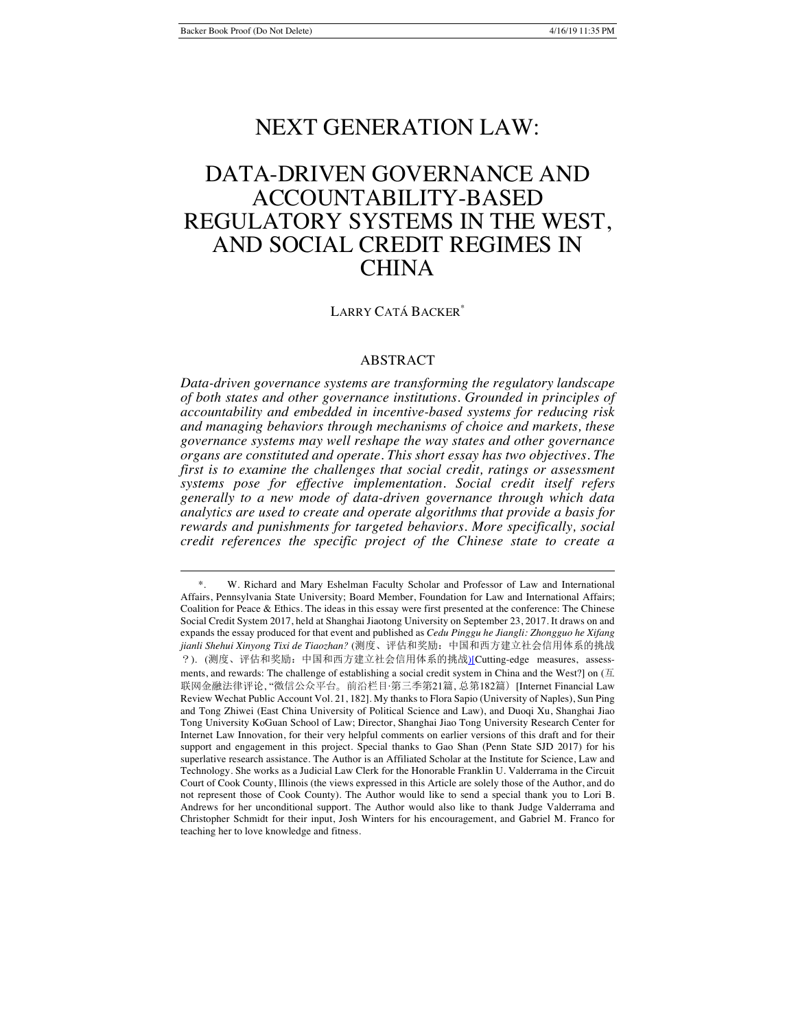# NEXT GENERATION LAW:

# DATA-DRIVEN GOVERNANCE AND ACCOUNTABILITY-BASED REGULATORY SYSTEMS IN THE WEST, AND SOCIAL CREDIT REGIMES IN CHINA

# LARRY CATÁ BACKER<sup>\*</sup>

### ABSTRACT

*Data-driven governance systems are transforming the regulatory landscape of both states and other governance institutions. Grounded in principles of accountability and embedded in incentive-based systems for reducing risk and managing behaviors through mechanisms of choice and markets, these governance systems may well reshape the way states and other governance organs are constituted and operate. This short essay has two objectives. The first is to examine the challenges that social credit, ratings or assessment systems pose for effective implementation. Social credit itself refers generally to a new mode of data-driven governance through which data analytics are used to create and operate algorithms that provide a basis for rewards and punishments for targeted behaviors. More specifically, social credit references the specific project of the Chinese state to create a* 

W. Richard and Mary Eshelman Faculty Scholar and Professor of Law and International Affairs, Pennsylvania State University; Board Member, Foundation for Law and International Affairs; Coalition for Peace & Ethics. The ideas in this essay were first presented at the conference: The Chinese Social Credit System 2017, held at Shanghai Jiaotong University on September 23, 2017. It draws on and expands the essay produced for that event and published as *Cedu Pinggu he Jiangli: Zhongguo he Xifang jianli Shehui Xinyong Tixi de Tiaozhan?* (测度、评估和奖励:中国和西方建立社会信用体系的挑战 ?)*.* (测度、评估和奖励:中国和西方建立社会信用体系的挑战)[Cutting-edge measures, assessments, and rewards: The challenge of establishing a social credit system in China and the West?] on (互 联网金融法律评论, "微信公众平台。前沿栏目·第三季第21篇, 总第182篇)[Internet Financial Law Review Wechat Public Account Vol. 21, 182]. My thanks to Flora Sapio (University of Naples), Sun Ping and Tong Zhiwei (East China University of Political Science and Law), and Duoqi Xu, Shanghai Jiao Tong University KoGuan School of Law; Director, Shanghai Jiao Tong University Research Center for Internet Law Innovation, for their very helpful comments on earlier versions of this draft and for their support and engagement in this project. Special thanks to Gao Shan (Penn State SJD 2017) for his superlative research assistance. The Author is an Affiliated Scholar at the Institute for Science, Law and Technology. She works as a Judicial Law Clerk for the Honorable Franklin U. Valderrama in the Circuit Court of Cook County, Illinois (the views expressed in this Article are solely those of the Author, and do not represent those of Cook County). The Author would like to send a special thank you to Lori B. Andrews for her unconditional support. The Author would also like to thank Judge Valderrama and Christopher Schmidt for their input, Josh Winters for his encouragement, and Gabriel M. Franco for teaching her to love knowledge and fitness.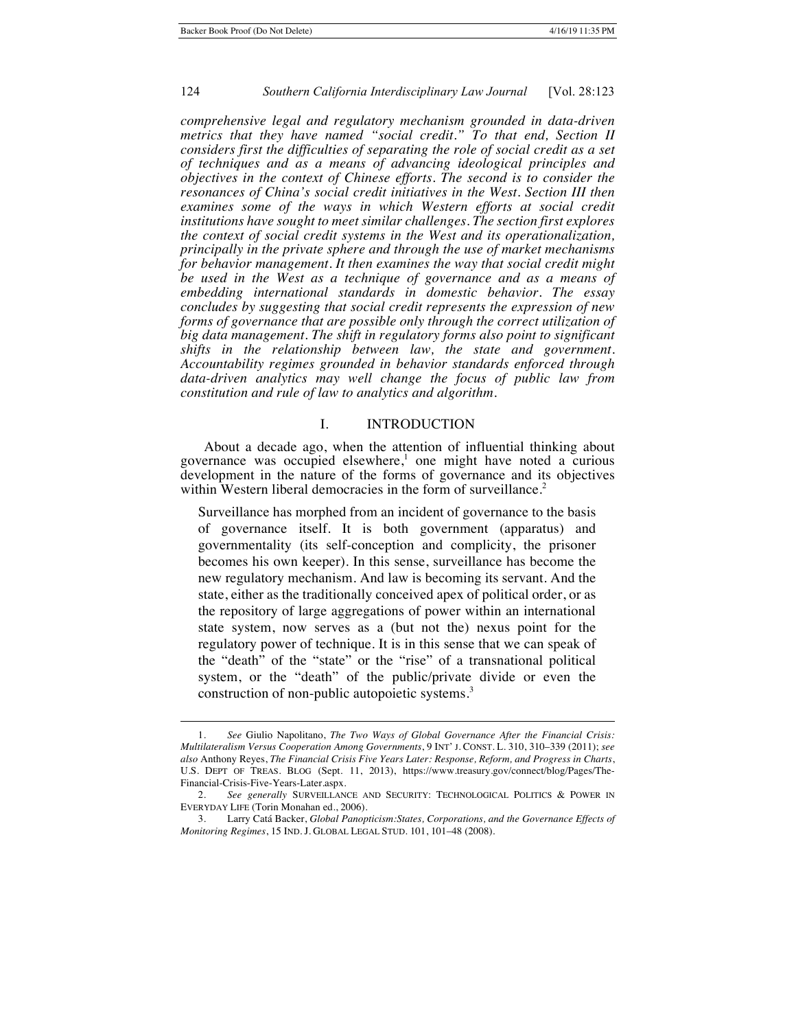*comprehensive legal and regulatory mechanism grounded in data-driven metrics that they have named "social credit." To that end, Section II considers first the difficulties of separating the role of social credit as a set of techniques and as a means of advancing ideological principles and objectives in the context of Chinese efforts. The second is to consider the resonances of China's social credit initiatives in the West. Section III then* examines some of the ways in which Western efforts at social credit *institutions have sought to meet similar challenges. The section first explores the context of social credit systems in the West and its operationalization, principally in the private sphere and through the use of market mechanisms for behavior management. It then examines the way that social credit might*  be used in the West as a technique of governance and as a means of *embedding international standards in domestic behavior. The essay concludes by suggesting that social credit represents the expression of new*  forms of governance that are possible only through the correct utilization of *big data management. The shift in regulatory forms also point to significant shifts in the relationship between law, the state and government. Accountability regimes grounded in behavior standards enforced through data-driven analytics may well change the focus of public law from constitution and rule of law to analytics and algorithm.*

# I. INTRODUCTION

About a decade ago, when the attention of influential thinking about governance was occupied elsewhere,<sup>1</sup> one might have noted a curious development in the nature of the forms of governance and its objectives within Western liberal democracies in the form of surveillance.<sup>2</sup>

Surveillance has morphed from an incident of governance to the basis of governance itself. It is both government (apparatus) and governmentality (its self-conception and complicity, the prisoner becomes his own keeper). In this sense, surveillance has become the new regulatory mechanism. And law is becoming its servant. And the state, either as the traditionally conceived apex of political order, or as the repository of large aggregations of power within an international state system, now serves as a (but not the) nexus point for the regulatory power of technique. It is in this sense that we can speak of the "death" of the "state" or the "rise" of a transnational political system, or the "death" of the public/private divide or even the construction of non-public autopoietic systems.<sup>3</sup>

 <sup>1.</sup> *See* Giulio Napolitano, *The Two Ways of Global Governance After the Financial Crisis: Multilateralism Versus Cooperation Among Governments*, 9 INT' J. CONST. L. 310, 310–339 (2011); *see also* Anthony Reyes, *The Financial Crisis Five Years Later: Response, Reform, and Progress in Charts*, U.S. DEPT OF TREAS. BLOG (Sept. 11, 2013), https://www.treasury.gov/connect/blog/Pages/The-Financial-Crisis-Five-Years-Later.aspx.

<sup>2.</sup> *See generally* SURVEILLANCE AND SECURITY: TECHNOLOGICAL POLITICS & POWER IN EVERYDAY LIFE (Torin Monahan ed., 2006).

<sup>3.</sup> Larry Catá Backer, *Global Panopticism:States, Corporations, and the Governance Effects of Monitoring Regimes*, 15 IND. J. GLOBAL LEGAL STUD. 101, 101–48 (2008).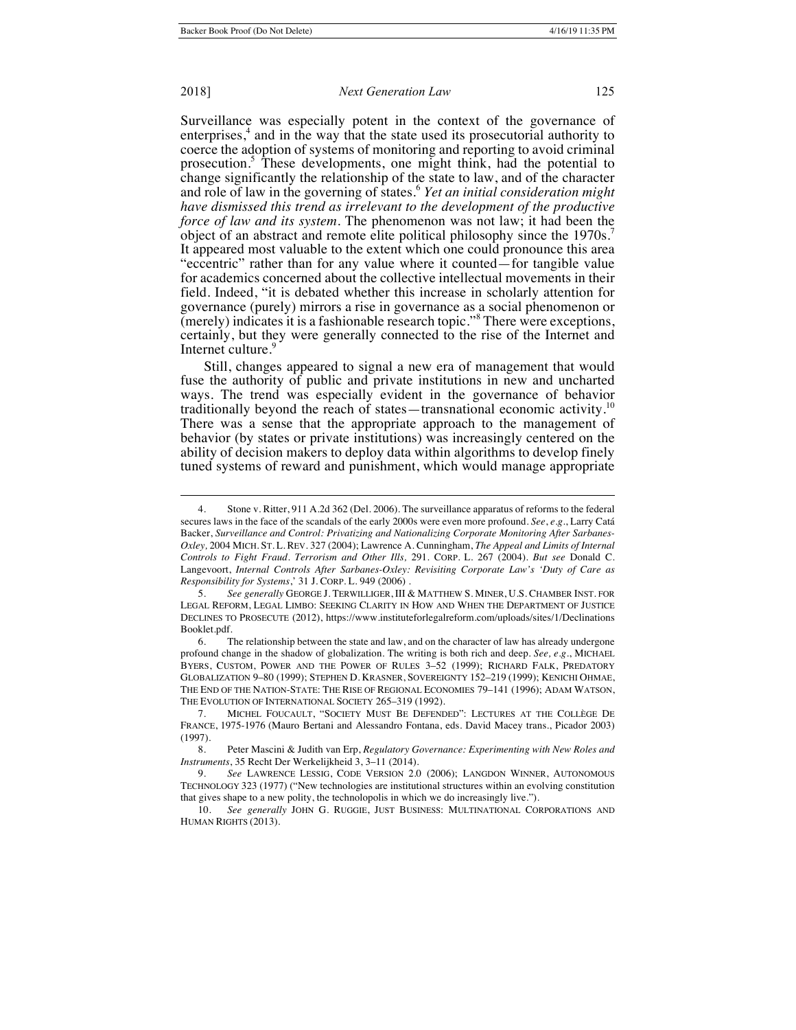Surveillance was especially potent in the context of the governance of enterprises, $4$  and in the way that the state used its prosecutorial authority to coerce the adoption of systems of monitoring and reporting to avoid criminal prosecution.5 These developments, one might think, had the potential to change significantly the relationship of the state to law, and of the character and role of law in the governing of states.<sup>6</sup> *Yet an initial consideration might have dismissed this trend as irrelevant to the development of the productive force of law and its system.* The phenomenon was not law; it had been the object of an abstract and remote elite political philosophy since the 1970s.<sup>7</sup> It appeared most valuable to the extent which one could pronounce this area "eccentric" rather than for any value where it counted—for tangible value for academics concerned about the collective intellectual movements in their field. Indeed, "it is debated whether this increase in scholarly attention for governance (purely) mirrors a rise in governance as a social phenomenon or (merely) indicates it is a fashionable research topic."<sup>8</sup> There were exceptions, certainly, but they were generally connected to the rise of the Internet and Internet culture.<sup>9</sup>

Still, changes appeared to signal a new era of management that would fuse the authority of public and private institutions in new and uncharted ways. The trend was especially evident in the governance of behavior traditionally beyond the reach of states—transnational economic activity.<sup>10</sup> There was a sense that the appropriate approach to the management of behavior (by states or private institutions) was increasingly centered on the ability of decision makers to deploy data within algorithms to develop finely tuned systems of reward and punishment, which would manage appropriate

 <sup>4.</sup> Stone v. Ritter, 911 A.2d 362 (Del. 2006). The surveillance apparatus of reforms to the federal secures laws in the face of the scandals of the early 2000s were even more profound. *See*, *e.g.*, Larry Catá Backer, *Surveillance and Control: Privatizing and Nationalizing Corporate Monitoring After Sarbanes-Oxley,* 2004 MICH. ST. L. REV. 327 (2004); Lawrence A. Cunningham, *The Appeal and Limits of Internal Controls to Fight Fraud. Terrorism and Other Ills,* 291. CORP. L. 267 (2004). *But see* Donald C. Langevoort, *Internal Controls After Sarbanes-Oxley: Revisiting Corporate Law's 'Duty of Care as Responsibility for Systems*,' 31 J. CORP. L. 949 (2006) .

<sup>5.</sup> *See generally* GEORGE J. TERWILLIGER, III & MATTHEW S. MINER, U.S. CHAMBER INST. FOR LEGAL REFORM, LEGAL LIMBO: SEEKING CLARITY IN HOW AND WHEN THE DEPARTMENT OF JUSTICE DECLINES TO PROSECUTE (2012), https://www.instituteforlegalreform.com/uploads/sites/1/Declinations Booklet.pdf.

<sup>6.</sup> The relationship between the state and law, and on the character of law has already undergone profound change in the shadow of globalization. The writing is both rich and deep. *See, e.g.*, MICHAEL BYERS, CUSTOM, POWER AND THE POWER OF RULES 3–52 (1999); RICHARD FALK, PREDATORY GLOBALIZATION 9–80 (1999); STEPHEN D. KRASNER, SOVEREIGNTY 152–219 (1999); KENICHI OHMAE, THE END OF THE NATION-STATE: THE RISE OF REGIONAL ECONOMIES 79–141 (1996); ADAM WATSON, THE EVOLUTION OF INTERNATIONAL SOCIETY 265–319 (1992).

<sup>7.</sup> MICHEL FOUCAULT, "SOCIETY MUST BE DEFENDED": LECTURES AT THE COLLÈGE DE FRANCE, 1975-1976 (Mauro Bertani and Alessandro Fontana, eds. David Macey trans., Picador 2003) (1997).

<sup>8.</sup> Peter Mascini & Judith van Erp, *Regulatory Governance: Experimenting with New Roles and Instruments*, 35 Recht Der Werkelijkheid 3, 3–11 (2014).

<sup>9.</sup> *See* LAWRENCE LESSIG, CODE VERSION 2.0 (2006); LANGDON WINNER, AUTONOMOUS TECHNOLOGY 323 (1977) ("New technologies are institutional structures within an evolving constitution that gives shape to a new polity, the technolopolis in which we do increasingly live.").

<sup>10.</sup> *See generally* JOHN G. RUGGIE, JUST BUSINESS: MULTINATIONAL CORPORATIONS AND HUMAN RIGHTS (2013).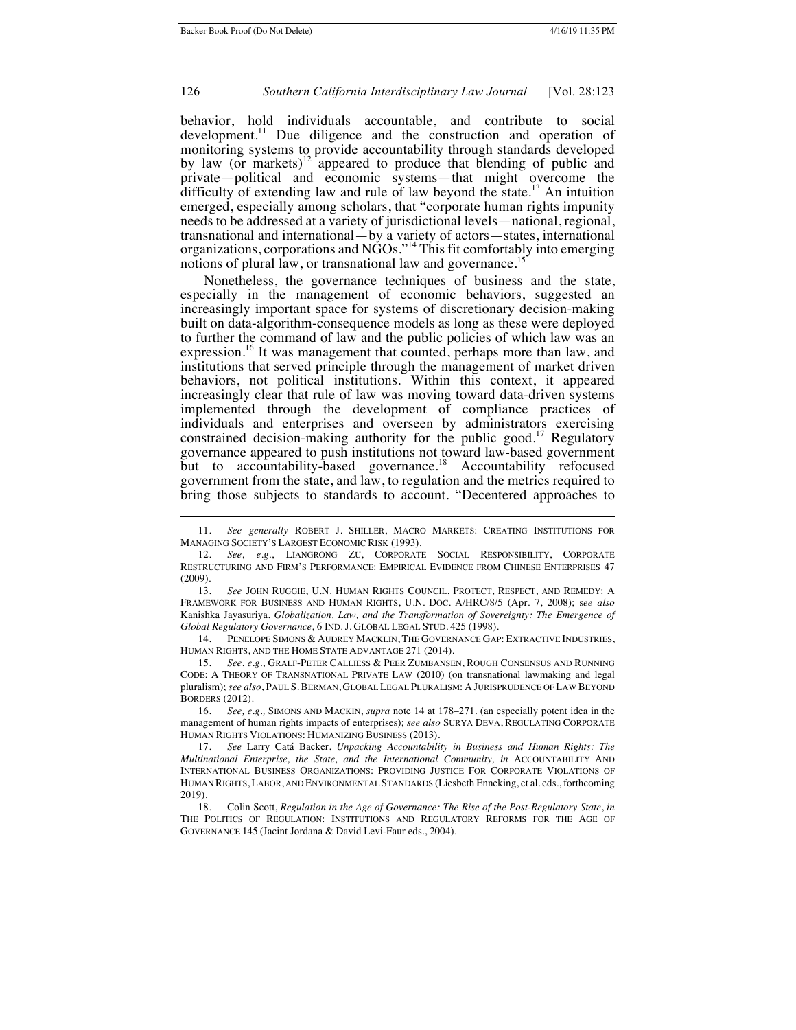behavior, hold individuals accountable, and contribute to social development.<sup>11</sup> Due diligence and the construction and operation of monitoring systems to provide accountability through standards developed by law (or markets)<sup>12</sup> appeared to produce that blending of public and private—political and economic systems—that might overcome the difficulty of extending law and rule of law beyond the state.<sup>13</sup> An intuition emerged, especially among scholars, that "corporate human rights impunity needs to be addressed at a variety of jurisdictional levels—national, regional, transnational and international—by a variety of actors—states, international organizations, corporations and NGOs."<sup>14</sup> This fit comfortably into emerging notions of plural law, or transnational law and governance.<sup>15</sup>

Nonetheless, the governance techniques of business and the state, especially in the management of economic behaviors, suggested an increasingly important space for systems of discretionary decision-making built on data-algorithm-consequence models as long as these were deployed to further the command of law and the public policies of which law was an expression.<sup>16</sup> It was management that counted, perhaps more than law, and institutions that served principle through the management of market driven behaviors, not political institutions. Within this context, it appeared increasingly clear that rule of law was moving toward data-driven systems implemented through the development of compliance practices of individuals and enterprises and overseen by administrators exercising constrained decision-making authority for the public good.<sup>17</sup> Regulatory governance appeared to push institutions not toward law-based government but to accountability-based governance.<sup>18</sup> Accountability refocused government from the state, and law, to regulation and the metrics required to bring those subjects to standards to account. "Decentered approaches to

15. *See*, *e.g.*, GRALF-PETER CALLIESS & PEER ZUMBANSEN, ROUGH CONSENSUS AND RUNNING CODE: A THEORY OF TRANSNATIONAL PRIVATE LAW (2010) (on transnational lawmaking and legal pluralism); *see also*, PAUL S. BERMAN, GLOBAL LEGAL PLURALISM: A JURISPRUDENCE OF LAW BEYOND BORDERS (2012).

16. *See, e.g.,* SIMONS AND MACKIN, *supra* note 14 at 178–271. (an especially potent idea in the management of human rights impacts of enterprises); *see also* SURYA DEVA, REGULATING CORPORATE HUMAN RIGHTS VIOLATIONS: HUMANIZING BUSINESS (2013).

 <sup>11.</sup> *See generally* ROBERT J. SHILLER, MACRO MARKETS: CREATING INSTITUTIONS FOR MANAGING SOCIETY'S LARGEST ECONOMIC RISK (1993).

<sup>12.</sup> *See*, *e.g.*, LIANGRONG ZU, CORPORATE SOCIAL RESPONSIBILITY, CORPORATE RESTRUCTURING AND FIRM'S PERFORMANCE: EMPIRICAL EVIDENCE FROM CHINESE ENTERPRISES 47 (2009).

<sup>13.</sup> *See* JOHN RUGGIE, U.N. HUMAN RIGHTS COUNCIL, PROTECT, RESPECT, AND REMEDY: A FRAMEWORK FOR BUSINESS AND HUMAN RIGHTS, U.N. DOC. A/HRC/8/5 (Apr. 7, 2008); s*ee also*  Kanishka Jayasuriya, *Globalization, Law, and the Transformation of Sovereignty: The Emergence of Global Regulatory Governance*, 6 IND. J. GLOBAL LEGAL STUD. 425 (1998).

<sup>14.</sup> PENELOPE SIMONS & AUDREY MACKLIN, THE GOVERNANCE GAP: EXTRACTIVE INDUSTRIES, HUMAN RIGHTS, AND THE HOME STATE ADVANTAGE 271 (2014).

<sup>17.</sup> *See* Larry Catá Backer, *Unpacking Accountability in Business and Human Rights: The Multinational Enterprise, the State, and the International Community, in* ACCOUNTABILITY AND INTERNATIONAL BUSINESS ORGANIZATIONS: PROVIDING JUSTICE FOR CORPORATE VIOLATIONS OF HUMAN RIGHTS, LABOR, AND ENVIRONMENTAL STANDARDS (Liesbeth Enneking, et al. eds., forthcoming  $2019$ ).

<sup>18.</sup> Colin Scott, *Regulation in the Age of Governance: The Rise of the Post-Regulatory State*, *in* THE POLITICS OF REGULATION: INSTITUTIONS AND REGULATORY REFORMS FOR THE AGE OF GOVERNANCE 145 (Jacint Jordana & David Levi-Faur eds., 2004).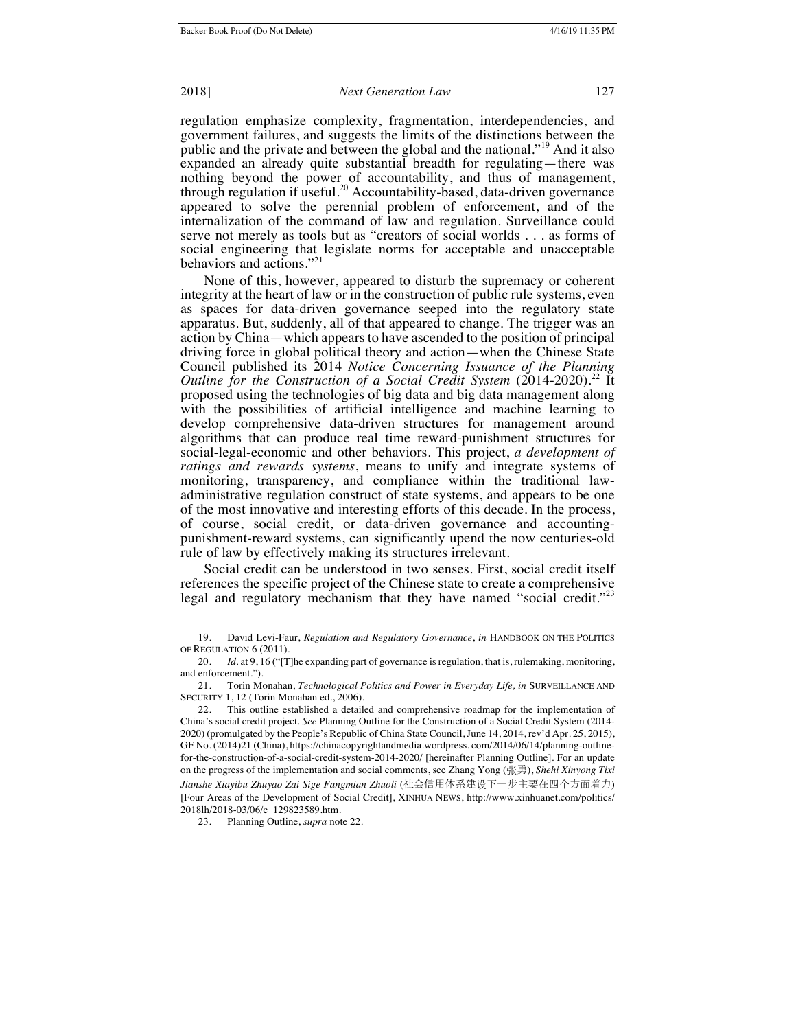regulation emphasize complexity, fragmentation, interdependencies, and government failures, and suggests the limits of the distinctions between the public and the private and between the global and the national."<sup>19</sup> And it also expanded an already quite substantial breadth for regulating—there was nothing beyond the power of accountability, and thus of management, through regulation if useful. <sup>20</sup> Accountability-based, data-driven governance appeared to solve the perennial problem of enforcement, and of the internalization of the command of law and regulation. Surveillance could serve not merely as tools but as "creators of social worlds . . . as forms of social engineering that legislate norms for acceptable and unacceptable behaviors and actions."<sup>21</sup>

None of this, however, appeared to disturb the supremacy or coherent integrity at the heart of law or in the construction of public rule systems, even as spaces for data-driven governance seeped into the regulatory state apparatus. But, suddenly, all of that appeared to change. The trigger was an action by China—which appears to have ascended to the position of principal driving force in global political theory and action—when the Chinese State Council published its 2014 *Notice Concerning Issuance of the Planning Outline for the Construction of a Social Credit System (2014-2020).*<sup>22</sup> It proposed using the technologies of big data and big data management along with the possibilities of artificial intelligence and machine learning to develop comprehensive data-driven structures for management around algorithms that can produce real time reward-punishment structures for social-legal-economic and other behaviors. This project, *a development of ratings and rewards systems*, means to unify and integrate systems of monitoring, transparency, and compliance within the traditional lawadministrative regulation construct of state systems, and appears to be one of the most innovative and interesting efforts of this decade. In the process, of course, social credit, or data-driven governance and accountingpunishment-reward systems, can significantly upend the now centuries-old rule of law by effectively making its structures irrelevant.

Social credit can be understood in two senses. First, social credit itself references the specific project of the Chinese state to create a comprehensive legal and regulatory mechanism that they have named "social credit."<sup>23</sup>

 <sup>19.</sup> David Levi-Faur, *Regulation and Regulatory Governance*, *in* HANDBOOK ON THE POLITICS OF REGULATION 6 (2011).

<sup>20.</sup> *Id.* at 9, 16 ("[T]he expanding part of governance is regulation, that is, rulemaking, monitoring, and enforcement.").

<sup>21.</sup> Torin Monahan, *Technological Politics and Power in Everyday Life, in* SURVEILLANCE AND SECURITY 1, 12 (Torin Monahan ed., 2006).

<sup>22.</sup> This outline established a detailed and comprehensive roadmap for the implementation of China's social credit project. *See* Planning Outline for the Construction of a Social Credit System (2014- 2020) (promulgated by the People's Republic of China State Council, June 14, 2014, rev'd Apr. 25, 2015), GF No. (2014)21 (China), https://chinacopyrightandmedia.wordpress. com/2014/06/14/planning-outlinefor-the-construction-of-a-social-credit-system-2014-2020/ [hereinafter Planning Outline]. For an update on the progress of the implementation and social comments, see Zhang Yong (张勇), *Shehi Xinyong Tixi Jianshe Xiayibu Zhuyao Zai Sige Fangmian Zhuoli* (社会信用体系建设下一步主要在四个方面着力) [Four Areas of the Development of Social Credit], XINHUA NEWS, http://www.xinhuanet.com/politics/ 2018lh/2018-03/06/c\_129823589.htm.

<sup>23.</sup> Planning Outline, *supra* note 22.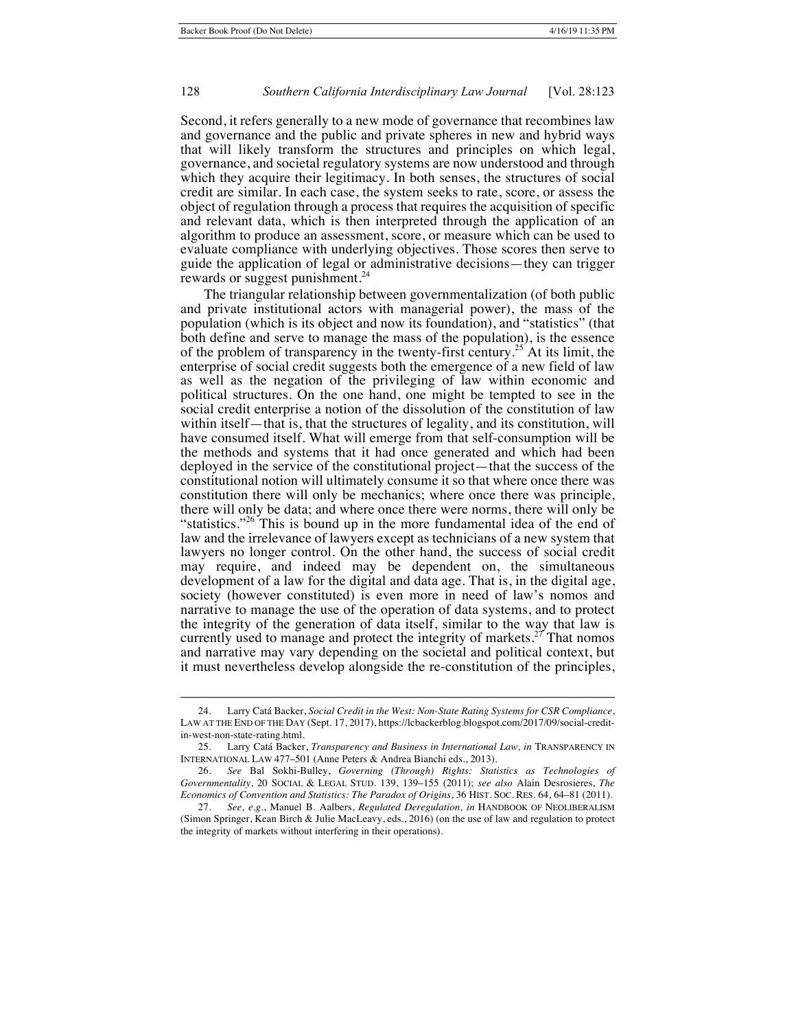Second, it refers generally to a new mode of governance that recombines law and governance and the public and private spheres in new and hybrid ways that will likely transform the structures and principles on which legal, governance, and societal regulatory systems are now understood and through which they acquire their legitimacy. In both senses, the structures of social credit are similar. In each case, the system seeks to rate, score, or assess the object of regulation through a process that requires the acquisition of specific and relevant data, which is then interpreted through the application of an algorithm to produce an assessment, score, or measure which can be used to evaluate compliance with underlying objectives. Those scores then serve to guide the application of legal or administrative decisions—they can trigger rewards or suggest punishment.<sup>24</sup>

The triangular relationship between governmentalization (of both public and private institutional actors with managerial power), the mass of the population (which is its object and now its foundation), and "statistics" (that both define and serve to manage the mass of the population), is the essence of the problem of transparency in the twenty-first century.<sup>25</sup> At its limit, the enterprise of social credit suggests both the emergence of a new field of law as well as the negation of the privileging of law within economic and political structures. On the one hand, one might be tempted to see in the social credit enterprise a notion of the dissolution of the constitution of law within itself—that is, that the structures of legality, and its constitution, will have consumed itself. What will emerge from that self-consumption will be the methods and systems that it had once generated and which had been deployed in the service of the constitutional project—that the success of the constitutional notion will ultimately consume it so that where once there was constitution there will only be mechanics; where once there was principle, there will only be data; and where once there were norms, there will only be "statistics."<sup>26</sup> This is bound up in the more fundamental idea of the end of law and the irrelevance of lawyers except as technicians of a new system that lawyers no longer control. On the other hand, the success of social credit may require, and indeed may be dependent on, the simultaneous development of a law for the digital and data age. That is, in the digital age, society (however constituted) is even more in need of law's nomos and narrative to manage the use of the operation of data systems, and to protect the integrity of the generation of data itself, similar to the way that law is currently used to manage and protect the integrity of markets.<sup>27</sup> That nomos and narrative may vary depending on the societal and political context, but it must nevertheless develop alongside the re-constitution of the principles,

 <sup>24.</sup> Larry Catá Backer, *Social Credit in the West: Non-State Rating Systems for CSR Compliance*, LAW AT THE END OF THE DAY (Sept. 17, 2017), https://lcbackerblog.blogspot.com/2017/09/social-creditin-west-non-state-rating.html.

<sup>25.</sup> Larry Catá Backer, *Transparency and Business in International Law, in* TRANSPARENCY IN INTERNATIONAL LAW 477–501 (Anne Peters & Andrea Bianchi eds., 2013).

<sup>26.</sup> *See* Bal Sokhi-Bulley, *Governing (Through) Rights: Statistics as Technologies of Governmentality*, 20 SOCIAL & LEGAL STUD. 139, 139–155 (2011); *see also* Alain Desrosieres, *The Economics of Convention and Statistics: The Paradox of Origins*, 36 HIST. SOC. RES. 64, 64–81 (2011).

<sup>27.</sup> *See, e.g*., Manuel B. Aalbers, *Regulated Deregulation, in* HANDBOOK OF NEOLIBERALISM (Simon Springer, Kean Birch & Julie MacLeavy, eds., 2016) (on the use of law and regulation to protect the integrity of markets without interfering in their operations).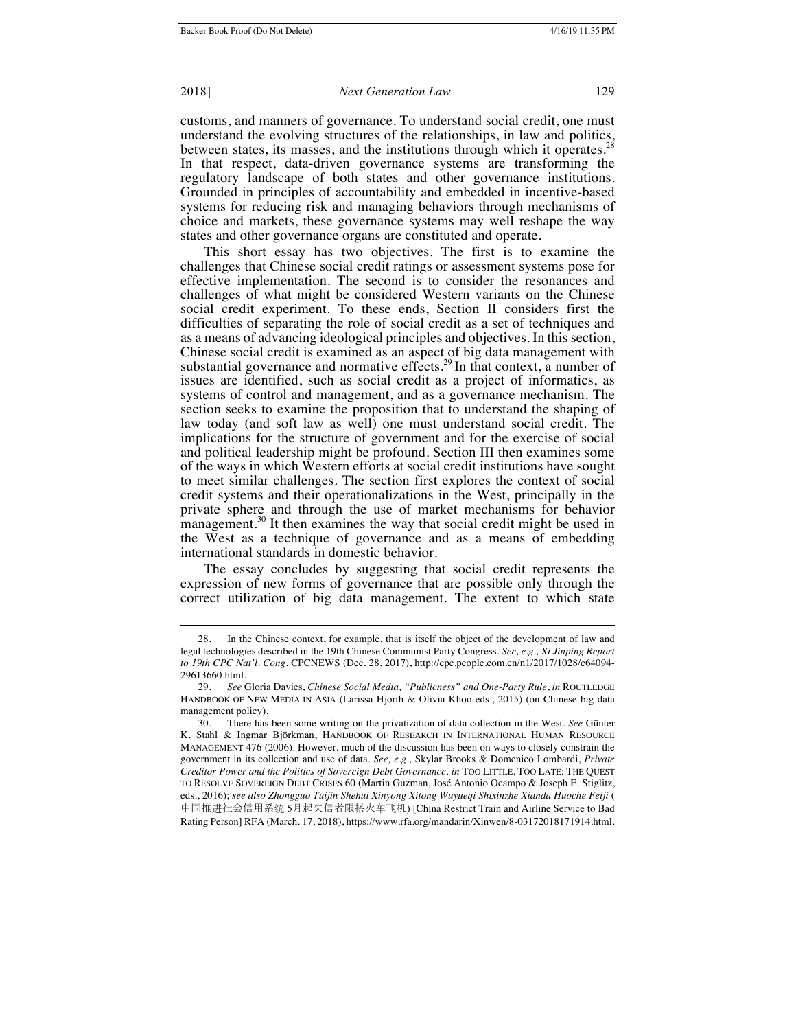customs, and manners of governance. To understand social credit, one must understand the evolving structures of the relationships, in law and politics, between states, its masses, and the institutions through which it operates.<sup>28</sup> In that respect, data-driven governance systems are transforming the regulatory landscape of both states and other governance institutions. Grounded in principles of accountability and embedded in incentive-based systems for reducing risk and managing behaviors through mechanisms of choice and markets, these governance systems may well reshape the way states and other governance organs are constituted and operate.

This short essay has two objectives. The first is to examine the challenges that Chinese social credit ratings or assessment systems pose for effective implementation. The second is to consider the resonances and challenges of what might be considered Western variants on the Chinese social credit experiment. To these ends, Section II considers first the difficulties of separating the role of social credit as a set of techniques and as a means of advancing ideological principles and objectives. In this section, Chinese social credit is examined as an aspect of big data management with substantial governance and normative effects.<sup>29</sup> In that context, a number of issues are identified, such as social credit as a project of informatics, as systems of control and management, and as a governance mechanism. The section seeks to examine the proposition that to understand the shaping of law today (and soft law as well) one must understand social credit. The implications for the structure of government and for the exercise of social and political leadership might be profound. Section III then examines some of the ways in which Western efforts at social credit institutions have sought to meet similar challenges. The section first explores the context of social credit systems and their operationalizations in the West, principally in the private sphere and through the use of market mechanisms for behavior management.<sup>30</sup> It then examines the way that social credit might be used in the West as a technique of governance and as a means of embedding international standards in domestic behavior.

The essay concludes by suggesting that social credit represents the expression of new forms of governance that are possible only through the correct utilization of big data management. The extent to which state

 <sup>28.</sup> In the Chinese context, for example, that is itself the object of the development of law and legal technologies described in the 19th Chinese Communist Party Congress. *See, e.g., Xi Jinping Report to 19th CPC Nat'l. Cong.* CPCNEWS (Dec. 28, 2017), http://cpc.people.com.cn/n1/2017/1028/c64094- 29613660.html.

<sup>29.</sup> *See* Gloria Davies, *Chinese Social Media, "Publicness" and One-Party Rule*, *in* ROUTLEDGE HANDBOOK OF NEW MEDIA IN ASIA (Larissa Hjorth & Olivia Khoo eds., 2015) (on Chinese big data management policy).<br>30. There has

<sup>30.</sup> There has been some writing on the privatization of data collection in the West. *See* Günter K. Stahl & Ingmar Björkman, HANDBOOK OF RESEARCH IN INTERNATIONAL HUMAN RESOURCE MANAGEMENT 476 (2006). However, much of the discussion has been on ways to closely constrain the government in its collection and use of data. *See, e.g.,* Skylar Brooks & Domenico Lombardi, *Private Creditor Power and the Politics of Sovereign Debt Governance, in* TOO LITTLE, TOO LATE: THE QUEST TO RESOLVE SOVEREIGN DEBT CRISES 60 (Martin Guzman, José Antonio Ocampo & Joseph E. Stiglitz, eds., 2016); *see also Zhongguo Tuijin Shehui Xinyong Xitong Wuyueqi Shixinzhe Xianda Huoche Feiji* ( 中国推进社会信用系统 5月起失信者限搭火车飞机) [China Restrict Train and Airline Service to Bad Rating Person] RFA (March. 17, 2018), https://www.rfa.org/mandarin/Xinwen/8-03172018171914.html.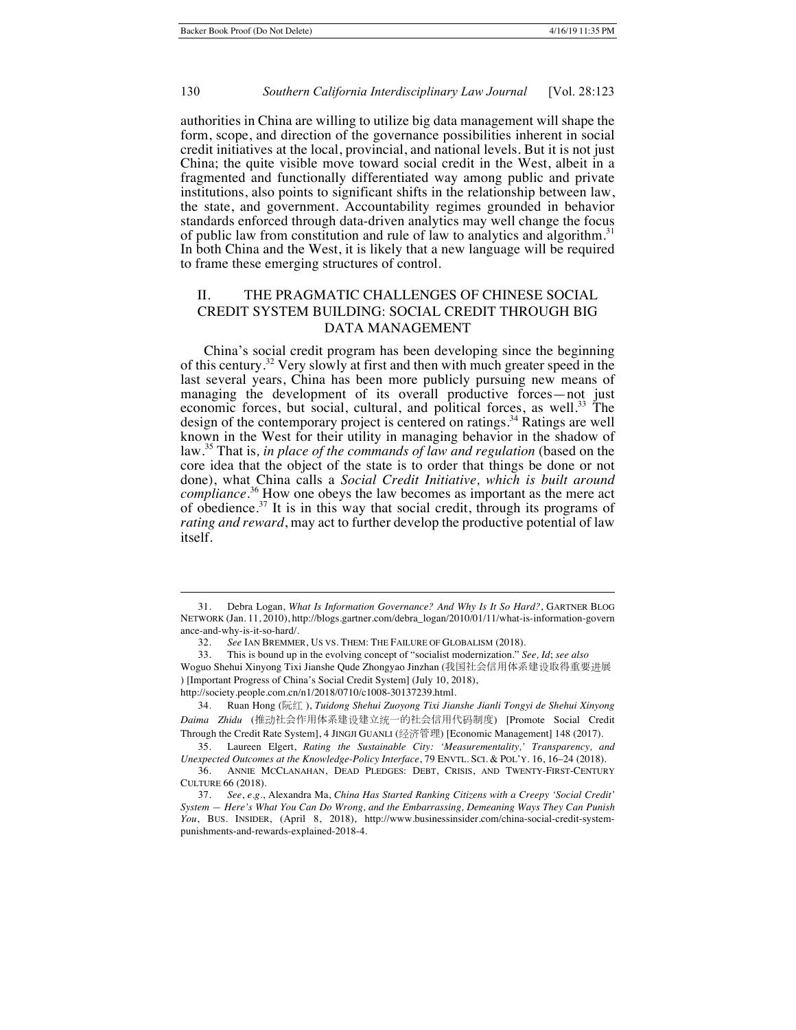authorities in China are willing to utilize big data management will shape the form, scope, and direction of the governance possibilities inherent in social credit initiatives at the local, provincial, and national levels. But it is not just China; the quite visible move toward social credit in the West, albeit in a fragmented and functionally differentiated way among public and private institutions, also points to significant shifts in the relationship between law, the state, and government. Accountability regimes grounded in behavior standards enforced through data-driven analytics may well change the focus of public law from constitution and rule of law to analytics and algorithm.<sup>31</sup> In both China and the West, it is likely that a new language will be required to frame these emerging structures of control.

# II. THE PRAGMATIC CHALLENGES OF CHINESE SOCIAL CREDIT SYSTEM BUILDING: SOCIAL CREDIT THROUGH BIG DATA MANAGEMENT

China's social credit program has been developing since the beginning of this century.<sup>32</sup> Very slowly at first and then with much greater speed in the last several years, China has been more publicly pursuing new means of managing the development of its overall productive forces—not just economic forces, but social, cultural, and political forces, as well.<sup>33</sup> The design of the contemporary project is centered on ratings.<sup>34</sup> Ratings are well known in the West for their utility in managing behavior in the shadow of law. <sup>35</sup> That is*, in place of the commands of law and regulation* (based on the core idea that the object of the state is to order that things be done or not done), what China calls a *Social Credit Initiative, which is built around compliance*.<sup>36</sup> How one obeys the law becomes as important as the mere act of obedience. $37$  It is in this way that social credit, through its programs of *rating and reward*, may act to further develop the productive potential of law itself.

 <sup>31.</sup> Debra Logan, *What Is Information Governance? And Why Is It So Hard?*, GARTNER BLOG NETWORK (Jan. 11, 2010), http://blogs.gartner.com/debra\_logan/2010/01/11/what-is-information-govern ance-and-why-is-it-so-hard/.

<sup>32</sup>*. See* IAN BREMMER, US VS. THEM: THE FAILURE OF GLOBALISM (2018).

<sup>33.</sup> This is bound up in the evolving concept of "socialist modernization." *See, Id*; *see also* Woguo Shehui Xinyong Tixi Jianshe Qude Zhongyao Jinzhan (我国社会信用体系建设取得重要进展 ) [Important Progress of China's Social Credit System] (July 10, 2018),

http://society.people.com.cn/n1/2018/0710/c1008-30137239.html.

<sup>34.</sup> Ruan Hong (阮红 ), *Tuidong Shehui Zuoyong Tixi Jianshe Jianli Tongyi de Shehui Xinyong Daima Zhidu* (推动社会作用体系建设建立统一的社会信用代码制度) [Promote Social Credit Through the Credit Rate System], 4 JINGJI GUANLI (经济管理) [Economic Management] 148 (2017).

<sup>35.</sup> Laureen Elgert, *Rating the Sustainable City: 'Measurementality,' Transparency, and Unexpected Outcomes at the Knowledge-Policy Interface*, 79 ENVTL. SCI. & POL'Y. 16, 16–24 (2018).

<sup>36.</sup> ANNIE MCCLANAHAN, DEAD PLEDGES: DEBT, CRISIS, AND TWENTY-FIRST-CENTURY CULTURE 66 (2018).

<sup>37.</sup> *See*, *e.g.*, Alexandra Ma, *China Has Started Ranking Citizens with a Creepy 'Social Credit' System — Here's What You Can Do Wrong, and the Embarrassing, Demeaning Ways They Can Punish You*, BUS. INSIDER, (April 8, 2018), http://www.businessinsider.com/china-social-credit-systempunishments-and-rewards-explained-2018-4.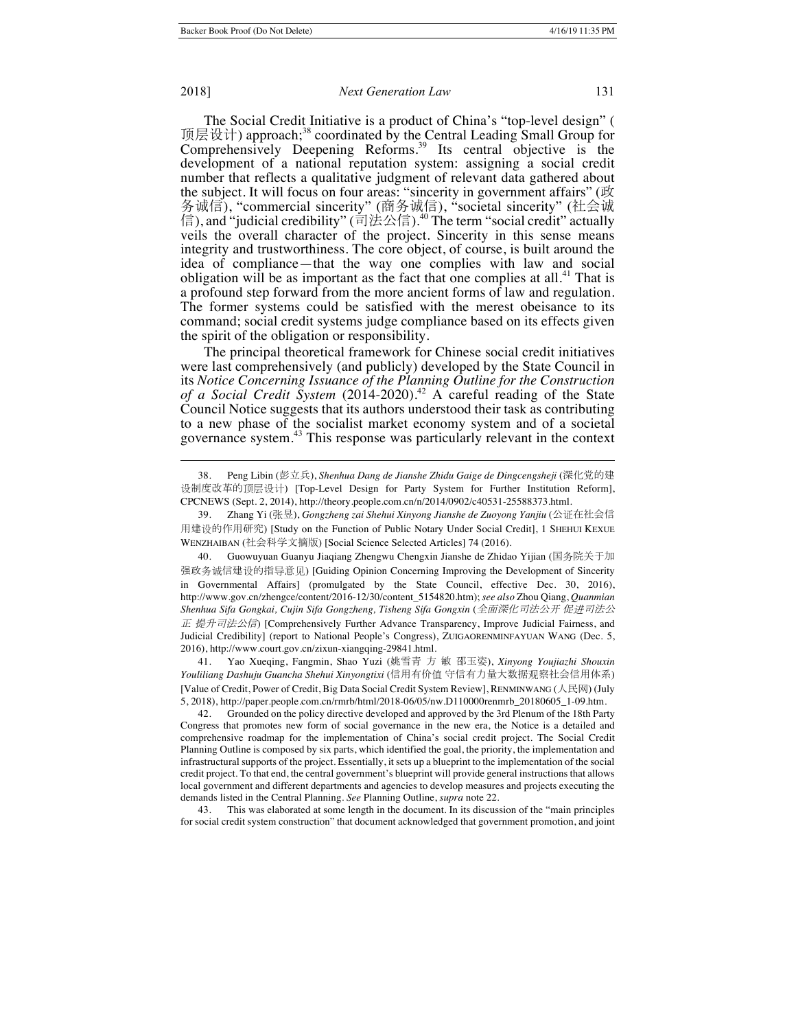The Social Credit Initiative is a product of China's "top-level design" ( 顶层设计) approach; <sup>38</sup> coordinated by the Central Leading Small Group for Comprehensively Deepening Reforms.<sup>39</sup> Its central objective is the development of a national reputation system: assigning a social credit number that reflects a qualitative judgment of relevant data gathered about the subject. It will focus on four areas: "sincerity in government affairs" (政 务诚信), "commercial sincerity" (商务诚信), "societal sincerity" (社会诚 信), and "judicial credibility" (司法公信).<sup>40</sup> The term "social credit" actually veils the overall character of the project. Sincerity in this sense means integrity and trustworthiness. The core object, of course, is built around the idea of compliance—that the way one complies with law and social obligation will be as important as the fact that one complies at all.<sup>41</sup> That is a profound step forward from the more ancient forms of law and regulation. The former systems could be satisfied with the merest obeisance to its command; social credit systems judge compliance based on its effects given the spirit of the obligation or responsibility.

The principal theoretical framework for Chinese social credit initiatives were last comprehensively (and publicly) developed by the State Council in its *Notice Concerning Issuance of the Planning Outline for the Construction of a Social Credit System* (2014-2020).<sup>42</sup> A careful reading of the State Council Notice suggests that its authors understood their task as contributing to a new phase of the socialist market economy system and of a societal governance system.<sup>43</sup> This response was particularly relevant in the context

41. Yao Xueqing, Fangmin, Shao Yuzi (姚雪青 方 敏 邵玉姿), *Xinyong Youjiazhi Shouxin Youliliang Dashuju Guancha Shehui Xinyongtixi* (信用有价值 守信有力量大数据观察社会信用体系) [Value of Credit, Power of Credit, Big Data Social Credit System Review], RENMINWANG (人民网) (July 5, 2018), http://paper.people.com.cn/rmrb/html/2018-06/05/nw.D110000renmrb\_20180605\_1-09.htm.

43. This was elaborated at some length in the document. In its discussion of the "main principles for social credit system construction" that document acknowledged that government promotion, and joint

 <sup>38.</sup> Peng Libin (彭立兵), *Shenhua Dang de Jianshe Zhidu Gaige de Dingcengsheji* (深化党的建 设制度改革的顶层设计) [Top-Level Design for Party System for Further Institution Reform], CPCNEWS (Sept. 2, 2014), http://theory.people.com.cn/n/2014/0902/c40531-25588373.html.

<sup>39.</sup> Zhang Yi (张昱), *Gongzheng zai Shehui Xinyong Jianshe de Zuoyong Yanjiu* (公证在社会信 用建设的作用研究) [Study on the Function of Public Notary Under Social Credit], 1 SHEHUI KEXUE WENZHAIBAN (社会科学文摘版) [Social Science Selected Articles] 74 (2016).

<sup>40.</sup> Guowuyuan Guanyu Jiaqiang Zhengwu Chengxin Jianshe de Zhidao Yijian (国务院关于加 强政务诚信建设的指导意见) [Guiding Opinion Concerning Improving the Development of Sincerity in Governmental Affairs] (promulgated by the State Council, effective Dec. 30, 2016), http://www.gov.cn/zhengce/content/2016-12/30/content\_5154820.htm); *see also* Zhou Qiang, *Quanmian Shenhua Sifa Gongkai, Cujin Sifa Gongzheng, Tisheng Sifa Gongxin* (全面深化司法公开 促进司法公 正 提升司法公信) [Comprehensively Further Advance Transparency, Improve Judicial Fairness, and Judicial Credibility] (report to National People's Congress), ZUIGAORENMINFAYUAN WANG (Dec. 5, 2016), http://www.court.gov.cn/zixun-xiangqing-29841.html.

<sup>42.</sup> Grounded on the policy directive developed and approved by the 3rd Plenum of the 18th Party Congress that promotes new form of social governance in the new era, the Notice is a detailed and comprehensive roadmap for the implementation of China's social credit project. The Social Credit Planning Outline is composed by six parts, which identified the goal, the priority, the implementation and infrastructural supports of the project. Essentially, it sets up a blueprint to the implementation of the social credit project. To that end, the central government's blueprint will provide general instructions that allows local government and different departments and agencies to develop measures and projects executing the demands listed in the Central Planning. *See* Planning Outline, *supra* note 22.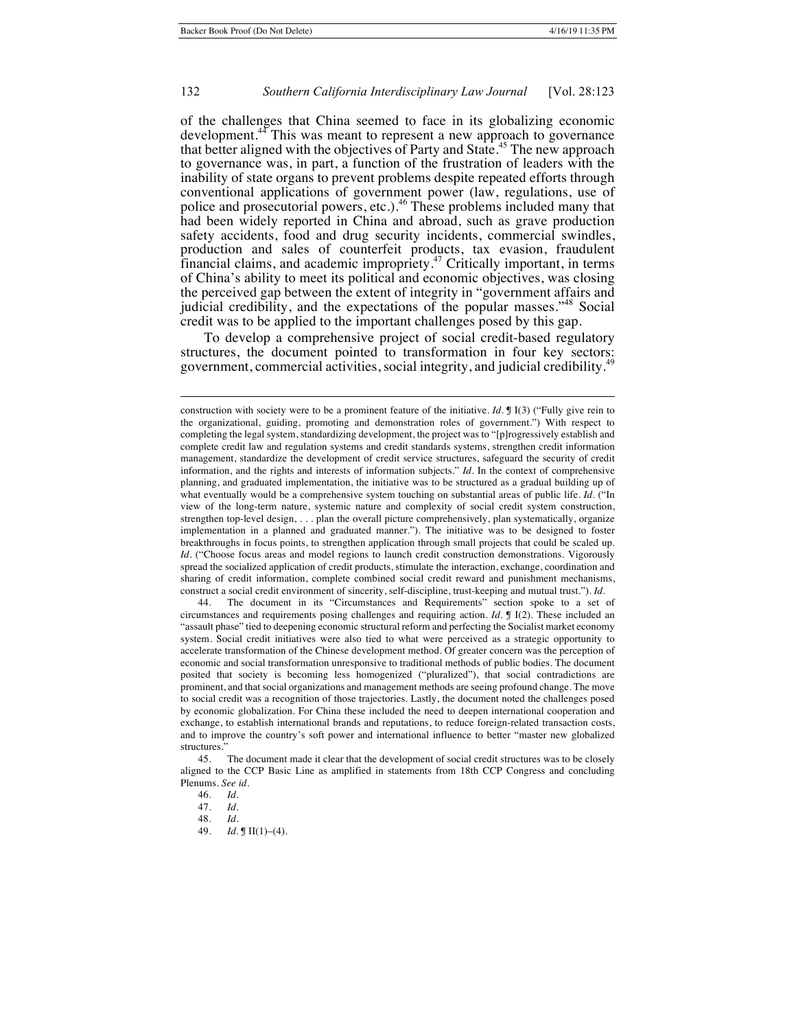of the challenges that China seemed to face in its globalizing economic development.<sup>44</sup> This was meant to represent a new approach to governance that better aligned with the objectives of Party and State.<sup>45</sup> The new approach to governance was, in part, a function of the frustration of leaders with the inability of state organs to prevent problems despite repeated efforts through conventional applications of government power (law, regulations, use of police and prosecutorial powers, etc.).<sup>46</sup> These problems included many that had been widely reported in China and abroad, such as grave production safety accidents, food and drug security incidents, commercial swindles, production and sales of counterfeit products, tax evasion, fraudulent financial claims, and academic impropriety.<sup>47</sup> Critically important, in terms of China's ability to meet its political and economic objectives, was closing the perceived gap between the extent of integrity in "government affairs and judicial credibility, and the expectations of the popular masses."<sup>48</sup> Social credit was to be applied to the important challenges posed by this gap.

To develop a comprehensive project of social credit-based regulatory structures, the document pointed to transformation in four key sectors: government, commercial activities, social integrity, and judicial credibility.<sup>49</sup>

44. The document in its "Circumstances and Requirements" section spoke to a set of circumstances and requirements posing challenges and requiring action. *Id.* ¶ I(2). These included an "assault phase" tied to deepening economic structural reform and perfecting the Socialist market economy system. Social credit initiatives were also tied to what were perceived as a strategic opportunity to accelerate transformation of the Chinese development method. Of greater concern was the perception of economic and social transformation unresponsive to traditional methods of public bodies. The document posited that society is becoming less homogenized ("pluralized"), that social contradictions are prominent, and that social organizations and management methods are seeing profound change. The move to social credit was a recognition of those trajectories. Lastly, the document noted the challenges posed by economic globalization. For China these included the need to deepen international cooperation and exchange, to establish international brands and reputations, to reduce foreign-related transaction costs, and to improve the country's soft power and international influence to better "master new globalized structures."

45. The document made it clear that the development of social credit structures was to be closely aligned to the CCP Basic Line as amplified in statements from 18th CCP Congress and concluding Plenums. *See id.*

49. *Id.* ¶ II(1)–(4).

construction with society were to be a prominent feature of the initiative. *Id.* ¶ I(3) ("Fully give rein to the organizational, guiding, promoting and demonstration roles of government.") With respect to completing the legal system, standardizing development, the project was to "[p]rogressively establish and complete credit law and regulation systems and credit standards systems, strengthen credit information management, standardize the development of credit service structures, safeguard the security of credit information, and the rights and interests of information subjects." *Id.* In the context of comprehensive planning, and graduated implementation, the initiative was to be structured as a gradual building up of what eventually would be a comprehensive system touching on substantial areas of public life. *Id.* ("In view of the long-term nature, systemic nature and complexity of social credit system construction, strengthen top-level design, . . . plan the overall picture comprehensively, plan systematically, organize implementation in a planned and graduated manner."). The initiative was to be designed to foster breakthroughs in focus points, to strengthen application through small projects that could be scaled up. *Id.* ("Choose focus areas and model regions to launch credit construction demonstrations. Vigorously spread the socialized application of credit products, stimulate the interaction, exchange, coordination and sharing of credit information, complete combined social credit reward and punishment mechanisms, construct a social credit environment of sincerity, self-discipline, trust-keeping and mutual trust."). *Id.*

<sup>46.</sup> *Id.*

<sup>47.</sup> *Id.*

<sup>48.</sup> *Id.*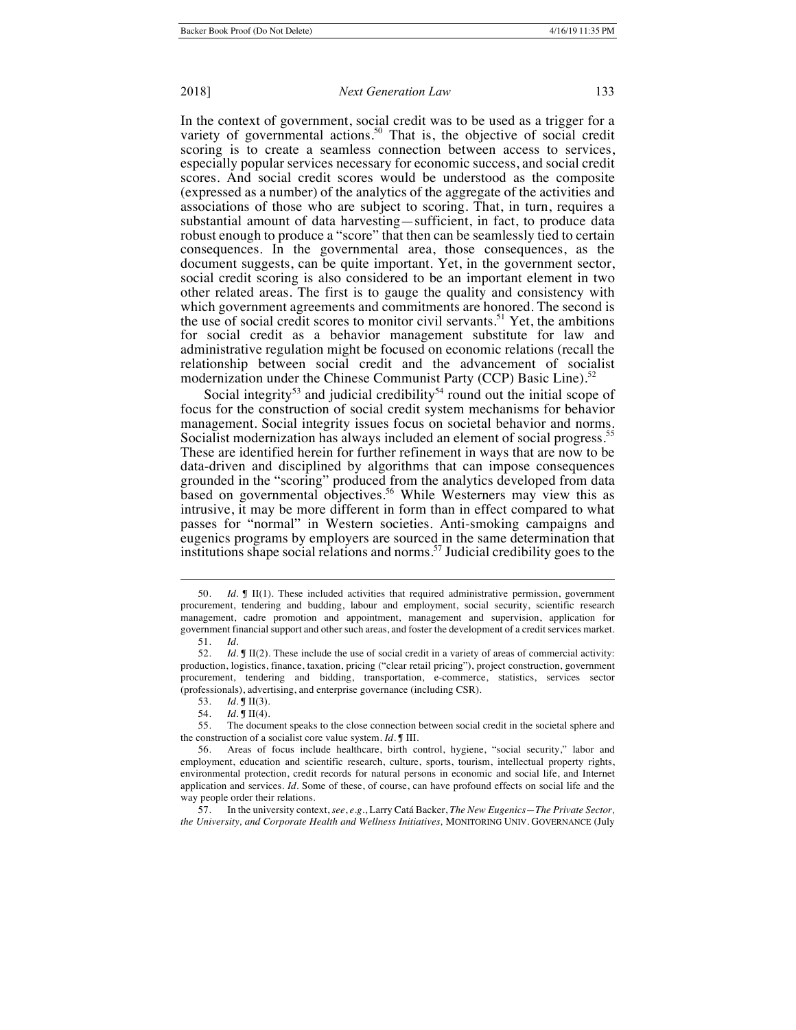In the context of government, social credit was to be used as a trigger for a variety of governmental actions.<sup>50</sup> That is, the objective of social credit scoring is to create a seamless connection between access to services, especially popular services necessary for economic success, and social credit scores. And social credit scores would be understood as the composite (expressed as a number) of the analytics of the aggregate of the activities and associations of those who are subject to scoring. That, in turn, requires a substantial amount of data harvesting—sufficient, in fact, to produce data robust enough to produce a "score" that then can be seamlessly tied to certain consequences. In the governmental area, those consequences, as the document suggests, can be quite important. Yet, in the government sector, social credit scoring is also considered to be an important element in two other related areas. The first is to gauge the quality and consistency with which government agreements and commitments are honored. The second is the use of social credit scores to monitor civil servants.<sup>51</sup> Yet, the ambitions for social credit as a behavior management substitute for law and administrative regulation might be focused on economic relations (recall the relationship between social credit and the advancement of socialist modernization under the Chinese Communist Party (CCP) Basic Line).<sup>52</sup>

Social integrity<sup>53</sup> and judicial credibility<sup>54</sup> round out the initial scope of focus for the construction of social credit system mechanisms for behavior management. Social integrity issues focus on societal behavior and norms. Socialist modernization has always included an element of social progress.<sup>55</sup> These are identified herein for further refinement in ways that are now to be data-driven and disciplined by algorithms that can impose consequences grounded in the "scoring" produced from the analytics developed from data based on governmental objectives.<sup>56</sup> While Westerners may view this as intrusive, it may be more different in form than in effect compared to what passes for "normal" in Western societies. Anti-smoking campaigns and eugenics programs by employers are sourced in the same determination that institutions shape social relations and norms.<sup>57</sup> Judicial credibility goes to the

54.  $Id. \mathbb{I}$  II(4).

55. The document speaks to the close connection between social credit in the societal sphere and the construction of a socialist core value system. *Id*. ¶ III.

57. In the university context, *see*, *e.g.*, Larry Catá Backer, *The New Eugenics—The Private Sector, the University, and Corporate Health and Wellness Initiatives,* MONITORING UNIV. GOVERNANCE (July

 <sup>50.</sup> *Id.* ¶ II(1). These included activities that required administrative permission, government procurement, tendering and budding, labour and employment, social security, scientific research management, cadre promotion and appointment, management and supervision, application for government financial support and other such areas, and foster the development of a credit services market. 51. *Id.*

<sup>52.</sup> *Id.* ¶ II(2). These include the use of social credit in a variety of areas of commercial activity: production, logistics, finance, taxation, pricing ("clear retail pricing"), project construction, government procurement, tendering and bidding, transportation, e-commerce, statistics, services sector (professionals), advertising, and enterprise governance (including CSR).

<sup>53.</sup> *Id*. ¶ II(3).

<sup>56.</sup> Areas of focus include healthcare, birth control, hygiene, "social security," labor and employment, education and scientific research, culture, sports, tourism, intellectual property rights, environmental protection, credit records for natural persons in economic and social life, and Internet application and services. *Id.* Some of these, of course, can have profound effects on social life and the way people order their relations.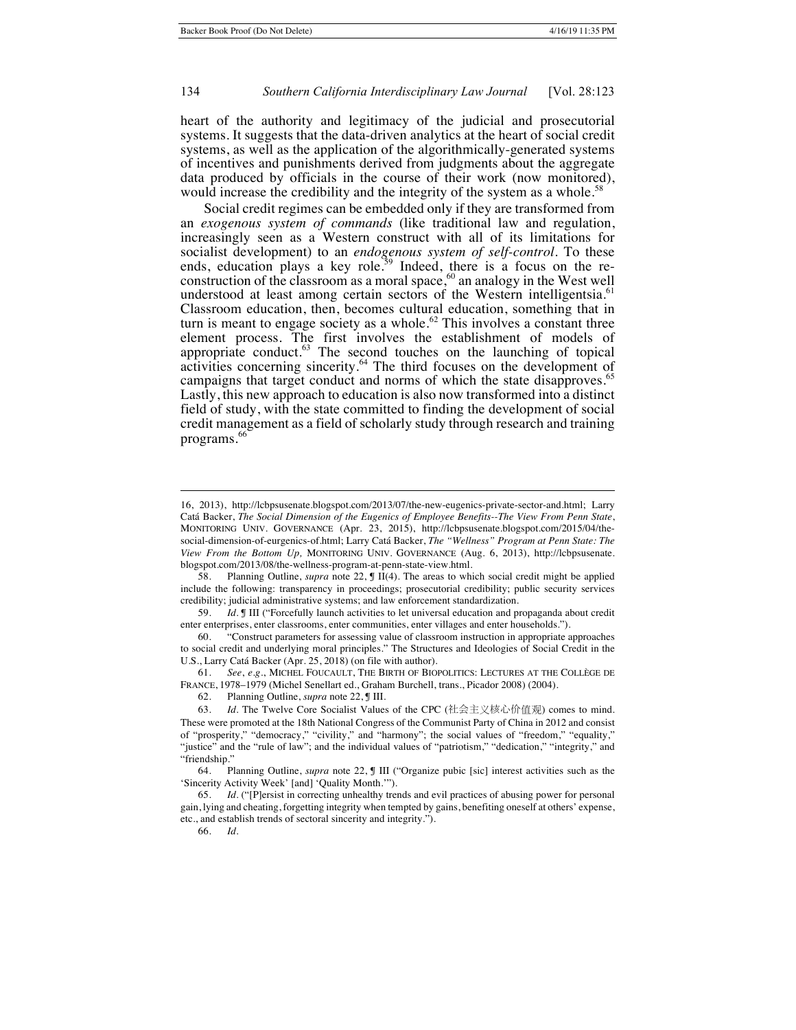heart of the authority and legitimacy of the judicial and prosecutorial systems. It suggests that the data-driven analytics at the heart of social credit systems, as well as the application of the algorithmically-generated systems of incentives and punishments derived from judgments about the aggregate data produced by officials in the course of their work (now monitored), would increase the credibility and the integrity of the system as a whole.<sup>58</sup>

Social credit regimes can be embedded only if they are transformed from an *exogenous system of commands* (like traditional law and regulation, increasingly seen as a Western construct with all of its limitations for socialist development) to an *endogenous system of self-control*. To these ends, education plays a key role.<sup>59</sup> Indeed, there is a focus on the reconstruction of the classroom as a moral space,<sup>60</sup> an analogy in the West well understood at least among certain sectors of the Western intelligentsia.<sup>61</sup> Classroom education, then, becomes cultural education, something that in turn is meant to engage society as a whole. $62$  This involves a constant three element process. The first involves the establishment of models of appropriate conduct. $63$  The second touches on the launching of topical activities concerning sincerity.<sup>64</sup> The third focuses on the development of campaigns that target conduct and norms of which the state disapproves.<sup>65</sup> Lastly, this new approach to education is also now transformed into a distinct field of study, with the state committed to finding the development of social credit management as a field of scholarly study through research and training programs.<sup>66</sup>

 <sup>16, 2013),</sup> http://lcbpsusenate.blogspot.com/2013/07/the-new-eugenics-private-sector-and.html; Larry Catá Backer, *The Social Dimension of the Eugenics of Employee Benefits--The View From Penn State*, MONITORING UNIV. GOVERNANCE (Apr. 23, 2015), http://lcbpsusenate.blogspot.com/2015/04/thesocial-dimension-of-eurgenics-of.html; Larry Catá Backer, *The "Wellness" Program at Penn State: The View From the Bottom Up,* MONITORING UNIV. GOVERNANCE (Aug. 6, 2013), http://lcbpsusenate. blogspot.com/2013/08/the-wellness-program-at-penn-state-view.html.

<sup>58.</sup> Planning Outline, *supra* note 22, ¶ II(4). The areas to which social credit might be applied include the following: transparency in proceedings; prosecutorial credibility; public security services credibility; judicial administrative systems; and law enforcement standardization.

<sup>59.</sup> *Id.* ¶ III ("Forcefully launch activities to let universal education and propaganda about credit enter enterprises, enter classrooms, enter communities, enter villages and enter households.").

<sup>60.</sup> "Construct parameters for assessing value of classroom instruction in appropriate approaches to social credit and underlying moral principles." The Structures and Ideologies of Social Credit in the U.S., Larry Catá Backer (Apr. 25, 2018) (on file with author).

<sup>61.</sup> *See*, *e.g*., MICHEL FOUCAULT, THE BIRTH OF BIOPOLITICS: LECTURES AT THE COLLÈGE DE FRANCE, 1978–1979 (Michel Senellart ed., Graham Burchell, trans., Picador 2008) (2004).

<sup>62.</sup> Planning Outline, *supra* note 22, ¶ III.

<sup>63.</sup> *Id.* The Twelve Core Socialist Values of the CPC (社会主义核心价值观) comes to mind. These were promoted at the 18th National Congress of the Communist Party of China in 2012 and consist of "prosperity," "democracy," "civility," and "harmony"; the social values of "freedom," "equality," "justice" and the "rule of law"; and the individual values of "patriotism," "dedication," "integrity," and "friendship."

<sup>64.</sup> Planning Outline, *supra* note 22, ¶ III ("Organize pubic [sic] interest activities such as the 'Sincerity Activity Week' [and] 'Quality Month.'").

<sup>65.</sup> *Id.* ("[P]ersist in correcting unhealthy trends and evil practices of abusing power for personal gain, lying and cheating, forgetting integrity when tempted by gains, benefiting oneself at others' expense, etc., and establish trends of sectoral sincerity and integrity.").

<sup>66.</sup> *Id.*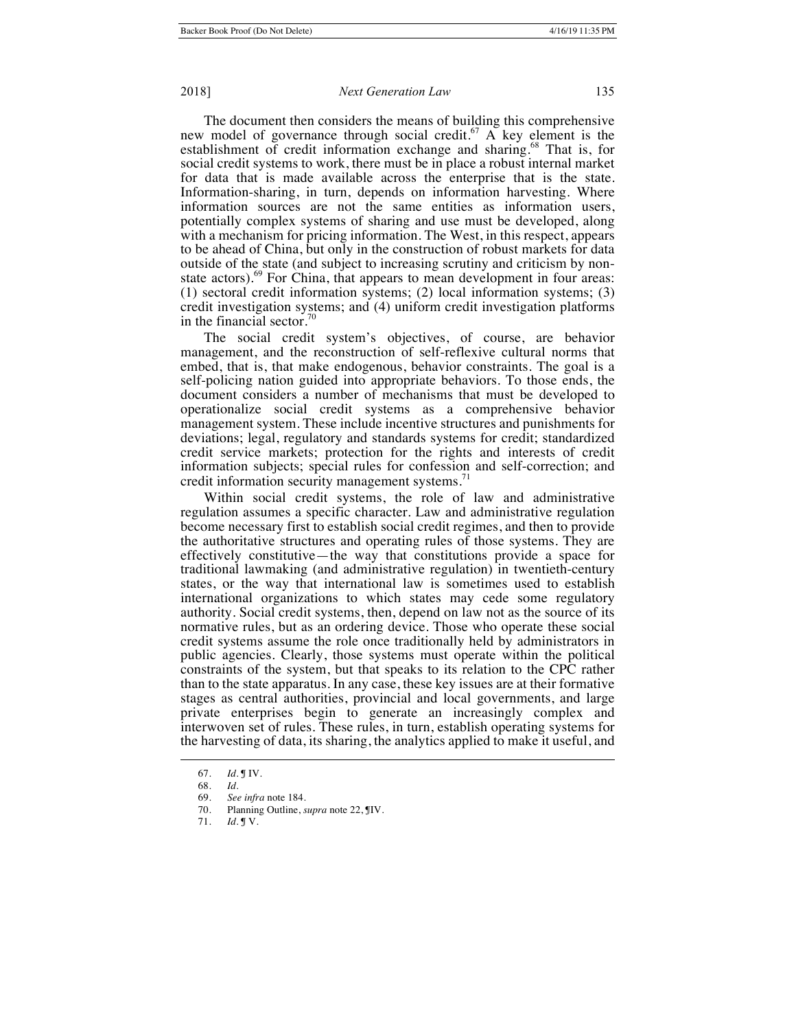The document then considers the means of building this comprehensive new model of governance through social credit.<sup>67</sup> A key element is the establishment of credit information exchange and sharing.<sup>68</sup> That is, for social credit systems to work, there must be in place a robust internal market for data that is made available across the enterprise that is the state. Information-sharing, in turn, depends on information harvesting. Where information sources are not the same entities as information users, potentially complex systems of sharing and use must be developed, along with a mechanism for pricing information. The West, in this respect, appears to be ahead of China, but only in the construction of robust markets for data outside of the state (and subject to increasing scrutiny and criticism by nonstate actors).<sup>69</sup> For China, that appears to mean development in four areas: (1) sectoral credit information systems; (2) local information systems; (3) credit investigation systems; and (4) uniform credit investigation platforms in the financial sector.<sup>70</sup>

The social credit system's objectives, of course, are behavior management, and the reconstruction of self-reflexive cultural norms that embed, that is, that make endogenous, behavior constraints. The goal is a self-policing nation guided into appropriate behaviors. To those ends, the document considers a number of mechanisms that must be developed to operationalize social credit systems as a comprehensive behavior management system. These include incentive structures and punishments for deviations; legal, regulatory and standards systems for credit; standardized credit service markets; protection for the rights and interests of credit information subjects; special rules for confession and self-correction; and credit information security management systems.<sup>71</sup>

Within social credit systems, the role of law and administrative regulation assumes a specific character. Law and administrative regulation become necessary first to establish social credit regimes, and then to provide the authoritative structures and operating rules of those systems. They are effectively constitutive—the way that constitutions provide a space for traditional lawmaking (and administrative regulation) in twentieth-century states, or the way that international law is sometimes used to establish international organizations to which states may cede some regulatory authority. Social credit systems, then, depend on law not as the source of its normative rules, but as an ordering device. Those who operate these social credit systems assume the role once traditionally held by administrators in public agencies. Clearly, those systems must operate within the political constraints of the system, but that speaks to its relation to the CPC rather than to the state apparatus. In any case, these key issues are at their formative stages as central authorities, provincial and local governments, and large private enterprises begin to generate an increasingly complex and interwoven set of rules. These rules, in turn, establish operating systems for the harvesting of data, its sharing, the analytics applied to make it useful, and

 <sup>67.</sup> *Id.* ¶ IV.

<sup>68.</sup> *Id.*

<sup>69.</sup> *See infra* note 184.

<sup>70.</sup> Planning Outline, *supra* note 22, JIV.

<sup>71.</sup> *Id.* ¶ V.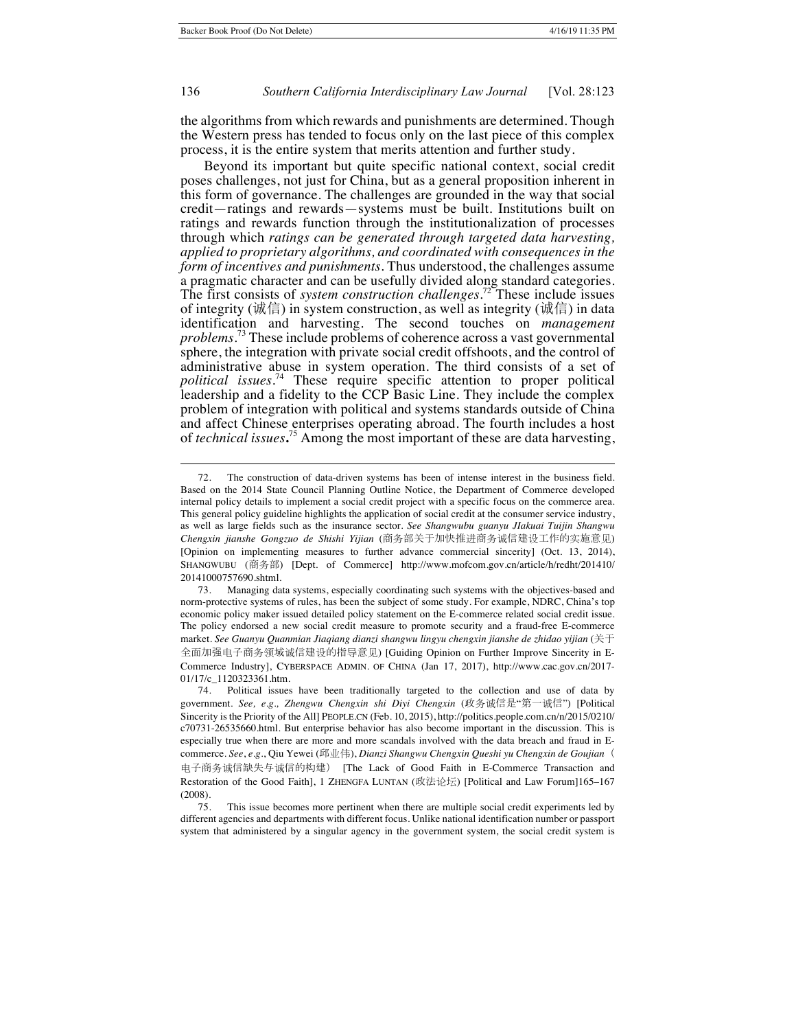the algorithms from which rewards and punishments are determined. Though the Western press has tended to focus only on the last piece of this complex process, it is the entire system that merits attention and further study.

Beyond its important but quite specific national context, social credit poses challenges, not just for China, but as a general proposition inherent in this form of governance. The challenges are grounded in the way that social credit—ratings and rewards—systems must be built. Institutions built on ratings and rewards function through the institutionalization of processes through which *ratings can be generated through targeted data harvesting, applied to proprietary algorithms, and coordinated with consequences in the form of incentives and punishments.* Thus understood, the challenges assume a pragmatic character and can be usefully divided along standard categories. The first consists of *system construction challenges*. <sup>72</sup> These include issues of integrity (诚信) in system construction, as well as integrity (诚信) in data identification and harvesting. The second touches on *management problems*. <sup>73</sup> These include problems of coherence across a vast governmental sphere, the integration with private social credit offshoots, and the control of administrative abuse in system operation. The third consists of a set of *political issues*. <sup>74</sup> These require specific attention to proper political leadership and a fidelity to the CCP Basic Line. They include the complex problem of integration with political and systems standards outside of China and affect Chinese enterprises operating abroad. The fourth includes a host of *technical issues***.** <sup>75</sup> Among the most important of these are data harvesting,

 <sup>72.</sup> The construction of data-driven systems has been of intense interest in the business field. Based on the 2014 State Council Planning Outline Notice, the Department of Commerce developed internal policy details to implement a social credit project with a specific focus on the commerce area. This general policy guideline highlights the application of social credit at the consumer service industry, as well as large fields such as the insurance sector. *See Shangwubu guanyu JIakuai Tuijin Shangwu Chengxin jianshe Gongzuo de Shishi Yijian* (商务部关于加快推进商务诚信建设工作的实施意见) [Opinion on implementing measures to further advance commercial sincerity] (Oct. 13, 2014), SHANGWUBU (商务部) [Dept. of Commerce] http://www.mofcom.gov.cn/article/h/redht/201410/ 20141000757690.shtml.

<sup>73.</sup> Managing data systems, especially coordinating such systems with the objectives-based and norm-protective systems of rules, has been the subject of some study. For example, NDRC, China's top economic policy maker issued detailed policy statement on the E-commerce related social credit issue. The policy endorsed a new social credit measure to promote security and a fraud-free E-commerce market. *See Guanyu Quanmian Jiaqiang dianzi shangwu lingyu chengxin jianshe de zhidao yijian* (关于 全面加强电子商务领域诚信建设的指导意见) [Guiding Opinion on Further Improve Sincerity in E-Commerce Industry], CYBERSPACE ADMIN. OF CHINA (Jan 17, 2017), http://www.cac.gov.cn/2017- 01/17/c\_1120323361.htm.

<sup>74.</sup> Political issues have been traditionally targeted to the collection and use of data by government. *See, e.g., Zhengwu Chengxin shi Diyi Chengxin* (政务诚信是"第一诚信") [Political Sincerity is the Priority of the All] PEOPLE.CN (Feb. 10, 2015), http://politics.people.com.cn/n/2015/0210/ c70731-26535660.html. But enterprise behavior has also become important in the discussion. This is especially true when there are more and more scandals involved with the data breach and fraud in Ecommerce. *See*, *e.g.*, Qiu Yewei (邱业伟), *Dianzi Shangwu Chengxin Queshi yu Chengxin de Goujian*( 电子商务诚信缺失与诚信的构建) [The Lack of Good Faith in E-Commerce Transaction and Restoration of the Good Faith], 1 ZHENGFA LUNTAN (政法论坛) [Political and Law Forum]165–167  $(2008)$ .

This issue becomes more pertinent when there are multiple social credit experiments led by different agencies and departments with different focus. Unlike national identification number or passport system that administered by a singular agency in the government system, the social credit system is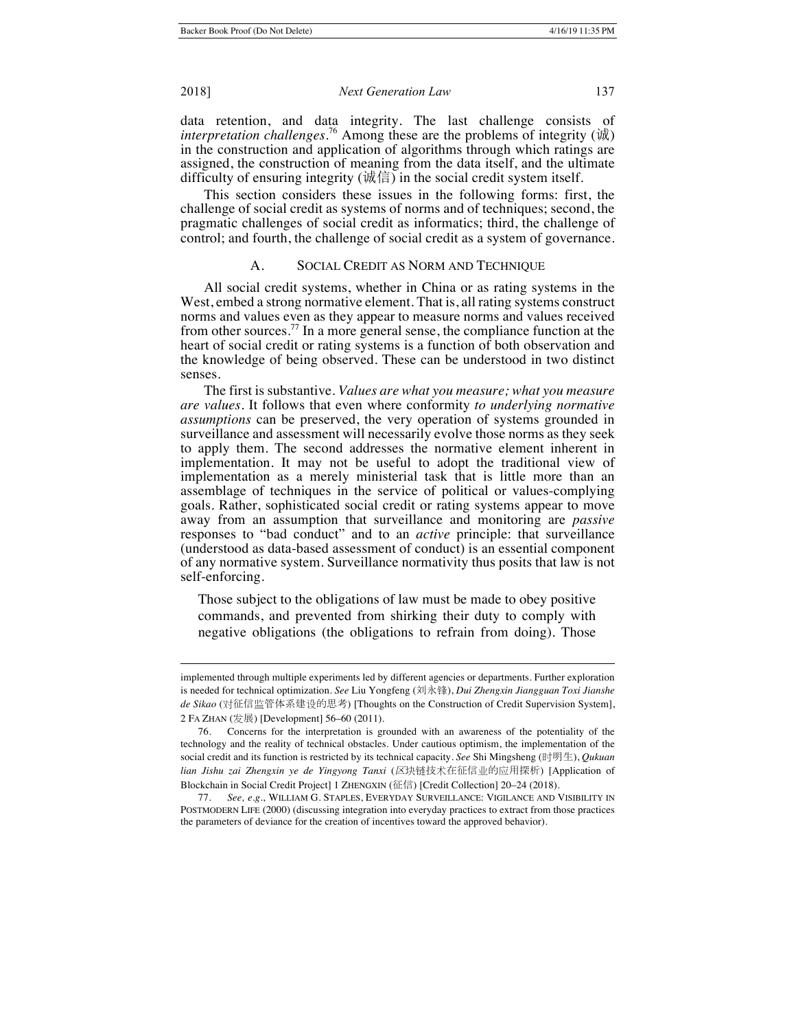data retention, and data integrity. The last challenge consists of *interpretation challenges*. <sup>76</sup> Among these are the problems of integrity (诚) in the construction and application of algorithms through which ratings are assigned, the construction of meaning from the data itself, and the ultimate difficulty of ensuring integrity (诚信) in the social credit system itself.

This section considers these issues in the following forms: first, the challenge of social credit as systems of norms and of techniques; second, the pragmatic challenges of social credit as informatics; third, the challenge of control; and fourth, the challenge of social credit as a system of governance.

# A. SOCIAL CREDIT AS NORM AND TECHNIQUE

All social credit systems, whether in China or as rating systems in the West, embed a strong normative element. That is, all rating systems construct norms and values even as they appear to measure norms and values received from other sources.<sup>77</sup> In a more general sense, the compliance function at the heart of social credit or rating systems is a function of both observation and the knowledge of being observed. These can be understood in two distinct senses.

The first is substantive. *Values are what you measure; what you measure are values*. It follows that even where conformity *to underlying normative assumptions* can be preserved, the very operation of systems grounded in surveillance and assessment will necessarily evolve those norms as they seek to apply them. The second addresses the normative element inherent in implementation. It may not be useful to adopt the traditional view of implementation as a merely ministerial task that is little more than an assemblage of techniques in the service of political or values-complying goals. Rather, sophisticated social credit or rating systems appear to move away from an assumption that surveillance and monitoring are *passive* responses to "bad conduct" and to an *active* principle: that surveillance (understood as data-based assessment of conduct) is an essential component of any normative system. Surveillance normativity thus posits that law is not self-enforcing.

Those subject to the obligations of law must be made to obey positive commands, and prevented from shirking their duty to comply with negative obligations (the obligations to refrain from doing). Those

implemented through multiple experiments led by different agencies or departments. Further exploration is needed for technical optimization. *See* Liu Yongfeng (刘永锋), *Dui Zhengxin Jiangguan Toxi Jianshe de Sikao* (对征信监管体系建设的思考) [Thoughts on the Construction of Credit Supervision System], 2 FA ZHAN (发展) [Development] 56–60 (2011).

<sup>76.</sup> Concerns for the interpretation is grounded with an awareness of the potentiality of the technology and the reality of technical obstacles. Under cautious optimism, the implementation of the social credit and its function is restricted by its technical capacity. *See* Shi Mingsheng (时明生), *Qukuan lian Jishu zai Zhengxin ye de Yingyong Tanxi* (区块链技术在征信业的应用探析) [Application of Blockchain in Social Credit Project] 1 ZHENGXIN (征信) [Credit Collection] 20–24 (2018).

<sup>77.</sup> *See, e.g.*, WILLIAM G. STAPLES, EVERYDAY SURVEILLANCE: VIGILANCE AND VISIBILITY IN POSTMODERN LIFE (2000) (discussing integration into everyday practices to extract from those practices the parameters of deviance for the creation of incentives toward the approved behavior).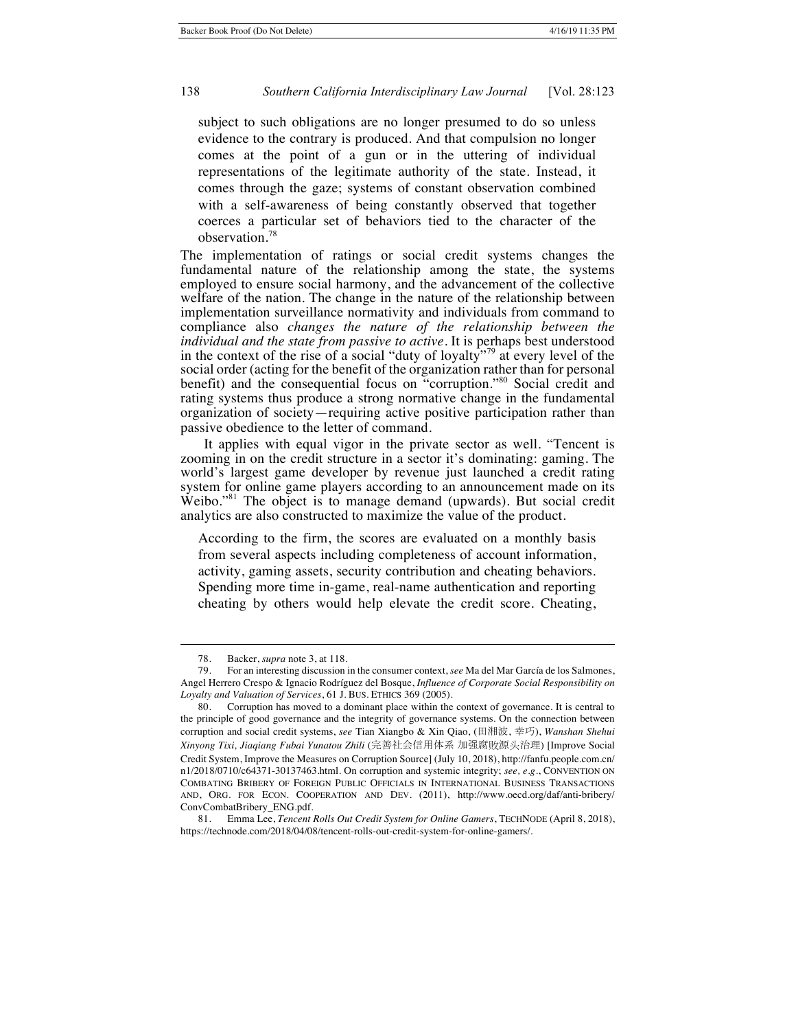subject to such obligations are no longer presumed to do so unless evidence to the contrary is produced. And that compulsion no longer comes at the point of a gun or in the uttering of individual representations of the legitimate authority of the state. Instead, it comes through the gaze; systems of constant observation combined with a self-awareness of being constantly observed that together coerces a particular set of behaviors tied to the character of the observation.<sup>78</sup>

The implementation of ratings or social credit systems changes the fundamental nature of the relationship among the state, the systems employed to ensure social harmony, and the advancement of the collective welfare of the nation. The change in the nature of the relationship between implementation surveillance normativity and individuals from command to compliance also *changes the nature of the relationship between the individual and the state from passive to active*. It is perhaps best understood in the context of the rise of a social "duty of loyalty"<sup>79</sup> at every level of the social order (acting for the benefit of the organization rather than for personal benefit) and the consequential focus on "corruption."<sup>80</sup> Social credit and rating systems thus produce a strong normative change in the fundamental organization of society—requiring active positive participation rather than passive obedience to the letter of command.

It applies with equal vigor in the private sector as well. "Tencent is zooming in on the credit structure in a sector it's dominating: gaming. The world's largest game developer by revenue just launched a credit rating system for online game players according to an announcement made on its Weibo."<sup>81</sup> The object is to manage demand (upwards). But social credit analytics are also constructed to maximize the value of the product.

According to the firm, the scores are evaluated on a monthly basis from several aspects including completeness of account information, activity, gaming assets, security contribution and cheating behaviors. Spending more time in-game, real-name authentication and reporting cheating by others would help elevate the credit score. Cheating,

 <sup>78.</sup> Backer, *supra* note 3, at 118.

<sup>79.</sup> For an interesting discussion in the consumer context, *see* Ma del Mar García de los Salmones, Angel Herrero Crespo & Ignacio Rodríguez del Bosque, *Influence of Corporate Social Responsibility on Loyalty and Valuation of Services*, 61 J. BUS. ETHICS 369 (2005).

Corruption has moved to a dominant place within the context of governance. It is central to the principle of good governance and the integrity of governance systems. On the connection between corruption and social credit systems, *see* Tian Xiangbo & Xin Qiao, (田湘波, 幸巧), *Wanshan Shehui Xinyong Tixi, Jiaqiang Fubai Yunatou Zhili* (完善社会信用体系 加强腐败源头治理) [Improve Social Credit System, Improve the Measures on Corruption Source] (July 10, 2018), http://fanfu.people.com.cn/ n1/2018/0710/c64371-30137463.html. On corruption and systemic integrity; *see, e.g.*, CONVENTION ON COMBATING BRIBERY OF FOREIGN PUBLIC OFFICIALS IN INTERNATIONAL BUSINESS TRANSACTIONS AND, ORG. FOR ECON. COOPERATION AND DEV. (2011), http://www.oecd.org/daf/anti-bribery/ ConvCombatBribery\_ENG.pdf.

<sup>81.</sup> Emma Lee, *Tencent Rolls Out Credit System for Online Gamers*, TECHNODE (April 8, 2018), https://technode.com/2018/04/08/tencent-rolls-out-credit-system-for-online-gamers/.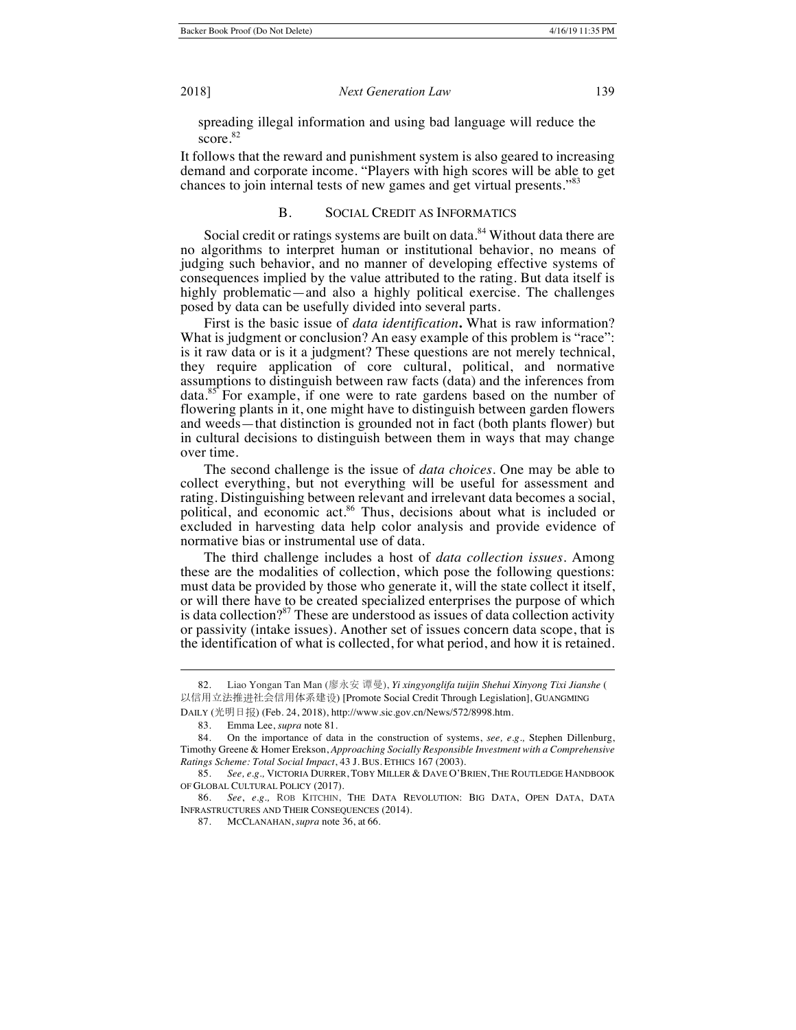spreading illegal information and using bad language will reduce the score.<sup>82</sup>

It follows that the reward and punishment system is also geared to increasing demand and corporate income. "Players with high scores will be able to get chances to join internal tests of new games and get virtual presents."<sup>8</sup>

### B. SOCIAL CREDIT AS INFORMATICS

Social credit or ratings systems are built on data.<sup>84</sup> Without data there are no algorithms to interpret human or institutional behavior, no means of judging such behavior, and no manner of developing effective systems of consequences implied by the value attributed to the rating. But data itself is highly problematic—and also a highly political exercise. The challenges posed by data can be usefully divided into several parts.

First is the basic issue of *data identification***.** What is raw information? What is judgment or conclusion? An easy example of this problem is "race": is it raw data or is it a judgment? These questions are not merely technical, they require application of core cultural, political, and normative assumptions to distinguish between raw facts (data) and the inferences from data.<sup>85</sup> For example, if one were to rate gardens based on the number of flowering plants in it, one might have to distinguish between garden flowers and weeds—that distinction is grounded not in fact (both plants flower) but in cultural decisions to distinguish between them in ways that may change over time.

The second challenge is the issue of *data choices*. One may be able to collect everything, but not everything will be useful for assessment and rating. Distinguishing between relevant and irrelevant data becomes a social, political, and economic act.<sup>86</sup> Thus, decisions about what is included or excluded in harvesting data help color analysis and provide evidence of normative bias or instrumental use of data.

The third challenge includes a host of *data collection issues*. Among these are the modalities of collection, which pose the following questions: must data be provided by those who generate it, will the state collect it itself, or will there have to be created specialized enterprises the purpose of which is data collection?<sup>87</sup> These are understood as issues of data collection activity or passivity (intake issues). Another set of issues concern data scope, that is the identification of what is collected, for what period, and how it is retained.

 <sup>82.</sup> Liao Yongan Tan Man (廖永安 谭曼), *Yi xingyonglifa tuijin Shehui Xinyong Tixi Jianshe* ( 以信用立法推进社会信用体系建设) [Promote Social Credit Through Legislation], GUANGMING

DAILY (光明日报) (Feb. 24, 2018), http://www.sic.gov.cn/News/572/8998.htm.

<sup>83.</sup> Emma Lee, *supra* note 81.

<sup>84.</sup> On the importance of data in the construction of systems, *see, e.g.,* Stephen Dillenburg, Timothy Greene & Homer Erekson, *Approaching Socially Responsible Investment with a Comprehensive Ratings Scheme: Total Social Impact*, 43 J. BUS. ETHICS 167 (2003).

<sup>85.</sup> *See, e.g.,* VICTORIA DURRER, TOBY MILLER & DAVE O'BRIEN, THE ROUTLEDGE HANDBOOK OF GLOBAL CULTURAL POLICY (2017).

<sup>86.</sup> *See*, *e.g.,* ROB KITCHIN, THE DATA REVOLUTION: BIG DATA, OPEN DATA, DATA INFRASTRUCTURES AND THEIR CONSEQUENCES (2014).

<sup>87.</sup> MCCLANAHAN, *supra* note 36, at 66.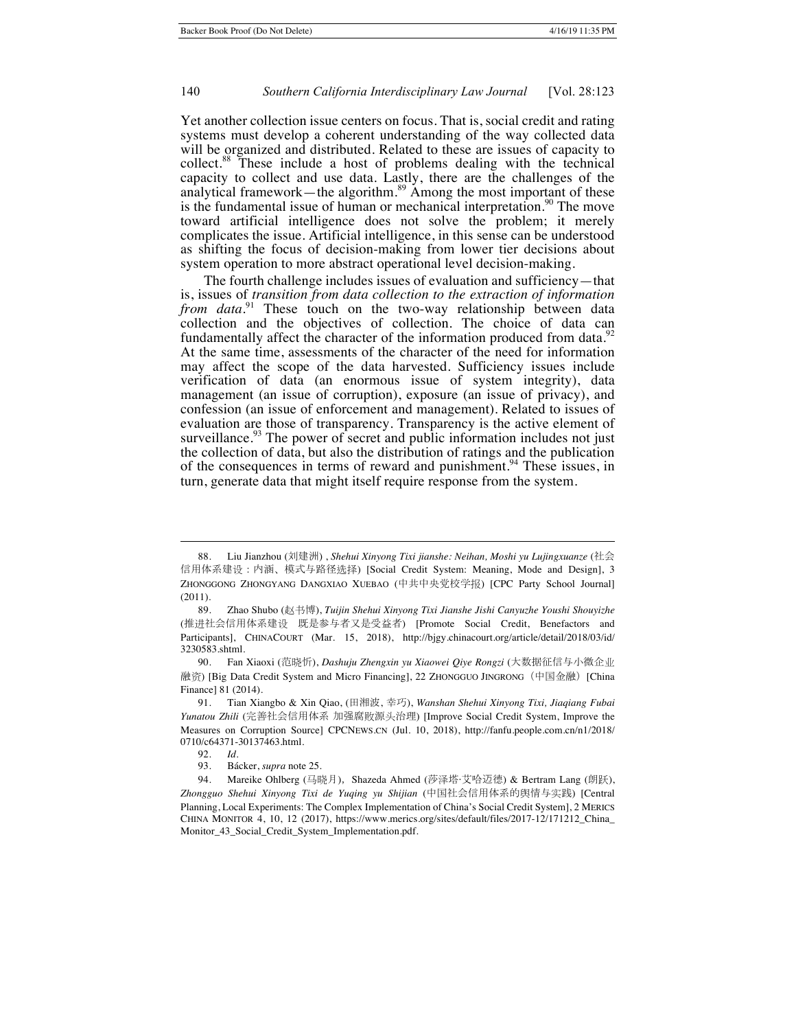Yet another collection issue centers on focus. That is, social credit and rating systems must develop a coherent understanding of the way collected data will be organized and distributed. Related to these are issues of capacity to collect.<sup>88</sup> These include a host of problems dealing with the technical capacity to collect and use data. Lastly, there are the challenges of the analytical framework—the algorithm.<sup>89</sup> Among the most important of these is the fundamental issue of human or mechanical interpretation.<sup>90</sup> The move toward artificial intelligence does not solve the problem; it merely complicates the issue. Artificial intelligence, in this sense can be understood as shifting the focus of decision-making from lower tier decisions about system operation to more abstract operational level decision-making.

The fourth challenge includes issues of evaluation and sufficiency—that is, issues of *transition from data collection to the extraction of information*  from data.<sup>91</sup> These touch on the two-way relationship between data collection and the objectives of collection. The choice of data can fundamentally affect the character of the information produced from data.<sup>92</sup> At the same time, assessments of the character of the need for information may affect the scope of the data harvested. Sufficiency issues include verification of data (an enormous issue of system integrity), data management (an issue of corruption), exposure (an issue of privacy), and confession (an issue of enforcement and management). Related to issues of evaluation are those of transparency. Transparency is the active element of surveillance.<sup>93</sup> The power of secret and public information includes not just the collection of data, but also the distribution of ratings and the publication of the consequences in terms of reward and punishment.<sup>94</sup> These issues, in turn, generate data that might itself require response from the system.

 <sup>88.</sup> Liu Jianzhou (刘建洲) , *Shehui Xinyong Tixi jianshe: Neihan, Moshi yu Lujingxuanze* (社会 信用体系建设:内涵、模式与路径选择) [Social Credit System: Meaning, Mode and Design], 3 ZHONGGONG ZHONGYANG DANGXIAO XUEBAO (中共中央党校学报) [CPC Party School Journal] (2011).

<sup>89.</sup> Zhao Shubo (赵书博), *Tuijin Shehui Xinyong Tixi Jianshe Jishi Canyuzhe Youshi Shouyizhe* (推进社会信用体系建设 既是参与者又是受益者) [Promote Social Credit, Benefactors and Participants], CHINACOURT (Mar. 15, 2018), http://bjgy.chinacourt.org/article/detail/2018/03/id/ 3230583.shtml.

<sup>90.</sup> Fan Xiaoxi (范晓忻), *Dashuju Zhengxin yu Xiaowei Qiye Rongzi* (大数据征信与小微企业 融资) [Big Data Credit System and Micro Financing], 22 ZHONGGUO JINGRONG (中国金融) [China Finance] 81 (2014).

<sup>91.</sup> Tian Xiangbo & Xin Qiao, (田湘波, 幸巧), *Wanshan Shehui Xinyong Tixi, Jiaqiang Fubai Yunatou Zhili* (完善社会信用体系 加强腐败源头治理) [Improve Social Credit System, Improve the Measures on Corruption Source] CPCNEWS.CN (Jul. 10, 2018), http://fanfu.people.com.cn/n1/2018/ 0710/c64371-30137463.html.

<sup>92.</sup> *Id.* 

<sup>93.</sup> Bácker, *supra* note 25.

<sup>94.</sup> Mareike Ohlberg (马晓月), Shazeda Ahmed (莎泽塔·艾哈迈德) & Bertram Lang (朗跃), *Zhongguo Shehui Xinyong Tixi de Yuqing yu Shijian* (中国社会信用体系的舆情与实践) [Central Planning, Local Experiments: The Complex Implementation of China's Social Credit System], 2 MERICS CHINA MONITOR 4, 10, 12 (2017), https://www.merics.org/sites/default/files/2017-12/171212\_China\_ Monitor\_43\_Social\_Credit\_System\_Implementation.pdf.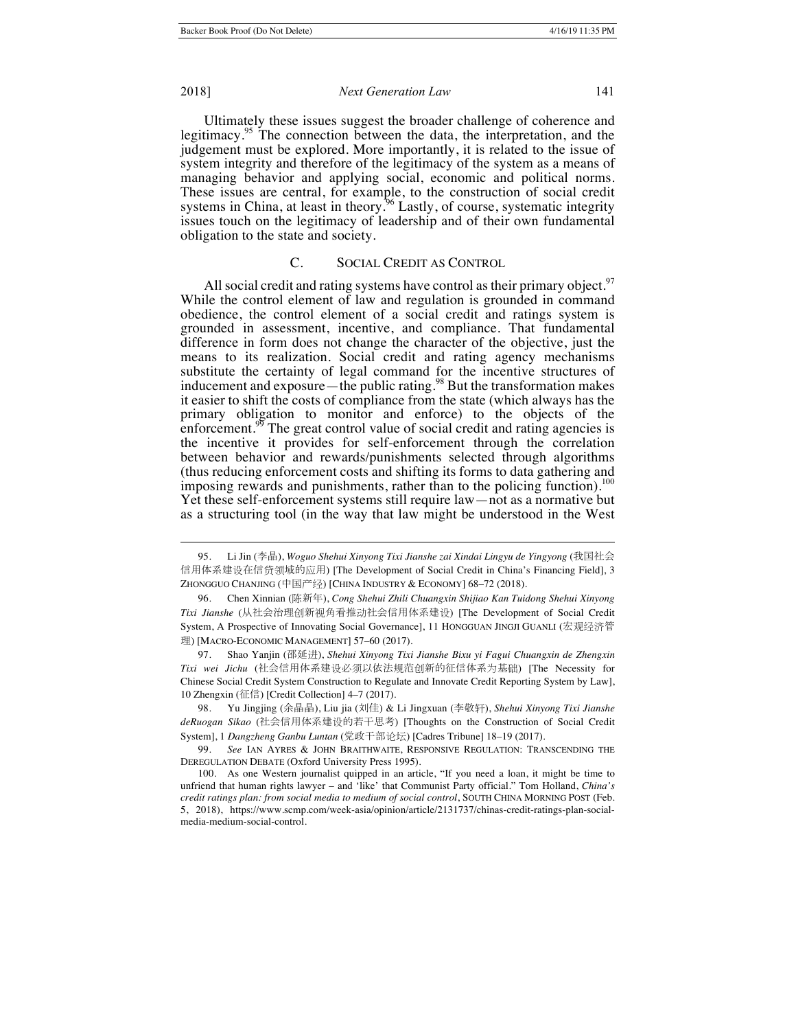Ultimately these issues suggest the broader challenge of coherence and legitimacy.<sup>95</sup> The connection between the data, the interpretation, and the judgement must be explored. More importantly, it is related to the issue of system integrity and therefore of the legitimacy of the system as a means of managing behavior and applying social, economic and political norms. These issues are central, for example, to the construction of social credit systems in China, at least in theory.<sup>96</sup> Lastly, of course, systematic integrity issues touch on the legitimacy of leadership and of their own fundamental obligation to the state and society.

### C. SOCIAL CREDIT AS CONTROL

All social credit and rating systems have control as their primary object.<sup>97</sup> While the control element of law and regulation is grounded in command obedience, the control element of a social credit and ratings system is grounded in assessment, incentive, and compliance. That fundamental difference in form does not change the character of the objective, just the means to its realization. Social credit and rating agency mechanisms substitute the certainty of legal command for the incentive structures of inducement and exposure—the public rating.<sup>98</sup> But the transformation makes it easier to shift the costs of compliance from the state (which always has the primary obligation to monitor and enforce) to the objects of the enforcement.<sup>99</sup> The great control value of social credit and rating agencies is the incentive it provides for self-enforcement through the correlation between behavior and rewards/punishments selected through algorithms (thus reducing enforcement costs and shifting its forms to data gathering and imposing rewards and punishments, rather than to the policing function).<sup>100</sup> Yet these self-enforcement systems still require law—not as a normative but as a structuring tool (in the way that law might be understood in the West

 <sup>95.</sup> Li Jin (李晶), *Woguo Shehui Xinyong Tixi Jianshe zai Xindai Lingyu de Yingyong* (我国社会 信用体系建设在信贷领域的应用) [The Development of Social Credit in China's Financing Field], 3 ZHONGGUO CHANJING (中国产经) [CHINA INDUSTRY & ECONOMY] 68–72 (2018).

<sup>96.</sup> Chen Xinnian (陈新年), *Cong Shehui Zhili Chuangxin Shijiao Kan Tuidong Shehui Xinyong Tixi Jianshe* (从社会治理创新视角看推动社会信用体系建设) [The Development of Social Credit System, A Prospective of Innovating Social Governance], 11 HONGGUAN JINGJI GUANLI (宏观经济管 理) [MACRO-ECONOMIC MANAGEMENT] 57-60 (2017).

<sup>97.</sup> Shao Yanjin (邵延进), *Shehui Xinyong Tixi Jianshe Bixu yi Fagui Chuangxin de Zhengxin Tixi wei Jichu* (社会信用体系建设必须以依法规范创新的征信体系为基础) [The Necessity for Chinese Social Credit System Construction to Regulate and Innovate Credit Reporting System by Law], 10 Zhengxin (征信) [Credit Collection] 4–7 (2017).

<sup>98.</sup> Yu Jingjing (余晶晶), Liu jia (刘佳) & Li Jingxuan (李敬轩), *Shehui Xinyong Tixi Jianshe deRuogan Sikao* (社会信用体系建设的若干思考) [Thoughts on the Construction of Social Credit System], 1 *Dangzheng Ganbu Luntan* (党政干部论坛) [Cadres Tribune] 18–19 (2017).

<sup>99.</sup> *See* IAN AYRES & JOHN BRAITHWAITE, RESPONSIVE REGULATION: TRANSCENDING THE DEREGULATION DEBATE (Oxford University Press 1995).

<sup>100.</sup> As one Western journalist quipped in an article, "If you need a loan, it might be time to unfriend that human rights lawyer – and 'like' that Communist Party official." Tom Holland, *China's credit ratings plan: from social media to medium of social control*, SOUTH CHINA MORNING POST (Feb. 5, 2018), https://www.scmp.com/week-asia/opinion/article/2131737/chinas-credit-ratings-plan-socialmedia-medium-social-control.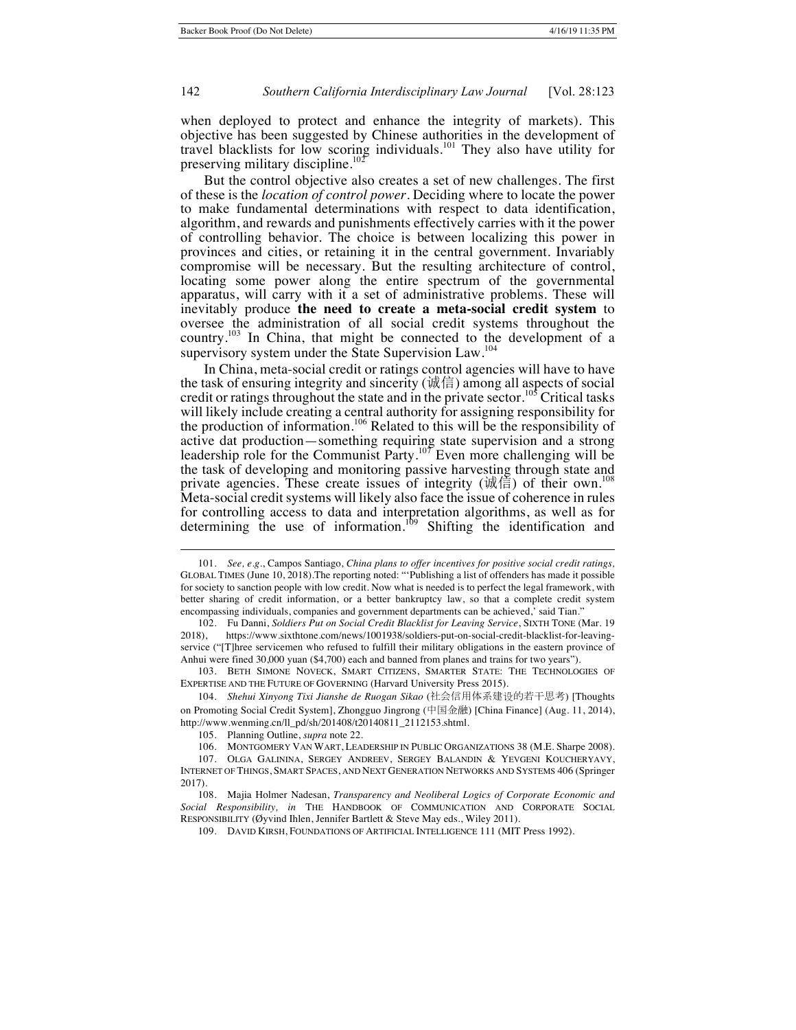when deployed to protect and enhance the integrity of markets). This objective has been suggested by Chinese authorities in the development of travel blacklists for low scoring individuals.<sup>101</sup> They also have utility for preserving military discipline.<sup>102</sup>

But the control objective also creates a set of new challenges. The first of these is the *location of control power*. Deciding where to locate the power to make fundamental determinations with respect to data identification, algorithm, and rewards and punishments effectively carries with it the power of controlling behavior. The choice is between localizing this power in provinces and cities, or retaining it in the central government. Invariably compromise will be necessary. But the resulting architecture of control, locating some power along the entire spectrum of the governmental apparatus, will carry with it a set of administrative problems. These will inevitably produce **the need to create a meta-social credit system** to oversee the administration of all social credit systems throughout the country.103 In China, that might be connected to the development of a supervisory system under the State Supervision Law.<sup>104</sup>

In China, meta-social credit or ratings control agencies will have to have the task of ensuring integrity and sincerity (诚信) among all aspects of social credit or ratings throughout the state and in the private sector.<sup>105</sup> Critical tasks will likely include creating a central authority for assigning responsibility for the production of information.<sup>106</sup> Related to this will be the responsibility of active dat production—something requiring state supervision and a strong leadership role for the Communist Party.<sup>107</sup> Even more challenging will be the task of developing and monitoring passive harvesting through state and private agencies. These create issues of integrity  $(W \oplus E)$  of their own.<sup>108</sup> Meta-social credit systems will likely also face the issue of coherence in rules for controlling access to data and interpretation algorithms, as well as for determining the use of information.<sup>109</sup> Shifting the identification and

104. *Shehui Xinyong Tixi Jianshe de Ruogan Sikao* (社会信用体系建设的若干思考) [Thoughts on Promoting Social Credit System], Zhongguo Jingrong (中国金融) [China Finance] (Aug. 11, 2014), http://www.wenming.cn/ll\_pd/sh/201408/t20140811\_2112153.shtml.

 <sup>101.</sup> *See, e.g.*, Campos Santiago, *China plans to offer incentives for positive social credit ratings,* GLOBAL TIMES (June 10, 2018).The reporting noted: "'Publishing a list of offenders has made it possible for society to sanction people with low credit. Now what is needed is to perfect the legal framework, with better sharing of credit information, or a better bankruptcy law, so that a complete credit system encompassing individuals, companies and government departments can be achieved,' said Tian."

<sup>102.</sup> Fu Danni, *Soldiers Put on Social Credit Blacklist for Leaving Service*, SIXTH TONE (Mar. 19 2018), https://www.sixthtone.com/news/1001938/soldiers-put-on-social-credit-blacklist-for-leavingservice ("[T]hree servicemen who refused to fulfill their military obligations in the eastern province of Anhui were fined 30,000 yuan (\$4,700) each and banned from planes and trains for two years").

<sup>103.</sup> BETH SIMONE NOVECK, SMART CITIZENS, SMARTER STATE: THE TECHNOLOGIES OF EXPERTISE AND THE FUTURE OF GOVERNING (Harvard University Press 2015).

<sup>105.</sup> Planning Outline, *supra* note 22.

<sup>106.</sup> MONTGOMERY VAN WART, LEADERSHIP IN PUBLIC ORGANIZATIONS 38 (M.E. Sharpe 2008).

<sup>107.</sup> OLGA GALININA, SERGEY ANDREEV, SERGEY BALANDIN & YEVGENI KOUCHERYAVY, INTERNET OF THINGS, SMART SPACES, AND NEXT GENERATION NETWORKS AND SYSTEMS 406 (Springer 2017).

<sup>108.</sup> Majia Holmer Nadesan, *Transparency and Neoliberal Logics of Corporate Economic and Social Responsibility, in* THE HANDBOOK OF COMMUNICATION AND CORPORATE SOCIAL RESPONSIBILITY (Øyvind Ihlen, Jennifer Bartlett & Steve May eds., Wiley 2011).

<sup>109.</sup> DAVID KIRSH, FOUNDATIONS OF ARTIFICIAL INTELLIGENCE 111 (MIT Press 1992).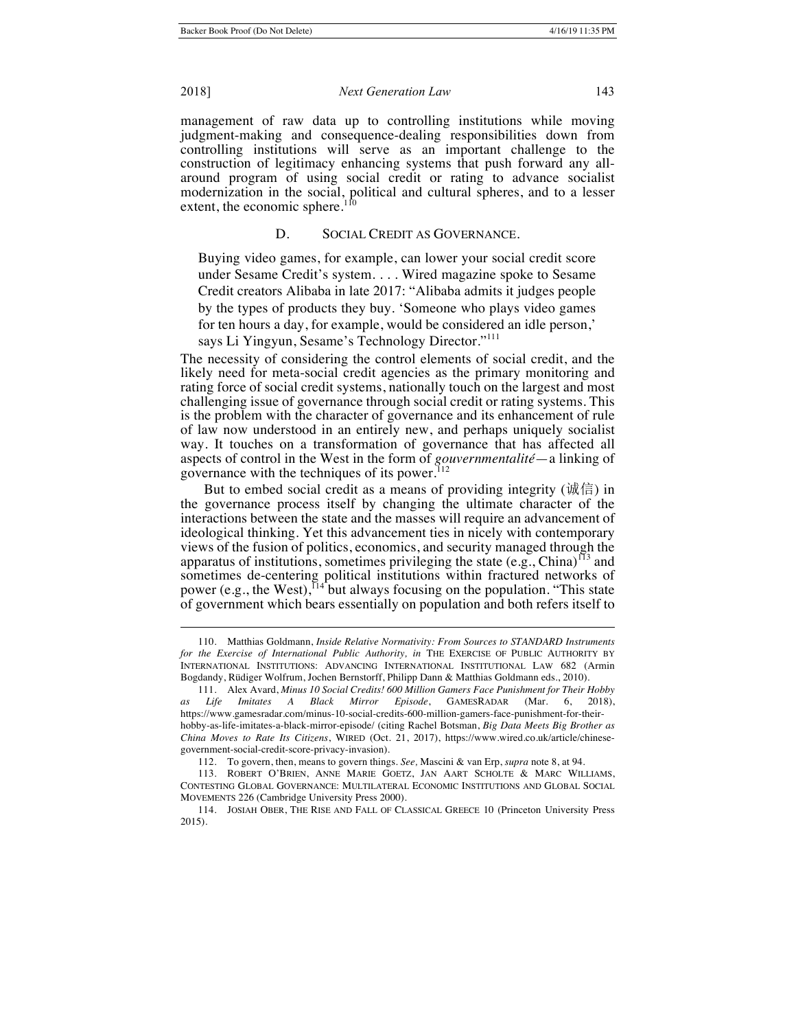management of raw data up to controlling institutions while moving judgment-making and consequence-dealing responsibilities down from controlling institutions will serve as an important challenge to the construction of legitimacy enhancing systems that push forward any allaround program of using social credit or rating to advance socialist modernization in the social, political and cultural spheres, and to a lesser extent, the economic sphere.

# D. SOCIAL CREDIT AS GOVERNANCE.

Buying video games, for example, can lower your social credit score under Sesame Credit's system. . . . Wired magazine spoke to Sesame Credit creators Alibaba in late 2017: "Alibaba admits it judges people by the types of products they buy. 'Someone who plays video games for ten hours a day, for example, would be considered an idle person,' says Li Yingyun, Sesame's Technology Director."<sup>111</sup>

The necessity of considering the control elements of social credit, and the likely need for meta-social credit agencies as the primary monitoring and rating force of social credit systems, nationally touch on the largest and most challenging issue of governance through social credit or rating systems. This is the problem with the character of governance and its enhancement of rule of law now understood in an entirely new, and perhaps uniquely socialist way. It touches on a transformation of governance that has affected all aspects of control in the West in the form of *gouvernmentalité*—a linking of governance with the techniques of its power.<sup>112</sup>

But to embed social credit as a means of providing integrity (诚信) in the governance process itself by changing the ultimate character of the interactions between the state and the masses will require an advancement of ideological thinking. Yet this advancement ties in nicely with contemporary views of the fusion of politics, economics, and security managed through the apparatus of institutions, sometimes privileging the state  $(e.g., China)^{13}$  and sometimes de-centering political institutions within fractured networks of power (e.g., the West),  $\frac{n}{4}$  but always focusing on the population. "This state of government which bears essentially on population and both refers itself to

 <sup>110.</sup> Matthias Goldmann, *Inside Relative Normativity: From Sources to STANDARD Instruments for the Exercise of International Public Authority, in* THE EXERCISE OF PUBLIC AUTHORITY BY INTERNATIONAL INSTITUTIONS: ADVANCING INTERNATIONAL INSTITUTIONAL LAW 682 (Armin Bogdandy, Rüdiger Wolfrum, Jochen Bernstorff, Philipp Dann & Matthias Goldmann eds., 2010).

<sup>111.</sup> Alex Avard, *Minus 10 Social Credits! 600 Million Gamers Face Punishment for Their Hobby as Life Imitates A Black Mirror Episode*, GAMESRADAR (Mar. 6, 2018), https://www.gamesradar.com/minus-10-social-credits-600-million-gamers-face-punishment-for-theirhobby-as-life-imitates-a-black-mirror-episode/ (citing Rachel Botsman, *Big Data Meets Big Brother as China Moves to Rate Its Citizens*, WIRED (Oct. 21, 2017), https://www.wired.co.uk/article/chinesegovernment-social-credit-score-privacy-invasion).

<sup>112.</sup> To govern, then, means to govern things. *See,* Mascini & van Erp, *supra* note 8, at 94.

<sup>113.</sup> ROBERT O'BRIEN, ANNE MARIE GOETZ, JAN AART SCHOLTE & MARC WILLIAMS, CONTESTING GLOBAL GOVERNANCE: MULTILATERAL ECONOMIC INSTITUTIONS AND GLOBAL SOCIAL MOVEMENTS 226 (Cambridge University Press 2000).

<sup>114.</sup> JOSIAH OBER, THE RISE AND FALL OF CLASSICAL GREECE 10 (Princeton University Press 2015).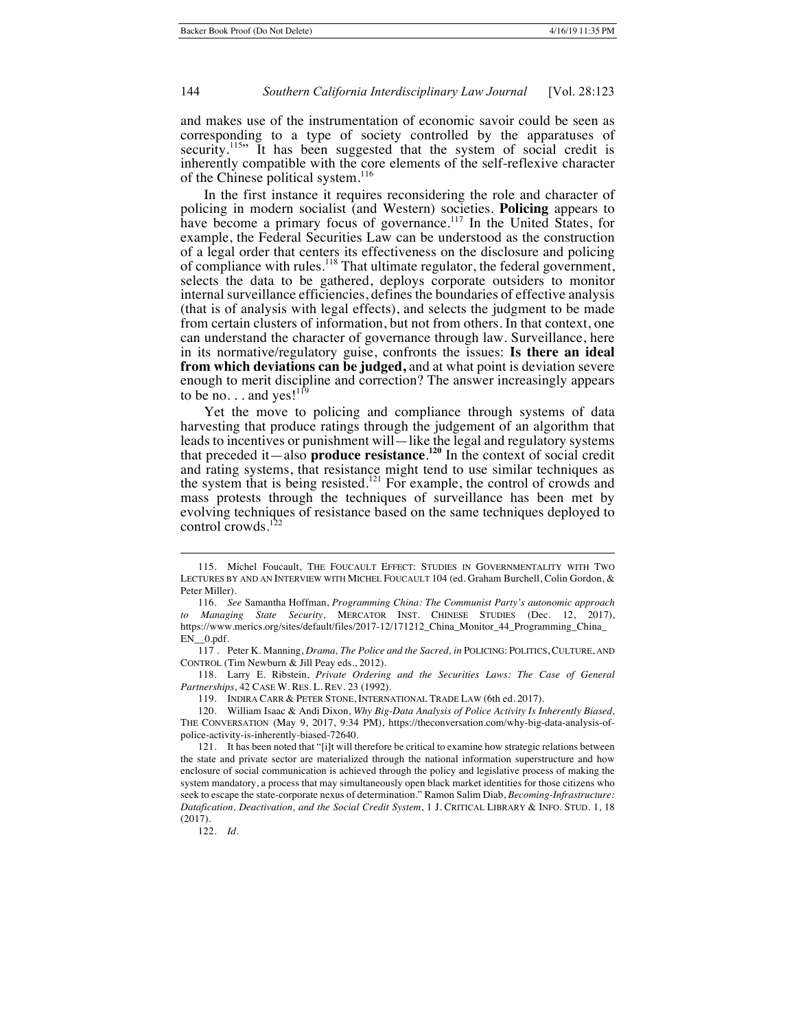and makes use of the instrumentation of economic savoir could be seen as corresponding to a type of society controlled by the apparatuses of security.<sup>115</sup>" It has been suggested that the system of social credit is inherently compatible with the core elements of the self-reflexive character of the Chinese political system.<sup>116</sup>

In the first instance it requires reconsidering the role and character of policing in modern socialist (and Western) societies. **Policing** appears to have become a primary focus of governance.<sup>117</sup> In the United States, for example, the Federal Securities Law can be understood as the construction of a legal order that centers its effectiveness on the disclosure and policing of compliance with rules.<sup>118</sup> That ultimate regulator, the federal government, selects the data to be gathered, deploys corporate outsiders to monitor internal surveillance efficiencies, defines the boundaries of effective analysis (that is of analysis with legal effects), and selects the judgment to be made from certain clusters of information, but not from others. In that context, one can understand the character of governance through law. Surveillance, here in its normative/regulatory guise, confronts the issues: **Is there an ideal from which deviations can be judged,** and at what point is deviation severe enough to merit discipline and correction? The answer increasingly appears to be no... and yes! $119$ 

Yet the move to policing and compliance through systems of data harvesting that produce ratings through the judgement of an algorithm that leads to incentives or punishment will—like the legal and regulatory systems that preceded it—also **produce resistance**. **<sup>120</sup>** In the context of social credit and rating systems, that resistance might tend to use similar techniques as the system that is being resisted.<sup>121</sup> For example, the control of crowds and mass protests through the techniques of surveillance has been met by evolving techniques of resistance based on the same techniques deployed to control crowds.<sup>122</sup>

118. Larry E. Ribstein, *Private Ordering and the Securities Laws: The Case of General Partnerships*, 42 CASE W. RES. L. REV. 23 (1992).

119. INDIRA CARR & PETER STONE, INTERNATIONAL TRADE LAW (6th ed. 2017).

120. William Isaac & Andi Dixon, *Why Big-Data Analysis of Police Activity Is Inherently Biased,* THE CONVERSATION (May 9, 2017, 9:34 PM), https://theconversation.com/why-big-data-analysis-ofpolice-activity-is-inherently-biased-72640.

122. *Id.* 

 <sup>115.</sup> Michel Foucault, THE FOUCAULT EFFECT: STUDIES IN GOVERNMENTALITY WITH TWO LECTURES BY AND AN INTERVIEW WITH MICHEL FOUCAULT 104 (ed. Graham Burchell, Colin Gordon, & Peter Miller).

<sup>116.</sup> *See* Samantha Hoffman, *Programming China: The Communist Party's autonomic approach to Managing State Security*, MERCATOR INST. CHINESE STUDIES (Dec. 12, 2017), https://www.merics.org/sites/default/files/2017-12/171212\_China\_Monitor\_44\_Programming\_China\_ EN\_\_0.pdf.

<sup>117</sup> . Peter K. Manning, *Drama, The Police and the Sacred, in* POLICING: POLITICS, CULTURE, AND CONTROL (Tim Newburn & Jill Peay eds., 2012).

<sup>121.</sup> It has been noted that "[i]t will therefore be critical to examine how strategic relations between the state and private sector are materialized through the national information superstructure and how enclosure of social communication is achieved through the policy and legislative process of making the system mandatory, a process that may simultaneously open black market identities for those citizens who seek to escape the state-corporate nexus of determination." Ramon Salim Diab, *Becoming-Infrastructure: Datafication, Deactivation, and the Social Credit System*, 1 J. CRITICAL LIBRARY & INFO. STUD. 1, 18 (2017).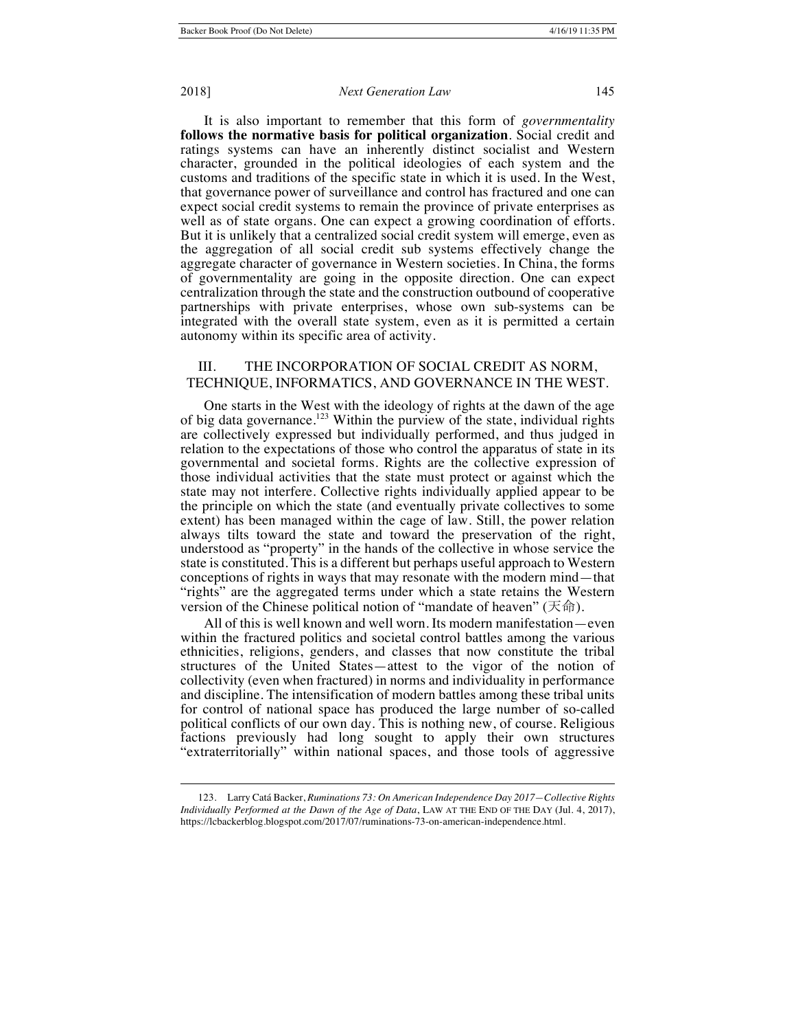It is also important to remember that this form of *governmentality* **follows the normative basis for political organization**. Social credit and ratings systems can have an inherently distinct socialist and Western character, grounded in the political ideologies of each system and the customs and traditions of the specific state in which it is used. In the West, that governance power of surveillance and control has fractured and one can expect social credit systems to remain the province of private enterprises as well as of state organs. One can expect a growing coordination of efforts. But it is unlikely that a centralized social credit system will emerge, even as the aggregation of all social credit sub systems effectively change the aggregate character of governance in Western societies. In China, the forms of governmentality are going in the opposite direction. One can expect centralization through the state and the construction outbound of cooperative partnerships with private enterprises, whose own sub-systems can be integrated with the overall state system, even as it is permitted a certain autonomy within its specific area of activity.

# III. THE INCORPORATION OF SOCIAL CREDIT AS NORM, TECHNIQUE, INFORMATICS, AND GOVERNANCE IN THE WEST.

One starts in the West with the ideology of rights at the dawn of the age of big data governance.<sup>123</sup> Within the purview of the state, individual rights are collectively expressed but individually performed, and thus judged in relation to the expectations of those who control the apparatus of state in its governmental and societal forms. Rights are the collective expression of those individual activities that the state must protect or against which the state may not interfere. Collective rights individually applied appear to be the principle on which the state (and eventually private collectives to some extent) has been managed within the cage of law. Still, the power relation always tilts toward the state and toward the preservation of the right, understood as "property" in the hands of the collective in whose service the state is constituted. This is a different but perhaps useful approach to Western conceptions of rights in ways that may resonate with the modern mind—that "rights" are the aggregated terms under which a state retains the Western version of the Chinese political notion of "mandate of heaven" (天命).

All of this is well known and well worn. Its modern manifestation—even within the fractured politics and societal control battles among the various ethnicities, religions, genders, and classes that now constitute the tribal structures of the United States—attest to the vigor of the notion of collectivity (even when fractured) in norms and individuality in performance and discipline. The intensification of modern battles among these tribal units for control of national space has produced the large number of so-called political conflicts of our own day. This is nothing new, of course. Religious factions previously had long sought to apply their own structures "extraterritorially" within national spaces, and those tools of aggressive

 <sup>123.</sup> Larry Catá Backer, *Ruminations 73: On American Independence Day 2017—Collective Rights Individually Performed at the Dawn of the Age of Data*, LAW AT THE END OF THE DAY (Jul. 4, 2017), https://lcbackerblog.blogspot.com/2017/07/ruminations-73-on-american-independence.html.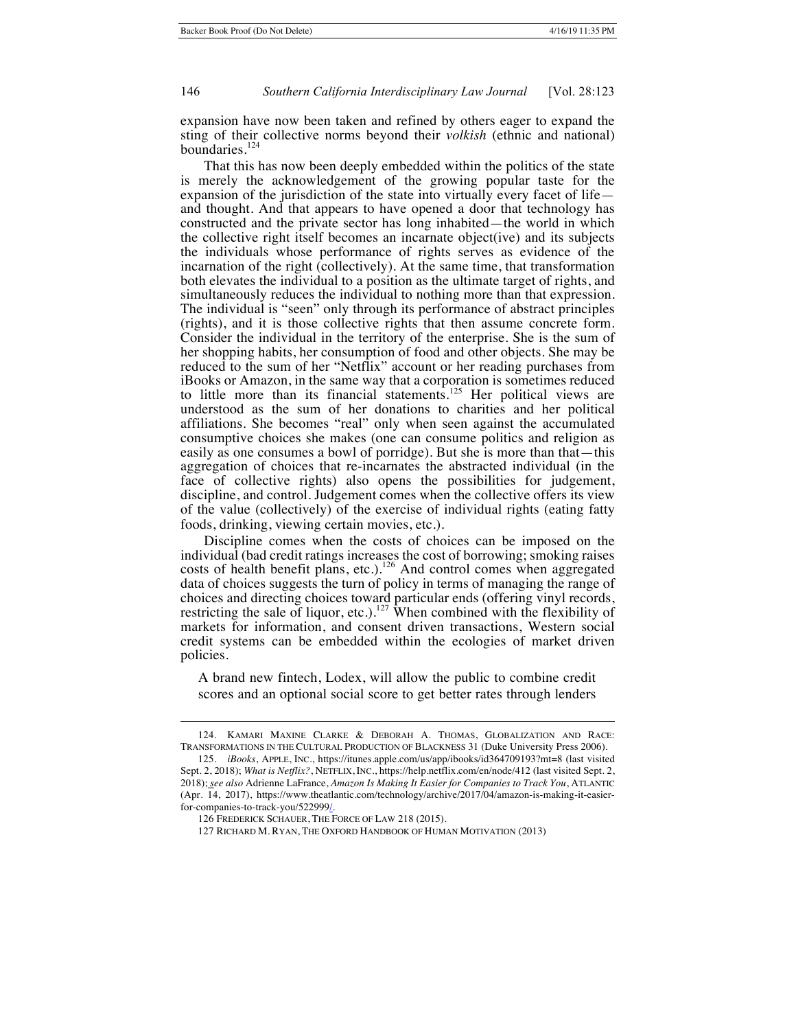expansion have now been taken and refined by others eager to expand the sting of their collective norms beyond their *volkish* (ethnic and national) boundaries.<sup>124</sup>

That this has now been deeply embedded within the politics of the state is merely the acknowledgement of the growing popular taste for the expansion of the jurisdiction of the state into virtually every facet of life and thought. And that appears to have opened a door that technology has constructed and the private sector has long inhabited—the world in which the collective right itself becomes an incarnate object(ive) and its subjects the individuals whose performance of rights serves as evidence of the incarnation of the right (collectively). At the same time, that transformation both elevates the individual to a position as the ultimate target of rights, and simultaneously reduces the individual to nothing more than that expression. The individual is "seen" only through its performance of abstract principles (rights), and it is those collective rights that then assume concrete form. Consider the individual in the territory of the enterprise. She is the sum of her shopping habits, her consumption of food and other objects. She may be reduced to the sum of her "Netflix" account or her reading purchases from iBooks or Amazon, in the same way that a corporation is sometimes reduced to little more than its financial statements.<sup>125</sup> Her political views are understood as the sum of her donations to charities and her political affiliations. She becomes "real" only when seen against the accumulated consumptive choices she makes (one can consume politics and religion as easily as one consumes a bowl of porridge). But she is more than that—this aggregation of choices that re-incarnates the abstracted individual (in the face of collective rights) also opens the possibilities for judgement, discipline, and control. Judgement comes when the collective offers its view of the value (collectively) of the exercise of individual rights (eating fatty foods, drinking, viewing certain movies, etc.).

Discipline comes when the costs of choices can be imposed on the individual (bad credit ratings increases the cost of borrowing; smoking raises costs of health benefit plans, etc.).<sup>126</sup> And control comes when aggregated data of choices suggests the turn of policy in terms of managing the range of choices and directing choices toward particular ends (offering vinyl records, restricting the sale of liquor, etc.).<sup>127</sup> When combined with the flexibility of markets for information, and consent driven transactions, Western social credit systems can be embedded within the ecologies of market driven policies.

A brand new fintech, Lodex, will allow the public to combine credit scores and an optional social score to get better rates through lenders

 <sup>124.</sup> KAMARI MAXINE CLARKE & DEBORAH A. THOMAS, GLOBALIZATION AND RACE: TRANSFORMATIONS IN THE CULTURAL PRODUCTION OF BLACKNESS 31 (Duke University Press 2006).

<sup>125.</sup> *iBooks*, APPLE, INC., https://itunes.apple.com/us/app/ibooks/id364709193?mt=8 (last visited Sept. 2, 2018); *What is Netflix?*, NETFLIX, INC., https://help.netflix.com/en/node/412 (last visited Sept. 2, 2018); *see also* Adrienne LaFrance, *Amazon Is Making It Easier for Companies to Track You*, ATLANTIC (Apr. 14, 2017), https://www.theatlantic.com/technology/archive/2017/04/amazon-is-making-it-easierfor-companies-to-track-you/522999/.

<sup>126</sup> FREDERICK SCHAUER, THE FORCE OF LAW 218 (2015).

<sup>127</sup> RICHARD M. RYAN, THE OXFORD HANDBOOK OF HUMAN MOTIVATION (2013)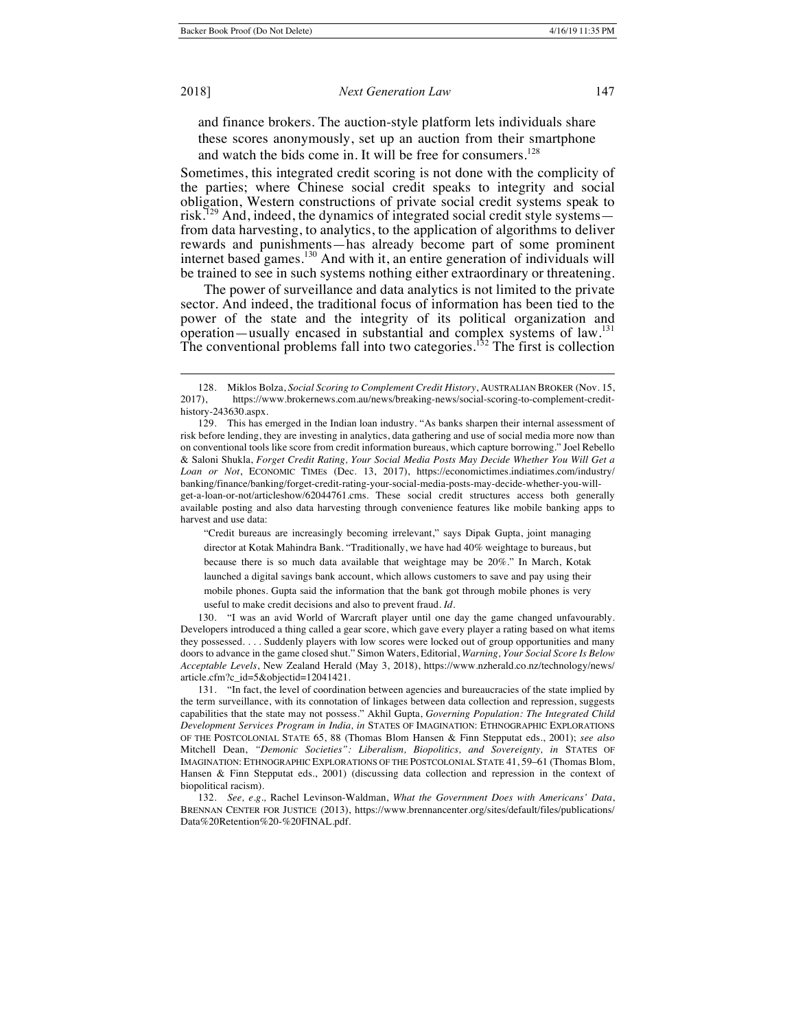and finance brokers. The auction-style platform lets individuals share these scores anonymously, set up an auction from their smartphone and watch the bids come in. It will be free for consumers.<sup>128</sup>

Sometimes, this integrated credit scoring is not done with the complicity of the parties; where Chinese social credit speaks to integrity and social obligation, Western constructions of private social credit systems speak to risk.<sup>[29</sup> And, indeed, the dynamics of integrated social credit style systems from data harvesting, to analytics, to the application of algorithms to deliver rewards and punishments—has already become part of some prominent internet based games.<sup>130</sup> And with it, an entire generation of individuals will be trained to see in such systems nothing either extraordinary or threatening.

The power of surveillance and data analytics is not limited to the private sector. And indeed, the traditional focus of information has been tied to the power of the state and the integrity of its political organization and operation—usually encased in substantial and complex systems of law.<sup>131</sup> The conventional problems fall into two categories.<sup>132</sup> The first is collection

"Credit bureaus are increasingly becoming irrelevant," says Dipak Gupta, joint managing director at Kotak Mahindra Bank. "Traditionally, we have had 40% weightage to bureaus, but because there is so much data available that weightage may be 20%." In March, Kotak launched a digital savings bank account, which allows customers to save and pay using their mobile phones. Gupta said the information that the bank got through mobile phones is very useful to make credit decisions and also to prevent fraud. *Id.*

130. "I was an avid World of Warcraft player until one day the game changed unfavourably. Developers introduced a thing called a gear score, which gave every player a rating based on what items they possessed. . . . Suddenly players with low scores were locked out of group opportunities and many doors to advance in the game closed shut." Simon Waters, Editorial, *Warning, Your Social Score Is Below Acceptable Levels*, New Zealand Herald (May 3, 2018), https://www.nzherald.co.nz/technology/news/ article.cfm?c\_id=5&objectid=12041421.

131. "In fact, the level of coordination between agencies and bureaucracies of the state implied by the term surveillance, with its connotation of linkages between data collection and repression, suggests capabilities that the state may not possess." Akhil Gupta, *Governing Population: The Integrated Child Development Services Program in India, in* STATES OF IMAGINATION: ETHNOGRAPHIC EXPLORATIONS OF THE POSTCOLONIAL STATE 65, 88 (Thomas Blom Hansen & Finn Stepputat eds., 2001); *see also* Mitchell Dean, *"Demonic Societies": Liberalism, Biopolitics, and Sovereignty, in* STATES OF IMAGINATION: ETHNOGRAPHIC EXPLORATIONS OF THE POSTCOLONIAL STATE 41, 59–61 (Thomas Blom, Hansen & Finn Stepputat eds., 2001) (discussing data collection and repression in the context of biopolitical racism).

132. *See, e.g.,* Rachel Levinson-Waldman, *What the Government Does with Americans' Data*, BRENNAN CENTER FOR JUSTICE (2013), https://www.brennancenter.org/sites/default/files/publications/ Data%20Retention%20-%20FINAL.pdf.

 <sup>128.</sup> Miklos Bolza, *Social Scoring to Complement Credit History*, AUSTRALIAN BROKER (Nov. 15, 2017), https://www.brokernews.com.au/news/breaking-news/social-scoring-to-complement-credithistory-243630.aspx.

<sup>129.</sup> This has emerged in the Indian loan industry. "As banks sharpen their internal assessment of risk before lending, they are investing in analytics, data gathering and use of social media more now than on conventional tools like score from credit information bureaus, which capture borrowing." Joel Rebello & Saloni Shukla, *Forget Credit Rating, Your Social Media Posts May Decide Whether You Will Get a Loan or Not*, ECONOMIC TIMEs (Dec. 13, 2017), https://economictimes.indiatimes.com/industry/ banking/finance/banking/forget-credit-rating-your-social-media-posts-may-decide-whether-you-willget-a-loan-or-not/articleshow/62044761.cms. These social credit structures access both generally available posting and also data harvesting through convenience features like mobile banking apps to harvest and use data: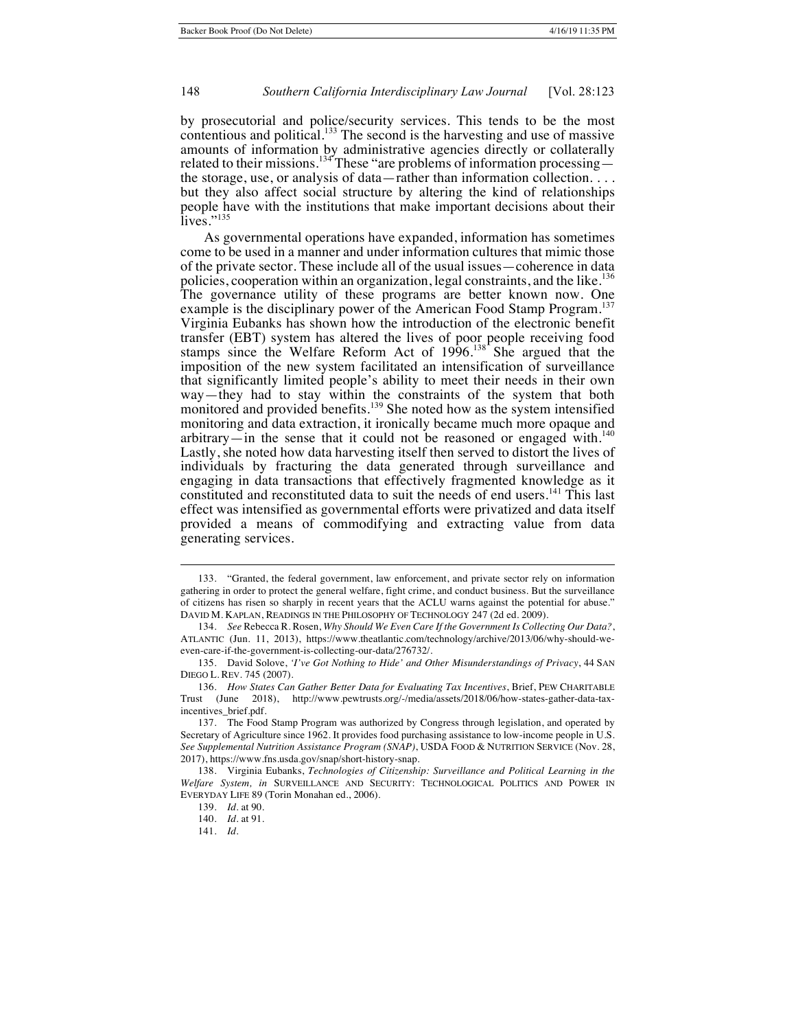by prosecutorial and police/security services. This tends to be the most contentious and political. $133$  The second is the harvesting and use of massive amounts of information by administrative agencies directly or collaterally related to their missions.<sup>134</sup> These "are problems of information processing the storage, use, or analysis of data—rather than information collection. . . . but they also affect social structure by altering the kind of relationships people have with the institutions that make important decisions about their lives."<sup>135</sup>

As governmental operations have expanded, information has sometimes come to be used in a manner and under information cultures that mimic those of the private sector. These include all of the usual issues—coherence in data policies, cooperation within an organization, legal constraints, and the like.<sup>136</sup> The governance utility of these programs are better known now. One example is the disciplinary power of the American Food Stamp Program.<sup>137</sup> Virginia Eubanks has shown how the introduction of the electronic benefit transfer (EBT) system has altered the lives of poor people receiving food stamps since the Welfare Reform Act of  $1996$ .<sup>138</sup> She argued that the imposition of the new system facilitated an intensification of surveillance that significantly limited people's ability to meet their needs in their own way—they had to stay within the constraints of the system that both monitored and provided benefits.<sup>139</sup> She noted how as the system intensified monitoring and data extraction, it ironically became much more opaque and arbitrary—in the sense that it could not be reasoned or engaged with.<sup>140</sup> Lastly, she noted how data harvesting itself then served to distort the lives of individuals by fracturing the data generated through surveillance and engaging in data transactions that effectively fragmented knowledge as it constituted and reconstituted data to suit the needs of end users.<sup>141</sup> This last effect was intensified as governmental efforts were privatized and data itself provided a means of commodifying and extracting value from data generating services.

 <sup>133.</sup> "Granted, the federal government, law enforcement, and private sector rely on information gathering in order to protect the general welfare, fight crime, and conduct business. But the surveillance of citizens has risen so sharply in recent years that the ACLU warns against the potential for abuse." DAVID M. KAPLAN, READINGS IN THE PHILOSOPHY OF TECHNOLOGY 247 (2d ed. 2009).

<sup>134.</sup> *See* Rebecca R. Rosen, *Why Should We Even Care If the Government Is Collecting Our Data?*, ATLANTIC (Jun. 11, 2013), https://www.theatlantic.com/technology/archive/2013/06/why-should-weeven-care-if-the-government-is-collecting-our-data/276732/.

<sup>135.</sup> David Solove, *'I've Got Nothing to Hide' and Other Misunderstandings of Privacy*, 44 SAN DIEGO L. REV. 745 (2007).

<sup>136.</sup> *How States Can Gather Better Data for Evaluating Tax Incentives*, Brief, PEW CHARITABLE Trust (June 2018), http://www.pewtrusts.org/-/media/assets/2018/06/how-states-gather-data-taxincentives\_brief.pdf.

<sup>137.</sup> The Food Stamp Program was authorized by Congress through legislation, and operated by Secretary of Agriculture since 1962. It provides food purchasing assistance to low-income people in U.S. *See Supplemental Nutrition Assistance Program (SNAP)*, USDA FOOD & NUTRITION SERVICE (Nov. 28, 2017), https://www.fns.usda.gov/snap/short-history-snap.

<sup>138.</sup> Virginia Eubanks, *Technologies of Citizenship: Surveillance and Political Learning in the Welfare System, in* SURVEILLANCE AND SECURITY: TECHNOLOGICAL POLITICS AND POWER IN EVERYDAY LIFE 89 (Torin Monahan ed., 2006).

<sup>139.</sup> *Id.* at 90.

<sup>140.</sup> *Id.* at 91.

<sup>141.</sup> *Id.*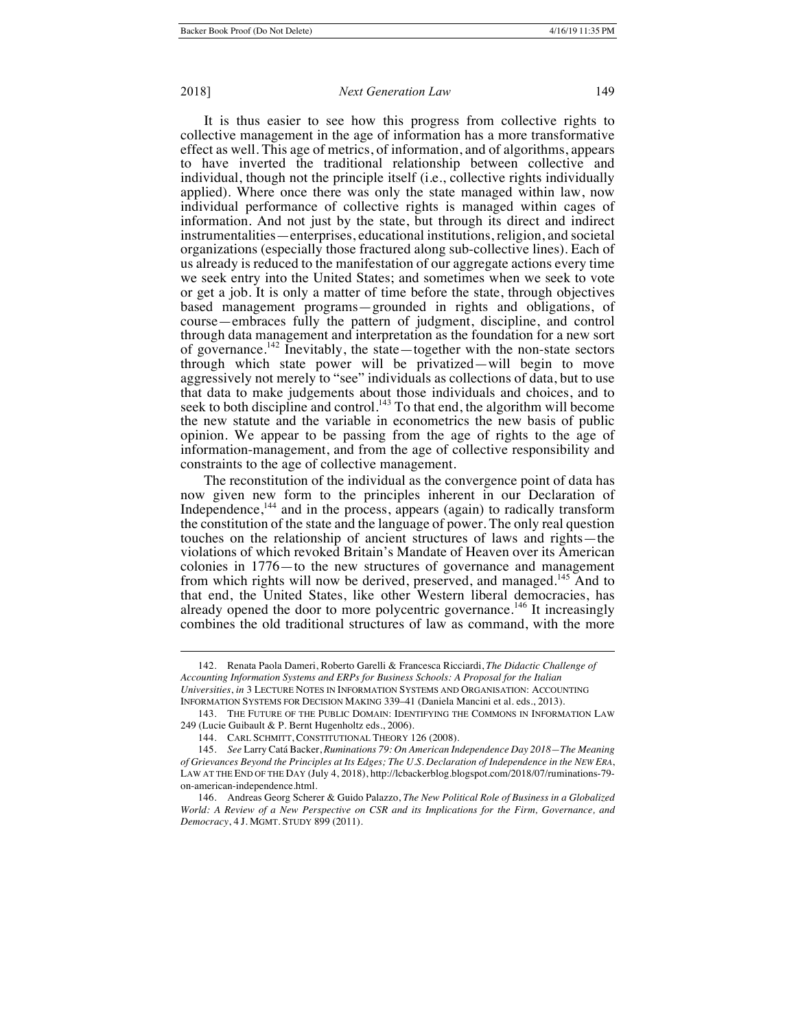It is thus easier to see how this progress from collective rights to collective management in the age of information has a more transformative effect as well. This age of metrics, of information, and of algorithms, appears to have inverted the traditional relationship between collective and individual, though not the principle itself (i.e., collective rights individually applied). Where once there was only the state managed within law, now individual performance of collective rights is managed within cages of information. And not just by the state, but through its direct and indirect instrumentalities—enterprises, educational institutions, religion, and societal organizations (especially those fractured along sub-collective lines). Each of us already is reduced to the manifestation of our aggregate actions every time we seek entry into the United States; and sometimes when we seek to vote or get a job. It is only a matter of time before the state, through objectives based management programs—grounded in rights and obligations, of course—embraces fully the pattern of judgment, discipline, and control through data management and interpretation as the foundation for a new sort of governance. $142$  Inevitably, the state—together with the non-state sectors through which state power will be privatized—will begin to move aggressively not merely to "see" individuals as collections of data, but to use that data to make judgements about those individuals and choices, and to seek to both discipline and control.<sup>143</sup> To that end, the algorithm will become the new statute and the variable in econometrics the new basis of public opinion. We appear to be passing from the age of rights to the age of information-management, and from the age of collective responsibility and constraints to the age of collective management.

The reconstitution of the individual as the convergence point of data has now given new form to the principles inherent in our Declaration of Independence, $144$  and in the process, appears (again) to radically transform the constitution of the state and the language of power. The only real question touches on the relationship of ancient structures of laws and rights—the violations of which revoked Britain's Mandate of Heaven over its American colonies in 1776—to the new structures of governance and management from which rights will now be derived, preserved, and managed.<sup>145</sup> And to that end, the United States, like other Western liberal democracies, has already opened the door to more polycentric governance.<sup>146</sup> It increasingly combines the old traditional structures of law as command, with the more

 <sup>142.</sup> Renata Paola Dameri, Roberto Garelli & Francesca Ricciardi, *The Didactic Challenge of Accounting Information Systems and ERPs for Business Schools: A Proposal for the Italian Universities*, *in* 3 LECTURE NOTES IN INFORMATION SYSTEMS AND ORGANISATION: ACCOUNTING INFORMATION SYSTEMS FOR DECISION MAKING 339–41 (Daniela Mancini et al. eds., 2013).

<sup>143.</sup> THE FUTURE OF THE PUBLIC DOMAIN: IDENTIFYING THE COMMONS IN INFORMATION LAW 249 (Lucie Guibault & P. Bernt Hugenholtz eds., 2006).

<sup>144.</sup> CARL SCHMITT, CONSTITUTIONAL THEORY 126 (2008).

<sup>145.</sup> *See* Larry Catá Backer, *Ruminations 79: On American Independence Day 2018—The Meaning of Grievances Beyond the Principles at Its Edges; The U.S. Declaration of Independence in the NEW ERA*, LAW AT THE END OF THE DAY (July 4, 2018), http://lcbackerblog.blogspot.com/2018/07/ruminations-79 on-american-independence.html.

<sup>146.</sup> Andreas Georg Scherer & Guido Palazzo, *The New Political Role of Business in a Globalized World: A Review of a New Perspective on CSR and its Implications for the Firm, Governance, and Democracy*, 4 J. MGMT. STUDY 899 (2011).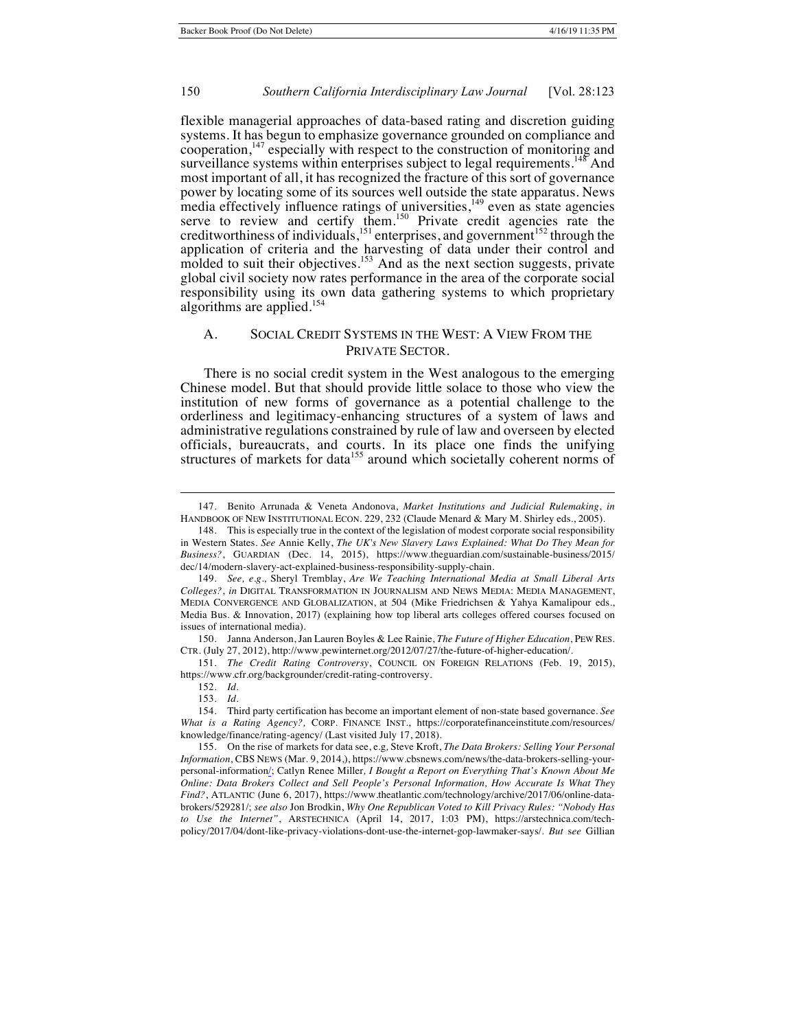flexible managerial approaches of data-based rating and discretion guiding systems. It has begun to emphasize governance grounded on compliance and cooperation, $147$  especially with respect to the construction of monitoring and surveillance systems within enterprises subject to legal requirements.<sup>148</sup> And most important of all, it has recognized the fracture of this sort of governance power by locating some of its sources well outside the state apparatus. News media effectively influence ratings of universities,<sup>149</sup> even as state agencies serve to review and certify them.<sup>150</sup> Private credit agencies rate the creditworthiness of individuals,  $151$  enterprises, and government  $152$  through the application of criteria and the harvesting of data under their control and molded to suit their objectives.<sup>153</sup> And as the next section suggests, private global civil society now rates performance in the area of the corporate social responsibility using its own data gathering systems to which proprietary algorithms are applied.<sup>154</sup>

# A. SOCIAL CREDIT SYSTEMS IN THE WEST: A VIEW FROM THE PRIVATE SECTOR.

There is no social credit system in the West analogous to the emerging Chinese model. But that should provide little solace to those who view the institution of new forms of governance as a potential challenge to the orderliness and legitimacy-enhancing structures of a system of laws and administrative regulations constrained by rule of law and overseen by elected officials, bureaucrats, and courts. In its place one finds the unifying structures of markets for data<sup>155</sup> around which societally coherent norms of

151. *The Credit Rating Controversy*, COUNCIL ON FOREIGN RELATIONS (Feb. 19, 2015), https://www.cfr.org/backgrounder/credit-rating-controversy.

 <sup>147.</sup> Benito Arrunada & Veneta Andonova, *Market Institutions and Judicial Rulemaking*, *in* HANDBOOK OF NEW INSTITUTIONAL ECON. 229, 232 (Claude Menard & Mary M. Shirley eds., 2005).

<sup>148.</sup> This is especially true in the context of the legislation of modest corporate social responsibility in Western States. *See* Annie Kelly, *The UK's New Slavery Laws Explained: What Do They Mean for Business?*, GUARDIAN (Dec. 14, 2015), https://www.theguardian.com/sustainable-business/2015/ dec/14/modern-slavery-act-explained-business-responsibility-supply-chain.

<sup>149.</sup> *See, e.g.,* Sheryl Tremblay, *Are We Teaching International Media at Small Liberal Arts Colleges?*, *in* DIGITAL TRANSFORMATION IN JOURNALISM AND NEWS MEDIA: MEDIA MANAGEMENT, MEDIA CONVERGENCE AND GLOBALIZATION, at 504 (Mike Friedrichsen & Yahya Kamalipour eds., Media Bus. & Innovation, 2017) (explaining how top liberal arts colleges offered courses focused on issues of international media).

<sup>150.</sup> Janna Anderson, Jan Lauren Boyles & Lee Rainie, *The Future of Higher Education*, PEW RES. CTR. (July 27, 2012), http://www.pewinternet.org/2012/07/27/the-future-of-higher-education/.

<sup>152.</sup> *Id.* 

<sup>153.</sup> *Id.* 

<sup>154.</sup> Third party certification has become an important element of non-state based governance. *See What is a Rating Agency?,* CORP. FINANCE INST., https://corporatefinanceinstitute.com/resources/ knowledge/finance/rating-agency/ (Last visited July 17, 2018).

<sup>155.</sup> On the rise of markets for data see, e.g*,* Steve Kroft, *The Data Brokers: Selling Your Personal Information*, CBS NEWS (Mar. 9, 2014,), https://www.cbsnews.com/news/the-data-brokers-selling-yourpersonal-information/; Catlyn Renee Miller*, I Bought a Report on Everything That's Known About Me Online: Data Brokers Collect and Sell People's Personal Information, How Accurate Is What They Find?*, ATLANTIC (June 6, 2017), https://www.theatlantic.com/technology/archive/2017/06/online-databrokers/529281/; *see also* Jon Brodkin, *Why One Republican Voted to Kill Privacy Rules: "Nobody Has to Use the Internet"*, ARSTECHNICA (April 14, 2017, 1:03 PM), https://arstechnica.com/techpolicy/2017/04/dont-like-privacy-violations-dont-use-the-internet-gop-lawmaker-says/. *But* s*ee* Gillian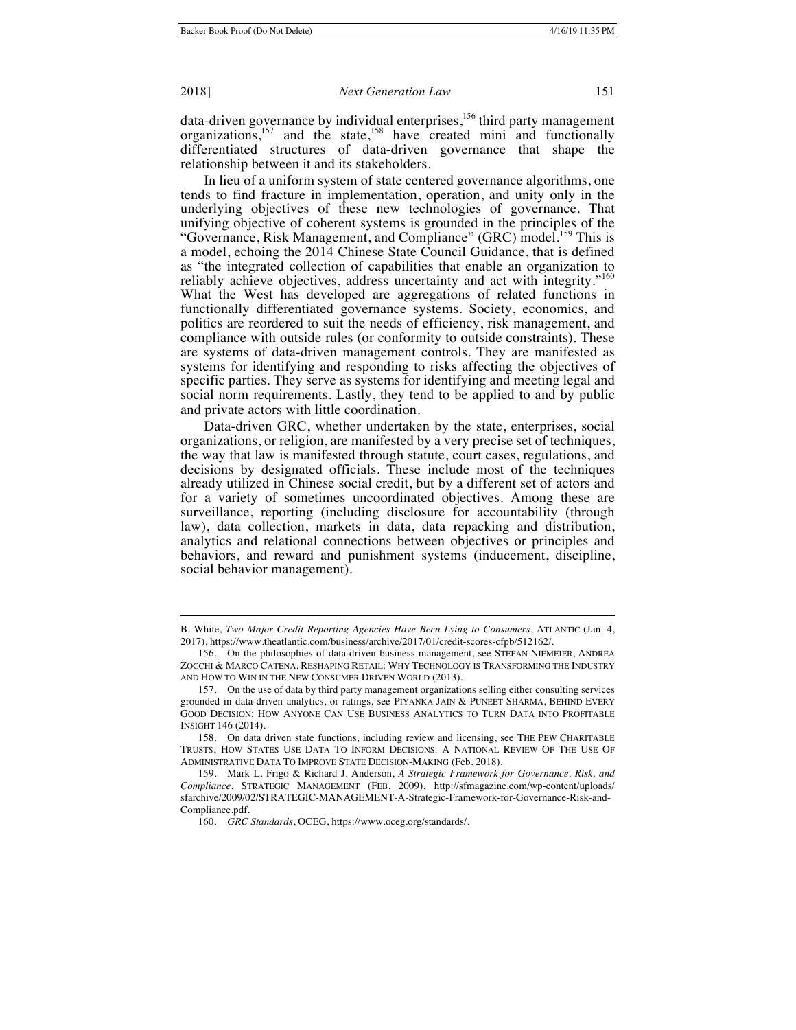data-driven governance by individual enterprises,<sup>156</sup> third party management organizations,<sup>157</sup> and the state,<sup>158</sup> have created mini and functionally differentiated structures of data-driven governance that shape the relationship between it and its stakeholders.

In lieu of a uniform system of state centered governance algorithms, one tends to find fracture in implementation, operation, and unity only in the underlying objectives of these new technologies of governance. That unifying objective of coherent systems is grounded in the principles of the "Governance, Risk Management, and Compliance" (GRC) model<sup>159</sup> This is a model, echoing the 2014 Chinese State Council Guidance, that is defined as "the integrated collection of capabilities that enable an organization to reliably achieve objectives, address uncertainty and act with integrity."<sup>160</sup> What the West has developed are aggregations of related functions in functionally differentiated governance systems. Society, economics, and politics are reordered to suit the needs of efficiency, risk management, and compliance with outside rules (or conformity to outside constraints). These are systems of data-driven management controls. They are manifested as systems for identifying and responding to risks affecting the objectives of specific parties. They serve as systems for identifying and meeting legal and social norm requirements. Lastly, they tend to be applied to and by public and private actors with little coordination.

Data-driven GRC, whether undertaken by the state, enterprises, social organizations, or religion, are manifested by a very precise set of techniques, the way that law is manifested through statute, court cases, regulations, and decisions by designated officials. These include most of the techniques already utilized in Chinese social credit, but by a different set of actors and for a variety of sometimes uncoordinated objectives. Among these are surveillance, reporting (including disclosure for accountability (through law), data collection, markets in data, data repacking and distribution, analytics and relational connections between objectives or principles and behaviors, and reward and punishment systems (inducement, discipline, social behavior management).

B. White, *Two Major Credit Reporting Agencies Have Been Lying to Consumers*, ATLANTIC (Jan. 4, 2017), https://www.theatlantic.com/business/archive/2017/01/credit-scores-cfpb/512162/.

<sup>156.</sup> On the philosophies of data-driven business management, see STEFAN NIEMEIER, ANDREA ZOCCHI & MARCO CATENA, RESHAPING RETAIL: WHY TECHNOLOGY IS TRANSFORMING THE INDUSTRY AND HOW TO WIN IN THE NEW CONSUMER DRIVEN WORLD (2013).

<sup>157.</sup> On the use of data by third party management organizations selling either consulting services grounded in data-driven analytics, or ratings, see PIYANKA JAIN & PUNEET SHARMA, BEHIND EVERY GOOD DECISION: HOW ANYONE CAN USE BUSINESS ANALYTICS TO TURN DATA INTO PROFITABLE INSIGHT 146 (2014).

<sup>158.</sup> On data driven state functions, including review and licensing, see THE PEW CHARITABLE TRUSTS, HOW STATES USE DATA TO INFORM DECISIONS: A NATIONAL REVIEW OF THE USE OF ADMINISTRATIVE DATA TO IMPROVE STATE DECISION-MAKING (Feb. 2018).

<sup>159.</sup> Mark L. Frigo & Richard J. Anderson, *A Strategic Framework for Governance, Risk, and Compliance*, STRATEGIC MANAGEMENT (FEB. 2009), http://sfmagazine.com/wp-content/uploads/ sfarchive/2009/02/STRATEGIC-MANAGEMENT-A-Strategic-Framework-for-Governance-Risk-and-Compliance.pdf.

<sup>160.</sup> *GRC Standards*, OCEG, https://www.oceg.org/standards/.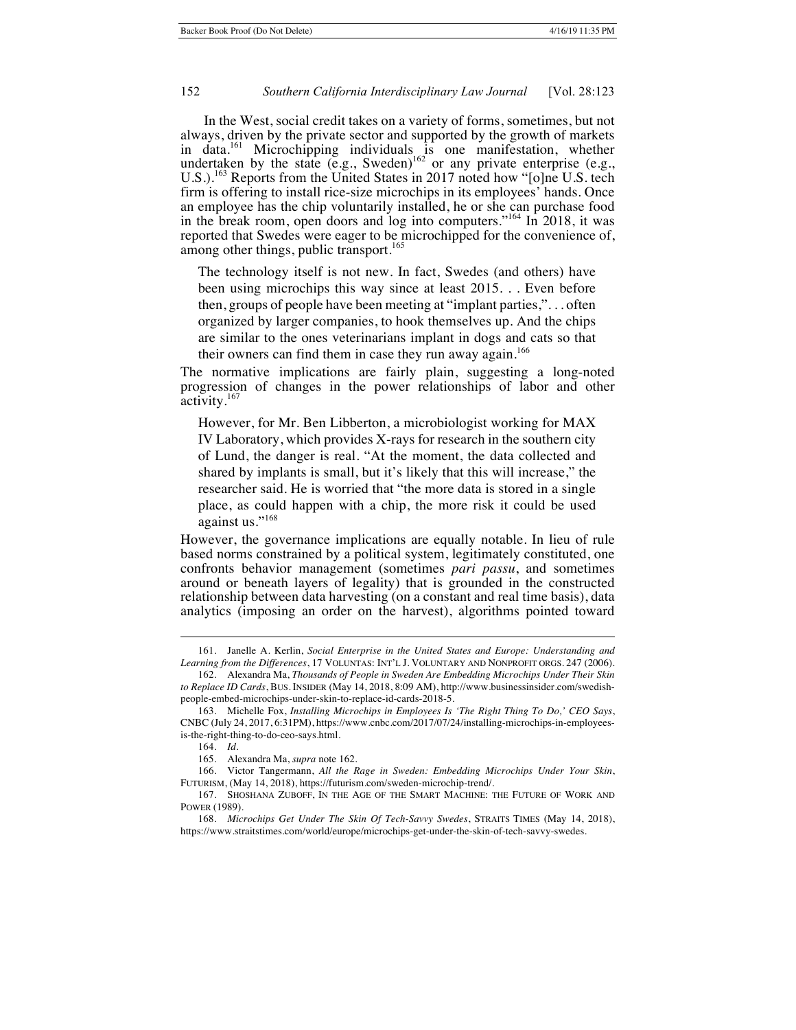In the West, social credit takes on a variety of forms, sometimes, but not always, driven by the private sector and supported by the growth of markets in data.<sup>161</sup> Microchipping individuals is one manifestation, whether undertaken by the state (e.g., Sweden)<sup>162</sup> or any private enterprise (e.g., U.S.).<sup>163</sup> Reports from the United States in 2017 noted how "[o]ne U.S. tech firm is offering to install rice-size microchips in its employees' hands. Once an employee has the chip voluntarily installed, he or she can purchase food in the break room, open doors and log into computers."<sup>164</sup> In 2018, it was reported that Swedes were eager to be microchipped for the convenience of, among other things, public transport.<sup>165</sup>

The technology itself is not new. In fact, Swedes (and others) have been using microchips this way since at least 2015. . . Even before then, groups of people have been meeting at "implant parties,". . . often organized by larger companies, to hook themselves up. And the chips are similar to the ones veterinarians implant in dogs and cats so that their owners can find them in case they run away again.<sup>166</sup>

The normative implications are fairly plain, suggesting a long-noted progression of changes in the power relationships of labor and other activity.<sup>167</sup>

However, for Mr. Ben Libberton, a microbiologist working for MAX IV Laboratory, which provides X-rays for research in the southern city of Lund, the danger is real. "At the moment, the data collected and shared by implants is small, but it's likely that this will increase," the researcher said. He is worried that "the more data is stored in a single place, as could happen with a chip, the more risk it could be used against us."<sup>168</sup>

However, the governance implications are equally notable. In lieu of rule based norms constrained by a political system, legitimately constituted, one confronts behavior management (sometimes *pari passu*, and sometimes around or beneath layers of legality) that is grounded in the constructed relationship between data harvesting (on a constant and real time basis), data analytics (imposing an order on the harvest), algorithms pointed toward

 <sup>161.</sup> Janelle A. Kerlin, *Social Enterprise in the United States and Europe: Understanding and Learning from the Differences*, 17 VOLUNTAS: INT'L J. VOLUNTARY AND NONPROFIT ORGS. 247 (2006).

<sup>162.</sup> Alexandra Ma, *Thousands of People in Sweden Are Embedding Microchips Under Their Skin to Replace ID Cards*, BUS. INSIDER (May 14, 2018, 8:09 AM), http://www.businessinsider.com/swedishpeople-embed-microchips-under-skin-to-replace-id-cards-2018-5.

<sup>163.</sup> Michelle Fox, *Installing Microchips in Employees Is 'The Right Thing To Do,' CEO Says*, CNBC (July 24, 2017, 6:31PM), https://www.cnbc.com/2017/07/24/installing-microchips-in-employeesis-the-right-thing-to-do-ceo-says.html.

<sup>164.</sup> *Id.*

<sup>165.</sup> Alexandra Ma, *supra* note 162.

<sup>166.</sup> Victor Tangermann, *All the Rage in Sweden: Embedding Microchips Under Your Skin*, FUTURISM, (May 14, 2018), https://futurism.com/sweden-microchip-trend/.

<sup>167.</sup> SHOSHANA ZUBOFF, IN THE AGE OF THE SMART MACHINE: THE FUTURE OF WORK AND POWER (1989).

<sup>168.</sup> *Microchips Get Under The Skin Of Tech-Savvy Swedes*, STRAITS TIMES (May 14, 2018), https://www.straitstimes.com/world/europe/microchips-get-under-the-skin-of-tech-savvy-swedes.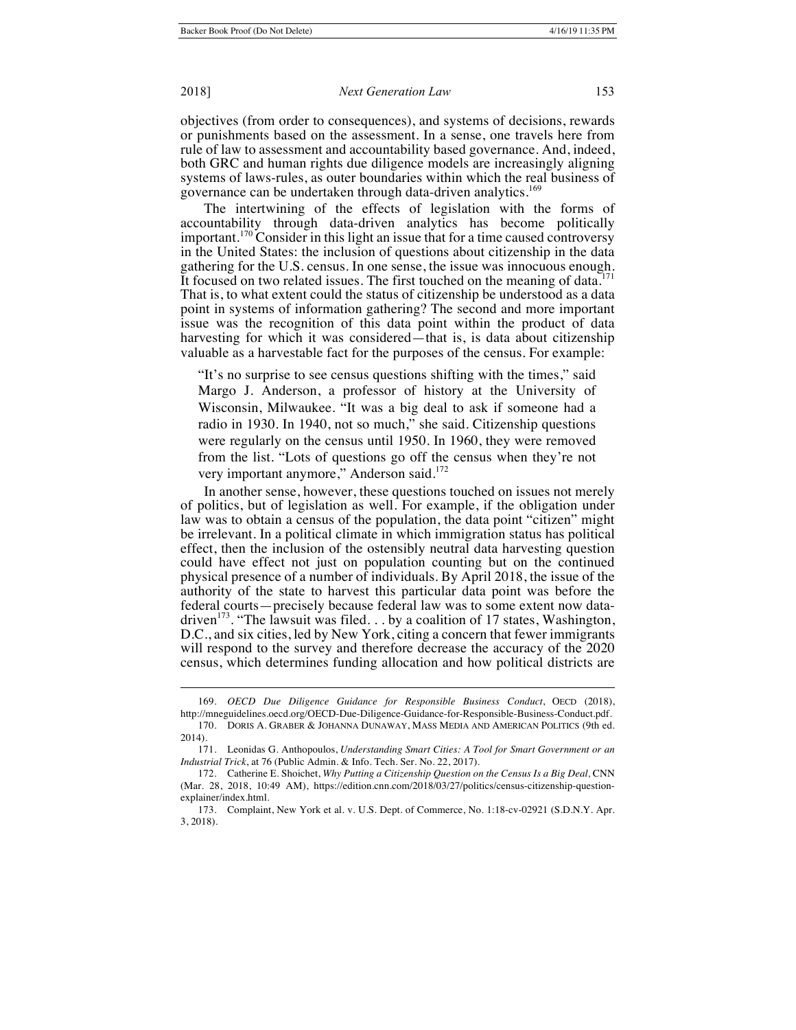objectives (from order to consequences), and systems of decisions, rewards or punishments based on the assessment. In a sense, one travels here from rule of law to assessment and accountability based governance. And, indeed, both GRC and human rights due diligence models are increasingly aligning systems of laws-rules, as outer boundaries within which the real business of governance can be undertaken through data-driven analytics.<sup>169</sup>

The intertwining of the effects of legislation with the forms of accountability through data-driven analytics has become politically important.<sup>170</sup> Consider in this light an issue that for a time caused controversy in the United States: the inclusion of questions about citizenship in the data gathering for the U.S. census. In one sense, the issue was innocuous enough. It focused on two related issues. The first touched on the meaning of data.<sup>171</sup> That is, to what extent could the status of citizenship be understood as a data point in systems of information gathering? The second and more important issue was the recognition of this data point within the product of data harvesting for which it was considered—that is, is data about citizenship valuable as a harvestable fact for the purposes of the census. For example:

"It's no surprise to see census questions shifting with the times," said Margo J. Anderson, a professor of history at the University of Wisconsin, Milwaukee. "It was a big deal to ask if someone had a radio in 1930. In 1940, not so much," she said. Citizenship questions were regularly on the census until 1950. In 1960, they were removed from the list. "Lots of questions go off the census when they're not very important anymore," Anderson said.<sup>172</sup>

In another sense, however, these questions touched on issues not merely of politics, but of legislation as well. For example, if the obligation under law was to obtain a census of the population, the data point "citizen" might be irrelevant. In a political climate in which immigration status has political effect, then the inclusion of the ostensibly neutral data harvesting question could have effect not just on population counting but on the continued physical presence of a number of individuals. By April 2018, the issue of the authority of the state to harvest this particular data point was before the federal courts—precisely because federal law was to some extent now datadriven<sup>173</sup>. "The lawsuit was filed. . . by a coalition of 17 states, Washington, D.C., and six cities, led by New York, citing a concern that fewer immigrants will respond to the survey and therefore decrease the accuracy of the 2020 census, which determines funding allocation and how political districts are

 <sup>169</sup>*. OECD Due Diligence Guidance for Responsible Business Conduct*, OECD (2018), http://mneguidelines.oecd.org/OECD-Due-Diligence-Guidance-for-Responsible-Business-Conduct.pdf.

<sup>170.</sup> DORIS A. GRABER & JOHANNA DUNAWAY, MASS MEDIA AND AMERICAN POLITICS (9th ed. 2014).

<sup>171.</sup> Leonidas G. Anthopoulos, *Understanding Smart Cities: A Tool for Smart Government or an Industrial Trick*, at 76 (Public Admin. & Info. Tech. Ser. No. 22, 2017).

<sup>172.</sup> Catherine E. Shoichet, *Why Putting a Citizenship Question on the Census Is a Big Deal,* CNN (Mar. 28, 2018, 10:49 AM), https://edition.cnn.com/2018/03/27/politics/census-citizenship-questionexplainer/index.html.

<sup>173.</sup> Complaint, New York et al. v. U.S. Dept. of Commerce, No. 1:18-cv-02921 (S.D.N.Y. Apr. 3, 2018).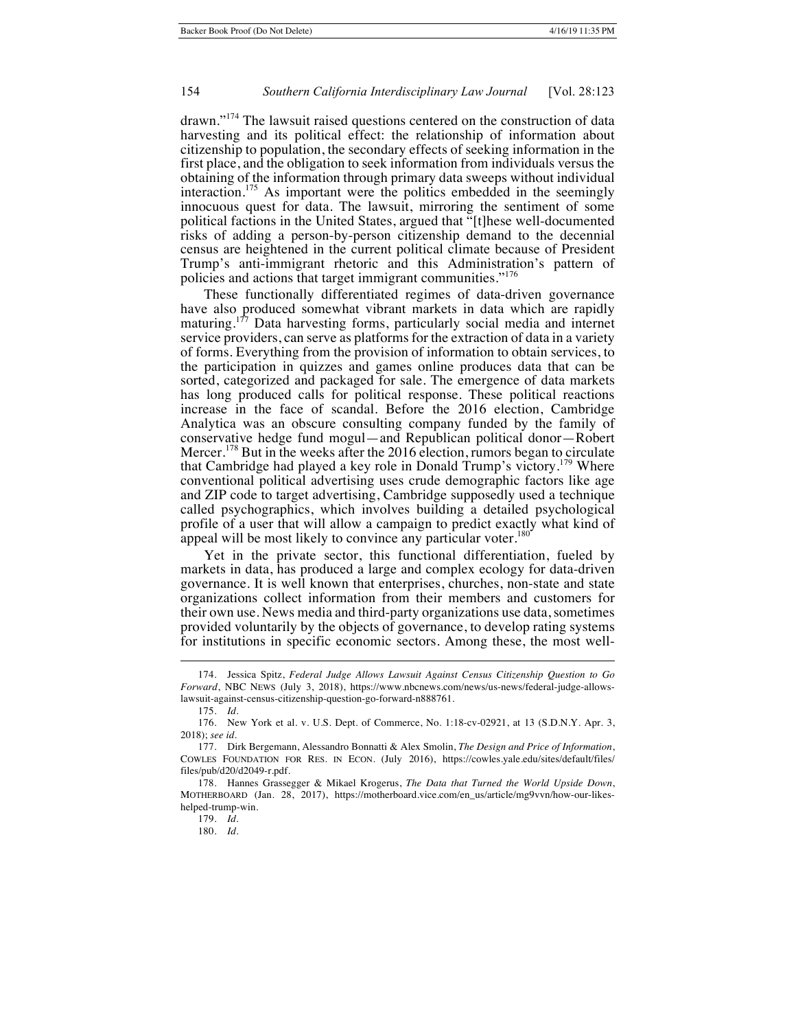drawn."<sup>174</sup> The lawsuit raised questions centered on the construction of data harvesting and its political effect: the relationship of information about citizenship to population, the secondary effects of seeking information in the first place, and the obligation to seek information from individuals versus the obtaining of the information through primary data sweeps without individual interaction. <sup>175</sup> As important were the politics embedded in the seemingly innocuous quest for data. The lawsuit, mirroring the sentiment of some political factions in the United States, argued that "[t]hese well-documented risks of adding a person-by-person citizenship demand to the decennial census are heightened in the current political climate because of President Trump's anti-immigrant rhetoric and this Administration's pattern of policies and actions that target immigrant communities."<sup>176</sup>

These functionally differentiated regimes of data-driven governance have also produced somewhat vibrant markets in data which are rapidly maturing.<sup>177</sup> Data harvesting forms, particularly social media and internet service providers, can serve as platforms for the extraction of data in a variety of forms. Everything from the provision of information to obtain services, to the participation in quizzes and games online produces data that can be sorted, categorized and packaged for sale. The emergence of data markets has long produced calls for political response. These political reactions increase in the face of scandal. Before the 2016 election, Cambridge Analytica was an obscure consulting company funded by the family of conservative hedge fund mogul—and Republican political donor—Robert Mercer.<sup>178</sup> But in the weeks after the 2016 election, rumors began to circulate that Cambridge had played a key role in Donald Trump's victory.<sup>179</sup> Where conventional political advertising uses crude demographic factors like age and ZIP code to target advertising, Cambridge supposedly used a technique called psychographics, which involves building a detailed psychological profile of a user that will allow a campaign to predict exactly what kind of appeal will be most likely to convince any particular voter.<sup>180</sup>

Yet in the private sector, this functional differentiation, fueled by markets in data, has produced a large and complex ecology for data-driven governance. It is well known that enterprises, churches, non-state and state organizations collect information from their members and customers for their own use. News media and third-party organizations use data, sometimes provided voluntarily by the objects of governance, to develop rating systems for institutions in specific economic sectors. Among these, the most well-

 <sup>174.</sup> Jessica Spitz, *Federal Judge Allows Lawsuit Against Census Citizenship Question to Go Forward*, NBC NEWS (July 3, 2018), https://www.nbcnews.com/news/us-news/federal-judge-allowslawsuit-against-census-citizenship-question-go-forward-n888761.

<sup>175.</sup> *Id.*

<sup>176.</sup> New York et al. v. U.S. Dept. of Commerce, No. 1:18-cv-02921, at 13 (S.D.N.Y. Apr. 3, 2018); *see id*.

<sup>177.</sup> Dirk Bergemann, Alessandro Bonnatti & Alex Smolin, *The Design and Price of Information*, COWLES FOUNDATION FOR RES. IN ECON. (July 2016), https://cowles.yale.edu/sites/default/files/ files/pub/d20/d2049-r.pdf.

<sup>178.</sup> Hannes Grassegger & Mikael Krogerus, *The Data that Turned the World Upside Down*, MOTHERBOARD (Jan. 28, 2017), https://motherboard.vice.com/en\_us/article/mg9vvn/how-our-likeshelped-trump-win.

<sup>179.</sup> *Id.*

<sup>180.</sup> *Id.*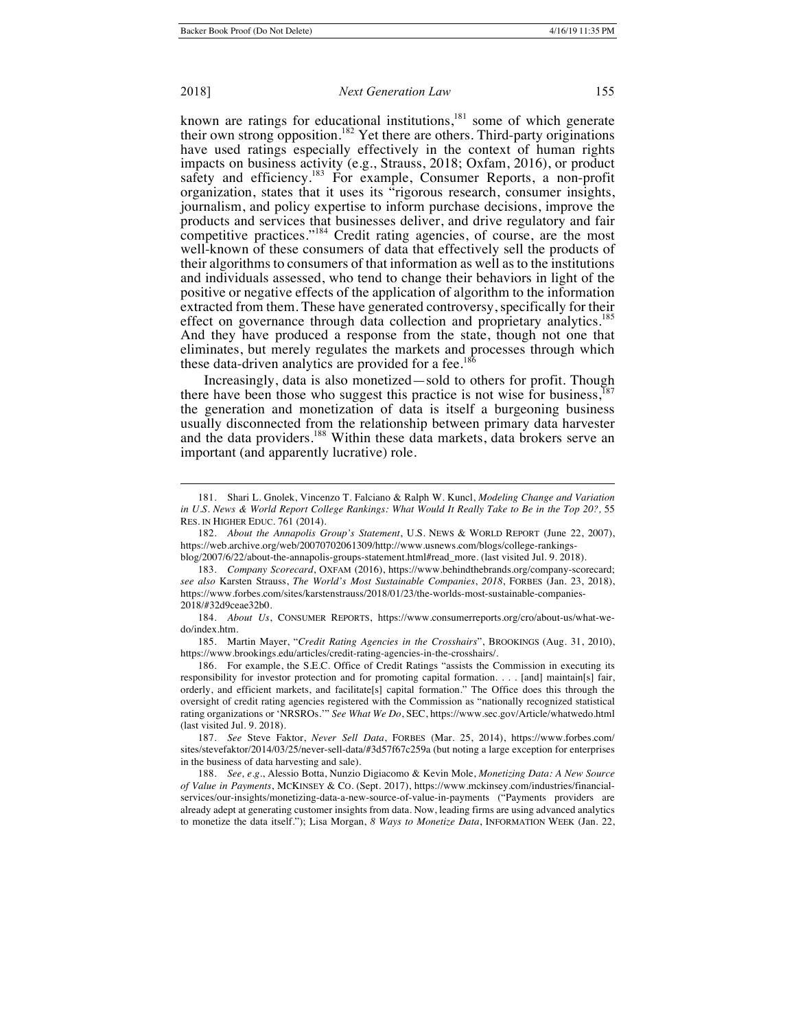known are ratings for educational institutions,<sup>181</sup> some of which generate their own strong opposition.<sup>182</sup> Yet there are others. Third-party originations have used ratings especially effectively in the context of human rights impacts on business activity (e.g., Strauss, 2018; Oxfam, 2016), or product safety and efficiency.<sup>183</sup> For example, Consumer Reports, a non-profit organization, states that it uses its "rigorous research, consumer insights, journalism, and policy expertise to inform purchase decisions, improve the products and services that businesses deliver, and drive regulatory and fair competitive practices."<sup>184</sup> Credit rating agencies, of course, are the most well-known of these consumers of data that effectively sell the products of their algorithms to consumers of that information as well as to the institutions and individuals assessed, who tend to change their behaviors in light of the positive or negative effects of the application of algorithm to the information extracted from them. These have generated controversy, specifically for their effect on governance through data collection and proprietary analytics.<sup>185</sup> And they have produced a response from the state, though not one that eliminates, but merely regulates the markets and processes through which these data-driven analytics are provided for a fee.<sup>18</sup>

Increasingly, data is also monetized—sold to others for profit. Though there have been those who suggest this practice is not wise for business, the generation and monetization of data is itself a burgeoning business usually disconnected from the relationship between primary data harvester and the data providers.<sup>188</sup> Within these data markets, data brokers serve an important (and apparently lucrative) role.

 <sup>181.</sup> Shari L. Gnolek, Vincenzo T. Falciano & Ralph W. Kuncl, *Modeling Change and Variation*  in U.S. News & World Report College Rankings: What Would It Really Take to Be in the Top 20?, 55 RES. IN HIGHER EDUC. 761 (2014).

<sup>182.</sup> *About the Annapolis Group's Statement*, U.S. NEWS & WORLD REPORT (June 22, 2007), https://web.archive.org/web/20070702061309/http://www.usnews.com/blogs/college-rankingsblog/2007/6/22/about-the-annapolis-groups-statement.html#read\_more. (last visited Jul. 9. 2018).

<sup>183.</sup> *Company Scorecard*, OXFAM (2016), https://www.behindthebrands.org/company-scorecard; *see also* Karsten Strauss, *The World's Most Sustainable Companies*, *2018*, FORBES (Jan. 23, 2018), https://www.forbes.com/sites/karstenstrauss/2018/01/23/the-worlds-most-sustainable-companies-2018/#32d9ceae32b0.

<sup>184.</sup> *About Us*, CONSUMER REPORTS, https://www.consumerreports.org/cro/about-us/what-wedo/index.htm.

<sup>185.</sup> Martin Mayer, "*Credit Rating Agencies in the Crosshairs*", BROOKINGS (Aug. 31, 2010), https://www.brookings.edu/articles/credit-rating-agencies-in-the-crosshairs/.

<sup>186.</sup> For example, the S.E.C. Office of Credit Ratings "assists the Commission in executing its responsibility for investor protection and for promoting capital formation. . . . [and] maintain[s] fair, orderly, and efficient markets, and facilitate[s] capital formation." The Office does this through the oversight of credit rating agencies registered with the Commission as "nationally recognized statistical rating organizations or 'NRSROs.'" *See What We Do*, SEC, https://www.sec.gov/Article/whatwedo.html (last visited Jul. 9. 2018).

<sup>187.</sup> *See* Steve Faktor, *Never Sell Data*, FORBES (Mar. 25, 2014), https://www.forbes.com/ sites/stevefaktor/2014/03/25/never-sell-data/#3d57f67c259a (but noting a large exception for enterprises in the business of data harvesting and sale).

<sup>188.</sup> *See, e.g.*, Alessio Botta, Nunzio Digiacomo & Kevin Mole, *Monetizing Data: A New Source of Value in Payments*, MCKINSEY & CO. (Sept. 2017), https://www.mckinsey.com/industries/financialservices/our-insights/monetizing-data-a-new-source-of-value-in-payments ("Payments providers are already adept at generating customer insights from data. Now, leading firms are using advanced analytics to monetize the data itself."); Lisa Morgan, *8 Ways to Monetize Data*, INFORMATION WEEK (Jan. 22,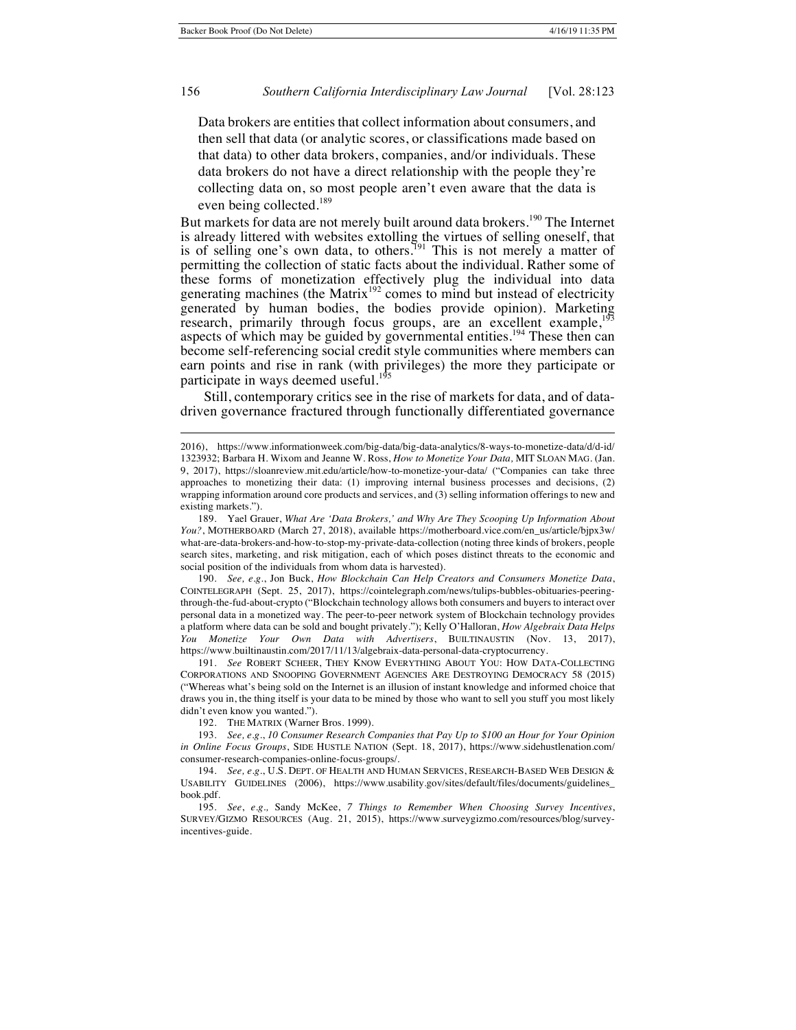Data brokers are entities that collect information about consumers, and then sell that data (or analytic scores, or classifications made based on that data) to other data brokers, companies, and/or individuals. These data brokers do not have a direct relationship with the people they're collecting data on, so most people aren't even aware that the data is even being collected.<sup>189</sup>

But markets for data are not merely built around data brokers.<sup>190</sup> The Internet is already littered with websites extolling the virtues of selling oneself, that is of selling one's own data, to others.<sup>191</sup> This is not merely a matter of permitting the collection of static facts about the individual. Rather some of these forms of monetization effectively plug the individual into data generating machines (the Matrix<sup>192</sup> comes to mind but instead of electricity generated by human bodies, the bodies provide opinion). Marketing research, primarily through focus groups, are an excellent example.<sup>193</sup> aspects of which may be guided by governmental entities.<sup>194</sup> These then can become self-referencing social credit style communities where members can earn points and rise in rank (with privileges) the more they participate or participate in ways deemed useful. $<sup>1</sup>$ </sup>

Still, contemporary critics see in the rise of markets for data, and of datadriven governance fractured through functionally differentiated governance

190. *See, e.g.*, Jon Buck, *How Blockchain Can Help Creators and Consumers Monetize Data*, COINTELEGRAPH (Sept. 25, 2017), https://cointelegraph.com/news/tulips-bubbles-obituaries-peeringthrough-the-fud-about-crypto ("Blockchain technology allows both consumers and buyers to interact over personal data in a monetized way. The peer-to-peer network system of Blockchain technology provides a platform where data can be sold and bought privately."); Kelly O'Halloran, *How Algebraix Data Helps You Monetize Your Own Data with Advertisers*, BUILTINAUSTIN (Nov. 13, 2017), https://www.builtinaustin.com/2017/11/13/algebraix-data-personal-data-cryptocurrency.

191. *See* ROBERT SCHEER, THEY KNOW EVERYTHING ABOUT YOU: HOW DATA-COLLECTING CORPORATIONS AND SNOOPING GOVERNMENT AGENCIES ARE DESTROYING DEMOCRACY 58 (2015) ("Whereas what's being sold on the Internet is an illusion of instant knowledge and informed choice that draws you in, the thing itself is your data to be mined by those who want to sell you stuff you most likely didn't even know you wanted.").

192. THE MATRIX (Warner Bros. 1999).

193. *See, e.g.*, *10 Consumer Research Companies that Pay Up to \$100 an Hour for Your Opinion in Online Focus Groups*, SIDE HUSTLE NATION (Sept. 18, 2017), https://www.sidehustlenation.com/ consumer-research-companies-online-focus-groups/.

195. *See*, *e.g.,* Sandy McKee, *7 Things to Remember When Choosing Survey Incentives*, SURVEY/GIZMO RESOURCES (Aug. 21, 2015), https://www.surveygizmo.com/resources/blog/surveyincentives-guide.

 <sup>2016),</sup> https://www.informationweek.com/big-data/big-data-analytics/8-ways-to-monetize-data/d/d-id/ 1323932; Barbara H. Wixom and Jeanne W. Ross, *How to Monetize Your Data,* MIT SLOAN MAG. (Jan. 9, 2017), https://sloanreview.mit.edu/article/how-to-monetize-your-data/ ("Companies can take three approaches to monetizing their data: (1) improving internal business processes and decisions, (2) wrapping information around core products and services, and (3) selling information offerings to new and existing markets.").

<sup>189.</sup> Yael Grauer, *What Are 'Data Brokers,' and Why Are They Scooping Up Information About You?*, MOTHERBOARD (March 27, 2018), available https://motherboard.vice.com/en\_us/article/bjpx3w/ what-are-data-brokers-and-how-to-stop-my-private-data-collection (noting three kinds of brokers, people search sites, marketing, and risk mitigation, each of which poses distinct threats to the economic and social position of the individuals from whom data is harvested).

<sup>194.</sup> *See, e.g.*, U.S. DEPT. OF HEALTH AND HUMAN SERVICES, RESEARCH-BASED WEB DESIGN & USABILITY GUIDELINES (2006), https://www.usability.gov/sites/default/files/documents/guidelines\_ book.pdf.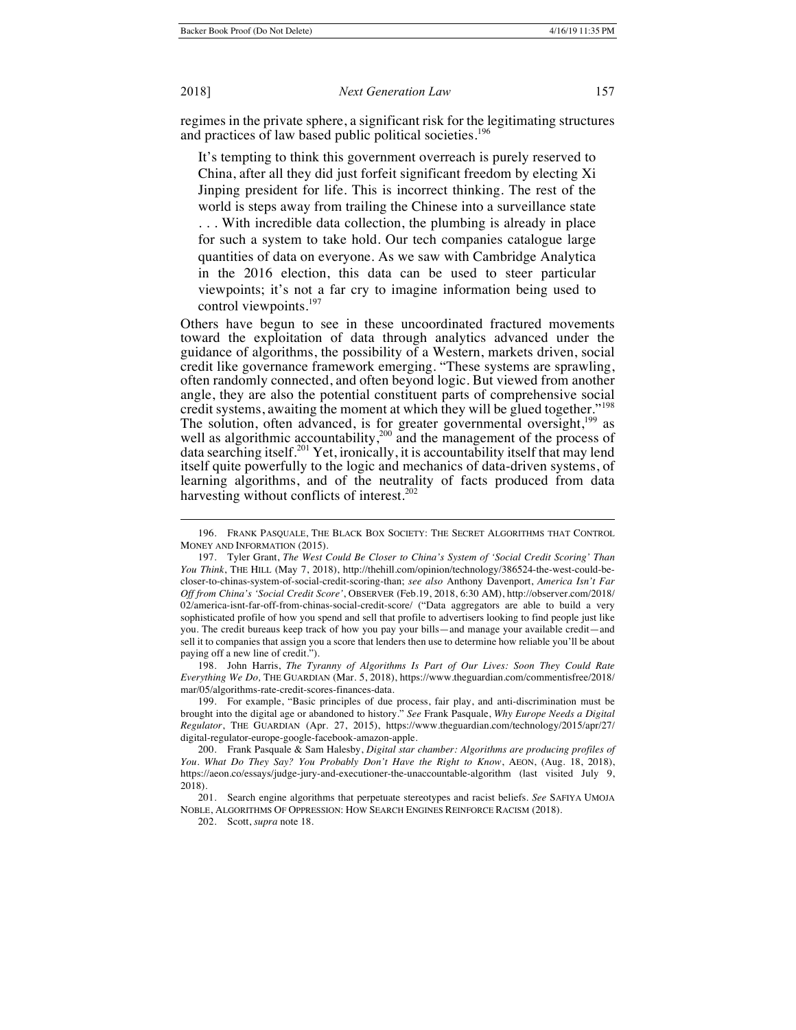regimes in the private sphere, a significant risk for the legitimating structures and practices of law based public political societies.<sup>196</sup>

It's tempting to think this government overreach is purely reserved to China, after all they did just forfeit significant freedom by electing Xi Jinping president for life. This is incorrect thinking. The rest of the world is steps away from trailing the Chinese into a surveillance state

. . . With incredible data collection, the plumbing is already in place for such a system to take hold. Our tech companies catalogue large quantities of data on everyone. As we saw with Cambridge Analytica in the 2016 election, this data can be used to steer particular viewpoints; it's not a far cry to imagine information being used to control viewpoints.<sup>197</sup>

Others have begun to see in these uncoordinated fractured movements toward the exploitation of data through analytics advanced under the guidance of algorithms, the possibility of a Western, markets driven, social credit like governance framework emerging. "These systems are sprawling, often randomly connected, and often beyond logic. But viewed from another angle, they are also the potential constituent parts of comprehensive social credit systems, awaiting the moment at which they will be glued together."<sup>198</sup> The solution, often advanced, is for greater governmental oversight,<sup>199</sup> as well as algorithmic accountability,<sup>200</sup> and the management of the process of data searching itself. <sup>201</sup> Yet, ironically, it is accountability itself that may lend itself quite powerfully to the logic and mechanics of data-driven systems, of learning algorithms, and of the neutrality of facts produced from data harvesting without conflicts of interest. 202

198. John Harris, *The Tyranny of Algorithms Is Part of Our Lives: Soon They Could Rate Everything We Do,* THE GUARDIAN (Mar. 5, 2018), https://www.theguardian.com/commentisfree/2018/ mar/05/algorithms-rate-credit-scores-finances-data.

199. For example, "Basic principles of due process, fair play, and anti-discrimination must be brought into the digital age or abandoned to history." *See* Frank Pasquale, *Why Europe Needs a Digital Regulator*, THE GUARDIAN (Apr. 27, 2015), https://www.theguardian.com/technology/2015/apr/27/ digital-regulator-europe-google-facebook-amazon-apple.

201. Search engine algorithms that perpetuate stereotypes and racist beliefs. *See* SAFIYA UMOJA NOBLE, ALGORITHMS OF OPPRESSION: HOW SEARCH ENGINES REINFORCE RACISM (2018).

202. Scott, *supra* note 18.

 <sup>196.</sup> FRANK PASQUALE, THE BLACK BOX SOCIETY: THE SECRET ALGORITHMS THAT CONTROL MONEY AND INFORMATION (2015).

<sup>197.</sup> Tyler Grant, *The West Could Be Closer to China's System of 'Social Credit Scoring' Than You Think*, THE HILL (May 7, 2018), http://thehill.com/opinion/technology/386524-the-west-could-becloser-to-chinas-system-of-social-credit-scoring-than; *see also* Anthony Davenport, *America Isn't Far Off from China's 'Social Credit Score'*, OBSERVER (Feb.19, 2018, 6:30 AM), http://observer.com/2018/ 02/america-isnt-far-off-from-chinas-social-credit-score/ ("Data aggregators are able to build a very sophisticated profile of how you spend and sell that profile to advertisers looking to find people just like you. The credit bureaus keep track of how you pay your bills—and manage your available credit—and sell it to companies that assign you a score that lenders then use to determine how reliable you'll be about paying off a new line of credit.").

<sup>200.</sup> Frank Pasquale & Sam Halesby, *Digital star chamber: Algorithms are producing profiles of You. What Do They Say? You Probably Don't Have the Right to Know*, AEON, (Aug. 18, 2018), https://aeon.co/essays/judge-jury-and-executioner-the-unaccountable-algorithm (last visited July 9, 2018).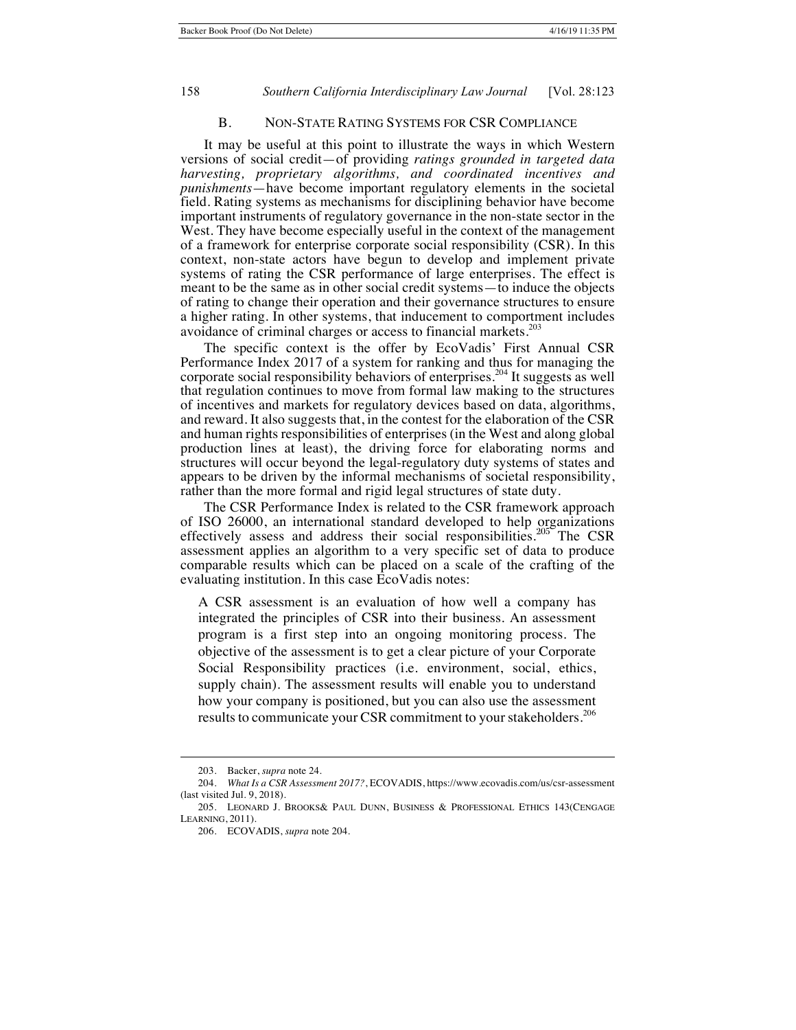# B. NON-STATE RATING SYSTEMS FOR CSR COMPLIANCE

It may be useful at this point to illustrate the ways in which Western versions of social credit—of providing *ratings grounded in targeted data harvesting, proprietary algorithms, and coordinated incentives and punishments*—have become important regulatory elements in the societal field. Rating systems as mechanisms for disciplining behavior have become important instruments of regulatory governance in the non-state sector in the West. They have become especially useful in the context of the management of a framework for enterprise corporate social responsibility (CSR). In this context, non-state actors have begun to develop and implement private systems of rating the CSR performance of large enterprises. The effect is meant to be the same as in other social credit systems—to induce the objects of rating to change their operation and their governance structures to ensure a higher rating. In other systems, that inducement to comportment includes avoidance of criminal charges or access to financial markets. 203

The specific context is the offer by EcoVadis' First Annual CSR Performance Index 2017 of a system for ranking and thus for managing the corporate social responsibility behaviors of enterprises.<sup>204</sup> It suggests as well that regulation continues to move from formal law making to the structures of incentives and markets for regulatory devices based on data, algorithms, and reward. It also suggests that, in the contest for the elaboration of the CSR and human rights responsibilities of enterprises (in the West and along global production lines at least), the driving force for elaborating norms and structures will occur beyond the legal-regulatory duty systems of states and appears to be driven by the informal mechanisms of societal responsibility, rather than the more formal and rigid legal structures of state duty.

The CSR Performance Index is related to the CSR framework approach of ISO 26000, an international standard developed to help organizations effectively assess and address their social responsibilities.<sup>205°</sup> The CSR assessment applies an algorithm to a very specific set of data to produce comparable results which can be placed on a scale of the crafting of the evaluating institution. In this case EcoVadis notes:

A CSR assessment is an evaluation of how well a company has integrated the principles of CSR into their business. An assessment program is a first step into an ongoing monitoring process. The objective of the assessment is to get a clear picture of your Corporate Social Responsibility practices (i.e. environment, social, ethics, supply chain). The assessment results will enable you to understand how your company is positioned, but you can also use the assessment results to communicate your CSR commitment to your stakeholders.<sup>206</sup>

 <sup>203.</sup> Backer, *supra* note 24.

<sup>204.</sup> *What Is a CSR Assessment 2017?*, ECOVADIS, https://www.ecovadis.com/us/csr-assessment (last visited Jul. 9, 2018).

<sup>205.</sup> LEONARD J. BROOKS& PAUL DUNN, BUSINESS & PROFESSIONAL ETHICS 143(CENGAGE LEARNING, 2011).

<sup>206.</sup> ECOVADIS, *supra* note 204.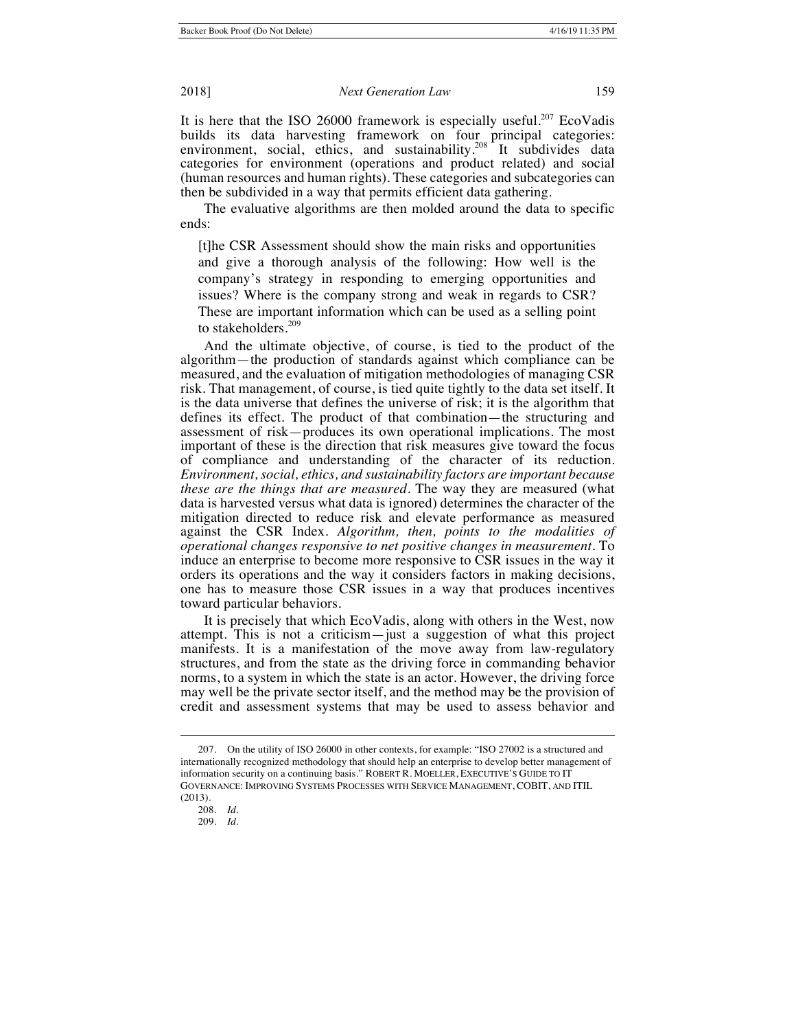It is here that the ISO 26000 framework is especially useful.<sup>207</sup> EcoVadis builds its data harvesting framework on four principal categories: environment, social, ethics, and sustainability.<sup>208</sup> It subdivides data categories for environment (operations and product related) and social (human resources and human rights). These categories and subcategories can then be subdivided in a way that permits efficient data gathering.

The evaluative algorithms are then molded around the data to specific ends:

[t]he CSR Assessment should show the main risks and opportunities and give a thorough analysis of the following: How well is the company's strategy in responding to emerging opportunities and issues? Where is the company strong and weak in regards to CSR? These are important information which can be used as a selling point to stakeholders.<sup>209</sup>

And the ultimate objective, of course, is tied to the product of the algorithm—the production of standards against which compliance can be measured, and the evaluation of mitigation methodologies of managing CSR risk. That management, of course, is tied quite tightly to the data set itself. It is the data universe that defines the universe of risk; it is the algorithm that defines its effect. The product of that combination—the structuring and assessment of risk—produces its own operational implications. The most important of these is the direction that risk measures give toward the focus of compliance and understanding of the character of its reduction. *Environment, social, ethics, and sustainability factors are important because these are the things that are measured*. The way they are measured (what data is harvested versus what data is ignored) determines the character of the mitigation directed to reduce risk and elevate performance as measured against the CSR Index. *Algorithm, then, points to the modalities of operational changes responsive to net positive changes in measurement*. To induce an enterprise to become more responsive to CSR issues in the way it orders its operations and the way it considers factors in making decisions, one has to measure those CSR issues in a way that produces incentives toward particular behaviors.

It is precisely that which EcoVadis, along with others in the West, now attempt. This is not a criticism—just a suggestion of what this project manifests. It is a manifestation of the move away from law-regulatory structures, and from the state as the driving force in commanding behavior norms, to a system in which the state is an actor. However, the driving force may well be the private sector itself, and the method may be the provision of credit and assessment systems that may be used to assess behavior and

 <sup>207.</sup> On the utility of ISO 26000 in other contexts, for example: "ISO 27002 is a structured and internationally recognized methodology that should help an enterprise to develop better management of information security on a continuing basis." ROBERT R. MOELLER, EXECUTIVE'S GUIDE TO IT GOVERNANCE: IMPROVING SYSTEMS PROCESSES WITH SERVICE MANAGEMENT, COBIT, AND ITIL (2013).

<sup>208.</sup> *Id.*

<sup>209.</sup> *Id.*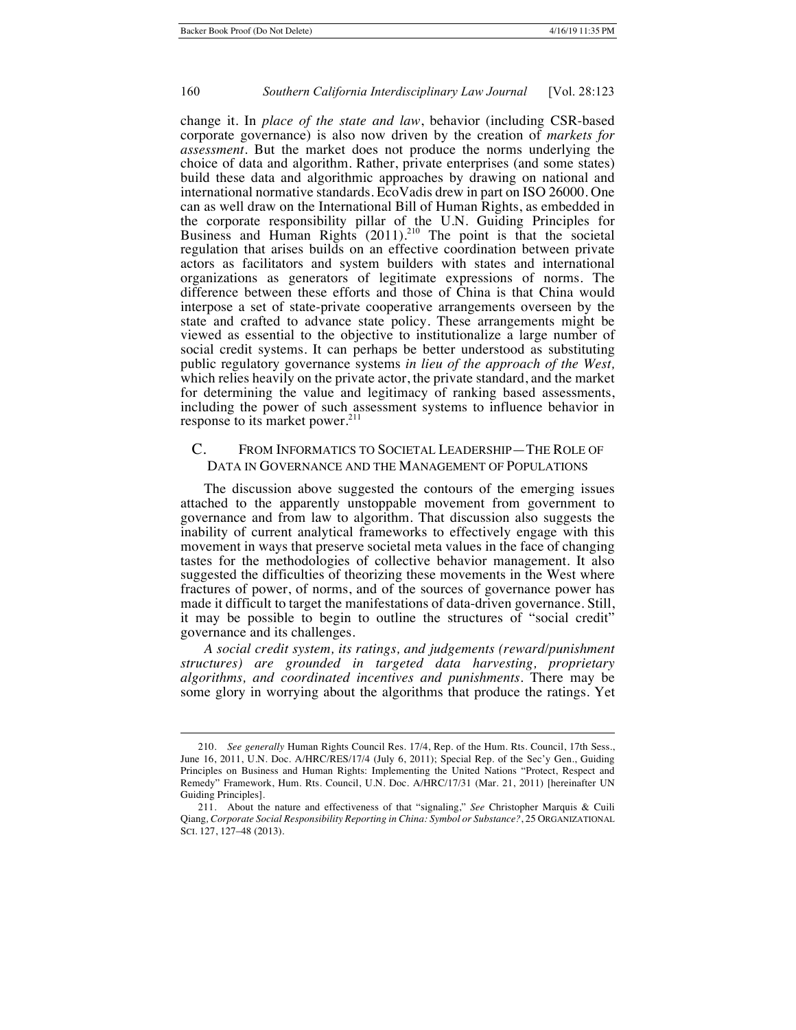change it. In *place of the state and law*, behavior (including CSR-based corporate governance) is also now driven by the creation of *markets for assessment*. But the market does not produce the norms underlying the choice of data and algorithm. Rather, private enterprises (and some states) build these data and algorithmic approaches by drawing on national and international normative standards. EcoVadis drew in part on ISO 26000. One can as well draw on the International Bill of Human Rights, as embedded in the corporate responsibility pillar of the U.N. Guiding Principles for Business and Human Rights  $(2011)^{210}$  The point is that the societal regulation that arises builds on an effective coordination between private actors as facilitators and system builders with states and international organizations as generators of legitimate expressions of norms. The difference between these efforts and those of China is that China would interpose a set of state-private cooperative arrangements overseen by the state and crafted to advance state policy. These arrangements might be viewed as essential to the objective to institutionalize a large number of social credit systems. It can perhaps be better understood as substituting public regulatory governance systems *in lieu of the approach of the West,*  which relies heavily on the private actor, the private standard, and the market for determining the value and legitimacy of ranking based assessments, including the power of such assessment systems to influence behavior in response to its market power.<sup>211</sup>

# C. FROM INFORMATICS TO SOCIETAL LEADERSHIP—THE ROLE OF DATA IN GOVERNANCE AND THE MANAGEMENT OF POPULATIONS

The discussion above suggested the contours of the emerging issues attached to the apparently unstoppable movement from government to governance and from law to algorithm. That discussion also suggests the inability of current analytical frameworks to effectively engage with this movement in ways that preserve societal meta values in the face of changing tastes for the methodologies of collective behavior management. It also suggested the difficulties of theorizing these movements in the West where fractures of power, of norms, and of the sources of governance power has made it difficult to target the manifestations of data-driven governance. Still, it may be possible to begin to outline the structures of "social credit" governance and its challenges.

*A social credit system, its ratings, and judgements (reward/punishment structures) are grounded in targeted data harvesting, proprietary algorithms, and coordinated incentives and punishments*. There may be some glory in worrying about the algorithms that produce the ratings. Yet

 <sup>210.</sup> *See generally* Human Rights Council Res. 17/4, Rep. of the Hum. Rts. Council, 17th Sess., June 16, 2011, U.N. Doc. A/HRC/RES/17/4 (July 6, 2011); Special Rep. of the Sec'y Gen., Guiding Principles on Business and Human Rights: Implementing the United Nations "Protect, Respect and Remedy" Framework, Hum. Rts. Council, U.N. Doc. A/HRC/17/31 (Mar. 21, 2011) [hereinafter UN Guiding Principles].

<sup>211.</sup> About the nature and effectiveness of that "signaling," *See* Christopher Marquis & Cuili Qiang*, Corporate Social Responsibility Reporting in China: Symbol or Substance?*, 25 ORGANIZATIONAL SCI. 127, 127–48 (2013).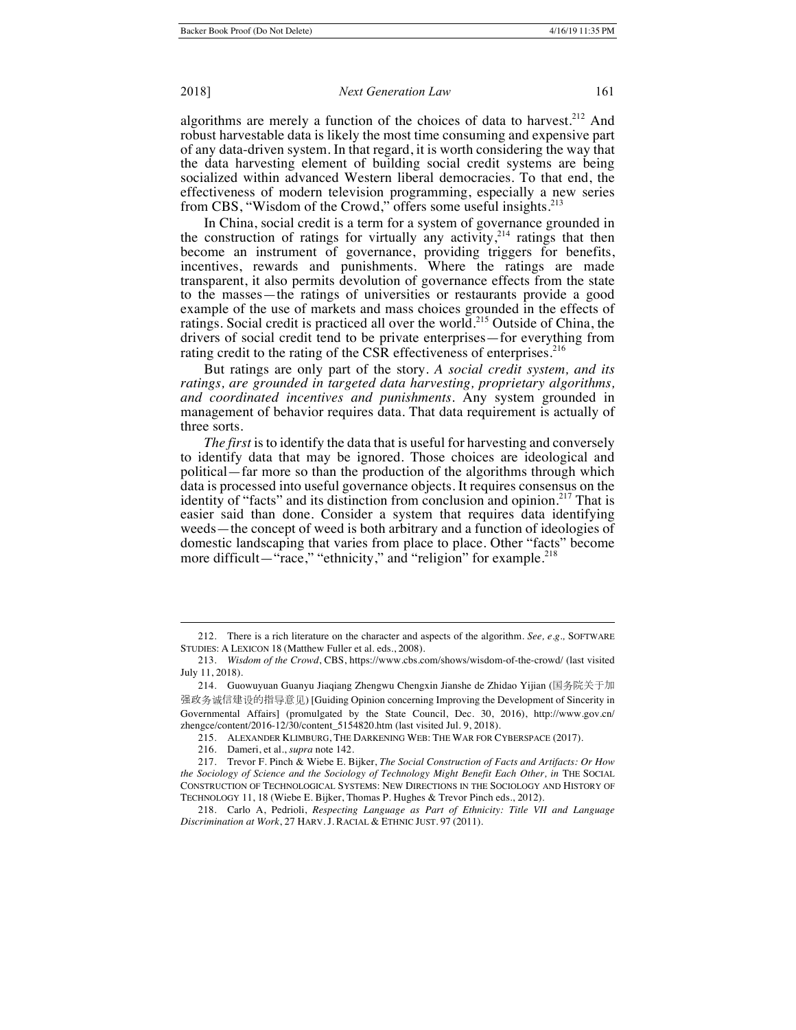algorithms are merely a function of the choices of data to harvest.<sup>212</sup> And robust harvestable data is likely the most time consuming and expensive part of any data-driven system. In that regard, it is worth considering the way that the data harvesting element of building social credit systems are being socialized within advanced Western liberal democracies. To that end, the effectiveness of modern television programming, especially a new series from CBS, "Wisdom of the Crowd," offers some useful insights.<sup>213</sup>

In China, social credit is a term for a system of governance grounded in the construction of ratings for virtually any activity,  $2^{14}$  ratings that then become an instrument of governance, providing triggers for benefits, incentives, rewards and punishments. Where the ratings are made transparent, it also permits devolution of governance effects from the state to the masses—the ratings of universities or restaurants provide a good example of the use of markets and mass choices grounded in the effects of ratings. Social credit is practiced all over the world.<sup>215</sup> Outside of China, the drivers of social credit tend to be private enterprises—for everything from rating credit to the rating of the CSR effectiveness of enterprises.<sup>216</sup>

But ratings are only part of the story. *A social credit system, and its ratings, are grounded in targeted data harvesting, proprietary algorithms, and coordinated incentives and punishments*. Any system grounded in management of behavior requires data. That data requirement is actually of three sorts.

*The first* is to identify the data that is useful for harvesting and conversely to identify data that may be ignored. Those choices are ideological and political—far more so than the production of the algorithms through which data is processed into useful governance objects. It requires consensus on the identity of "facts" and its distinction from conclusion and opinion.<sup>217</sup> That is easier said than done. Consider a system that requires data identifying weeds—the concept of weed is both arbitrary and a function of ideologies of domestic landscaping that varies from place to place. Other "facts" become more difficult—"race," "ethnicity," and "religion" for example.<sup>218</sup>

 <sup>212.</sup> There is a rich literature on the character and aspects of the algorithm. *See, e.g.,* SOFTWARE STUDIES: A LEXICON 18 (Matthew Fuller et al. eds., 2008).

<sup>213.</sup> *Wisdom of the Crowd*, CBS, https://www.cbs.com/shows/wisdom-of-the-crowd/ (last visited July 11, 2018).

<sup>214.</sup> Guowuyuan Guanyu Jiaqiang Zhengwu Chengxin Jianshe de Zhidao Yijian (国务院关于加 强政务诚信建设的指导意见) [Guiding Opinion concerning Improving the Development of Sincerity in Governmental Affairs] (promulgated by the State Council, Dec. 30, 2016), http://www.gov.cn/ zhengce/content/2016-12/30/content\_5154820.htm (last visited Jul. 9, 2018).

<sup>215.</sup> ALEXANDER KLIMBURG, THE DARKENING WEB: THE WAR FOR CYBERSPACE (2017).

<sup>216.</sup> Dameri, et al., *supra* note 142.

<sup>217.</sup> Trevor F. Pinch & Wiebe E. Bijker, *The Social Construction of Facts and Artifacts: Or How*  the Sociology of Science and the Sociology of Technology Might Benefit Each Other, in THE SOCIAL CONSTRUCTION OF TECHNOLOGICAL SYSTEMS: NEW DIRECTIONS IN THE SOCIOLOGY AND HISTORY OF TECHNOLOGY 11, 18 (Wiebe E. Bijker, Thomas P. Hughes & Trevor Pinch eds., 2012).

<sup>218.</sup> Carlo A, Pedrioli, *Respecting Language as Part of Ethnicity: Title VII and Language Discrimination at Work*, 27 HARV. J. RACIAL & ETHNIC JUST. 97 (2011).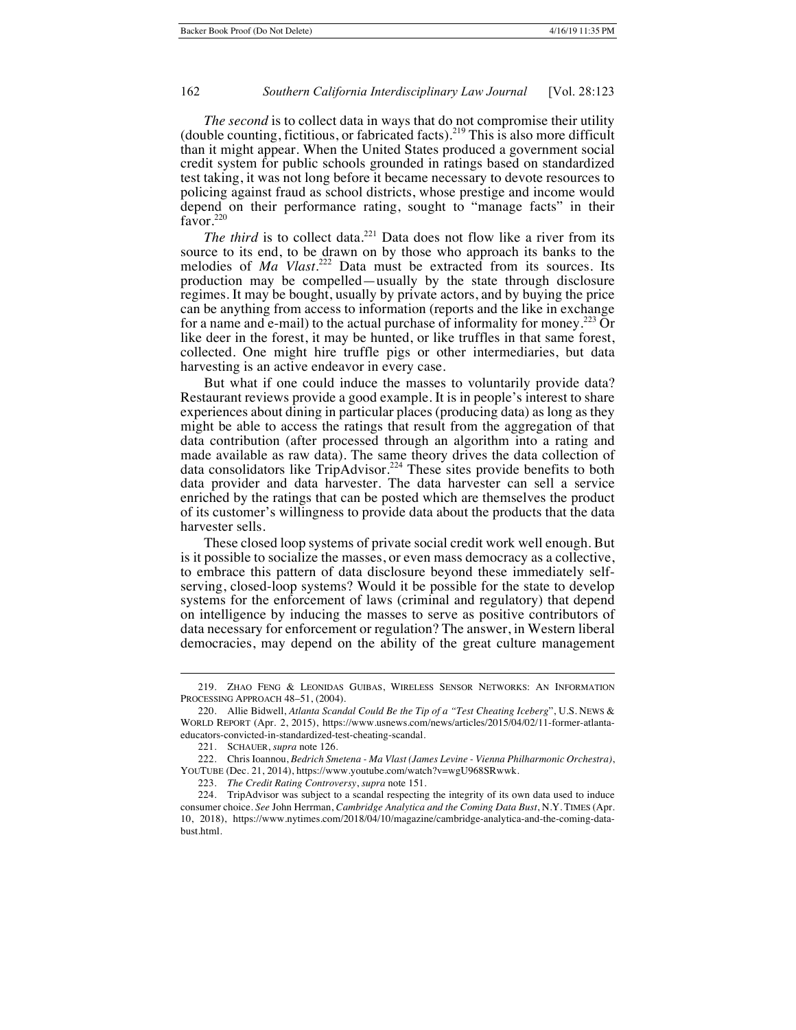*The second* is to collect data in ways that do not compromise their utility (double counting, fictitious, or fabricated facts).<sup>219</sup> This is also more difficult than it might appear. When the United States produced a government social credit system for public schools grounded in ratings based on standardized test taking, it was not long before it became necessary to devote resources to policing against fraud as school districts, whose prestige and income would depend on their performance rating, sought to "manage facts" in their favor. 220

*The third* is to collect data.<sup>221</sup> Data does not flow like a river from its source to its end, to be drawn on by those who approach its banks to the melodies of *Ma Vlast*<sup>222</sup> Data must be extracted from its sources. Its production may be compelled—usually by the state through disclosure regimes. It may be bought, usually by private actors, and by buying the price can be anything from access to information (reports and the like in exchange for a name and e-mail) to the actual purchase of informality for money.<sup>223</sup> Or like deer in the forest, it may be hunted, or like truffles in that same forest, collected. One might hire truffle pigs or other intermediaries, but data harvesting is an active endeavor in every case.

But what if one could induce the masses to voluntarily provide data? Restaurant reviews provide a good example. It is in people's interest to share experiences about dining in particular places (producing data) as long as they might be able to access the ratings that result from the aggregation of that data contribution (after processed through an algorithm into a rating and made available as raw data). The same theory drives the data collection of data consolidators like TripAdvisor. <sup>224</sup> These sites provide benefits to both data provider and data harvester. The data harvester can sell a service enriched by the ratings that can be posted which are themselves the product of its customer's willingness to provide data about the products that the data harvester sells.

These closed loop systems of private social credit work well enough. But is it possible to socialize the masses, or even mass democracy as a collective, to embrace this pattern of data disclosure beyond these immediately selfserving, closed-loop systems? Would it be possible for the state to develop systems for the enforcement of laws (criminal and regulatory) that depend on intelligence by inducing the masses to serve as positive contributors of data necessary for enforcement or regulation? The answer, in Western liberal democracies, may depend on the ability of the great culture management

 <sup>219.</sup> ZHAO FENG & LEONIDAS GUIBAS, WIRELESS SENSOR NETWORKS: AN INFORMATION PROCESSING APPROACH 48–51, (2004).

<sup>220.</sup> Allie Bidwell, *Atlanta Scandal Could Be the Tip of a "Test Cheating Iceberg*", U.S. NEWS & WORLD REPORT (Apr. 2, 2015), https://www.usnews.com/news/articles/2015/04/02/11-former-atlantaeducators-convicted-in-standardized-test-cheating-scandal.

<sup>221.</sup> SCHAUER, *supra* note 126.

<sup>222.</sup> Chris Ioannou, *Bedrich Smetena - Ma Vlast (James Levine - Vienna Philharmonic Orchestra)*, YOUTUBE (Dec. 21, 2014), https://www.youtube.com/watch?v=wgU968SRwwk.

<sup>223.</sup> *The Credit Rating Controversy*, *supra* note 151.

<sup>224.</sup> TripAdvisor was subject to a scandal respecting the integrity of its own data used to induce consumer choice. *See* John Herrman, *Cambridge Analytica and the Coming Data Bust*, N.Y. TIMES (Apr. 10, 2018), https://www.nytimes.com/2018/04/10/magazine/cambridge-analytica-and-the-coming-databust.html.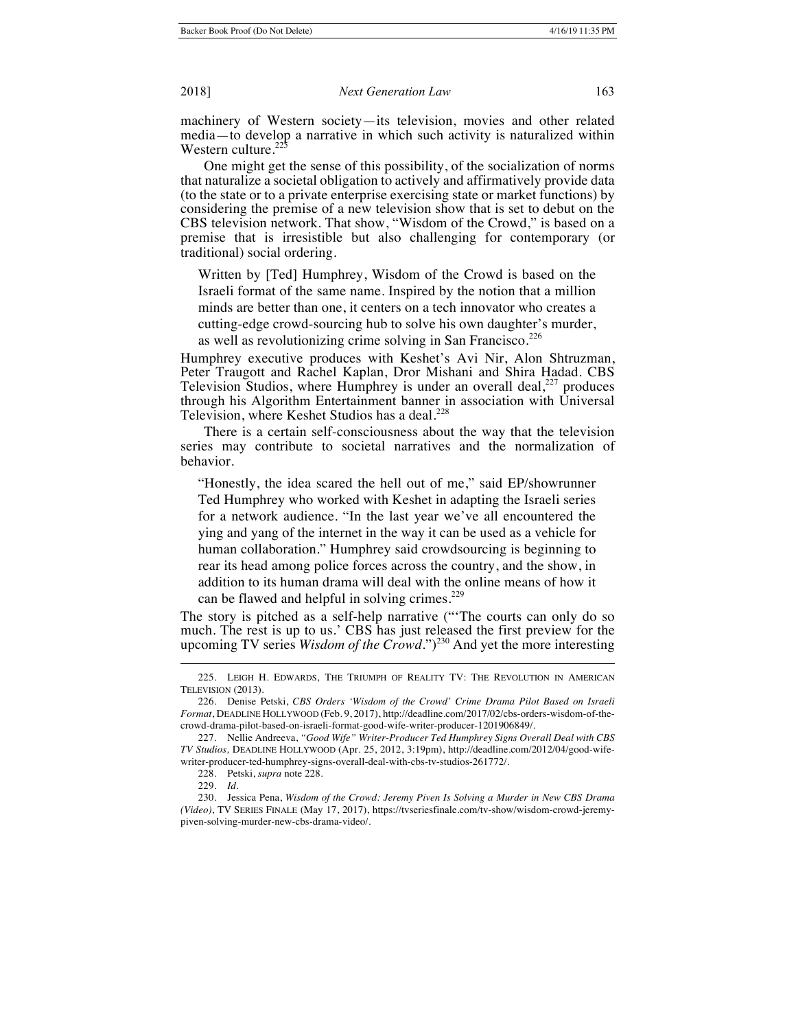machinery of Western society—its television, movies and other related media—to develop a narrative in which such activity is naturalized within Western culture.<sup>225</sup>

One might get the sense of this possibility, of the socialization of norms that naturalize a societal obligation to actively and affirmatively provide data (to the state or to a private enterprise exercising state or market functions) by considering the premise of a new television show that is set to debut on the CBS television network. That show, "Wisdom of the Crowd," is based on a premise that is irresistible but also challenging for contemporary (or traditional) social ordering.

Written by [Ted] Humphrey, Wisdom of the Crowd is based on the Israeli format of the same name. Inspired by the notion that a million minds are better than one, it centers on a tech innovator who creates a cutting-edge crowd-sourcing hub to solve his own daughter's murder, as well as revolutionizing crime solving in San Francisco.<sup>226</sup>

Humphrey executive produces with Keshet's Avi Nir, Alon Shtruzman, Peter Traugott and Rachel Kaplan, Dror Mishani and Shira Hadad. CBS Television Studios, where Humphrey is under an overall deal,<sup>227</sup> produces through his Algorithm Entertainment banner in association with Universal Television, where Keshet Studios has a deal. 228

There is a certain self-consciousness about the way that the television series may contribute to societal narratives and the normalization of behavior.

"Honestly, the idea scared the hell out of me," said EP/showrunner Ted Humphrey who worked with Keshet in adapting the Israeli series for a network audience. "In the last year we've all encountered the ying and yang of the internet in the way it can be used as a vehicle for human collaboration." Humphrey said crowdsourcing is beginning to rear its head among police forces across the country, and the show, in addition to its human drama will deal with the online means of how it can be flawed and helpful in solving crimes.<sup>229</sup>

The story is pitched as a self-help narrative ("'The courts can only do so much. The rest is up to us.' CBS has just released the first preview for the upcoming TV series *Wisdom of the Crowd*.")<sup>230</sup> And yet the more interesting

 <sup>225.</sup> LEIGH H. EDWARDS, THE TRIUMPH OF REALITY TV: THE REVOLUTION IN AMERICAN TELEVISION (2013).

<sup>226.</sup> Denise Petski, *CBS Orders 'Wisdom of the Crowd' Crime Drama Pilot Based on Israeli Format*, DEADLINE HOLLYWOOD (Feb. 9, 2017), http://deadline.com/2017/02/cbs-orders-wisdom-of-thecrowd-drama-pilot-based-on-israeli-format-good-wife-writer-producer-1201906849/.

<sup>227.</sup> Nellie Andreeva, *"Good Wife" Writer-Producer Ted Humphrey Signs Overall Deal with CBS TV Studios,* DEADLINE HOLLYWOOD (Apr. 25, 2012, 3:19pm), http://deadline.com/2012/04/good-wifewriter-producer-ted-humphrey-signs-overall-deal-with-cbs-tv-studios-261772/.

<sup>228.</sup> Petski, *supra* note 228.

<sup>229.</sup> *Id.*

<sup>230.</sup> Jessica Pena, *Wisdom of the Crowd: Jeremy Piven Is Solving a Murder in New CBS Drama (Video)*, TV SERIES FINALE (May 17, 2017), https://tvseriesfinale.com/tv-show/wisdom-crowd-jeremypiven-solving-murder-new-cbs-drama-video/.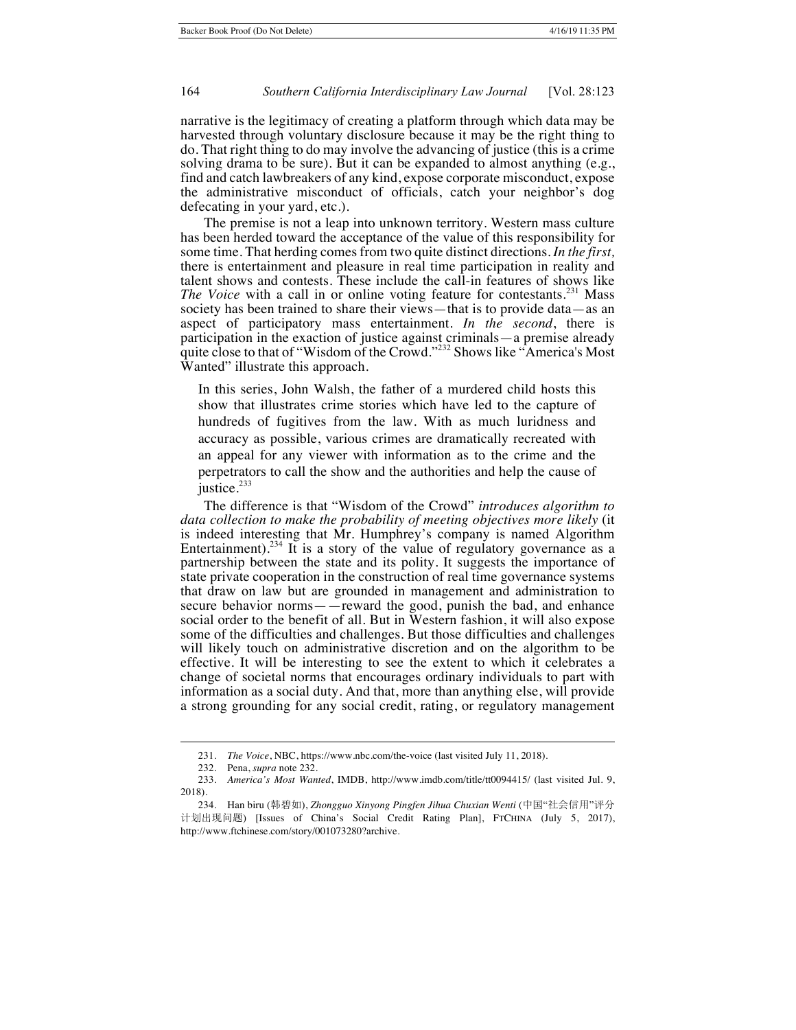narrative is the legitimacy of creating a platform through which data may be harvested through voluntary disclosure because it may be the right thing to do. That right thing to do may involve the advancing of justice (this is a crime solving drama to be sure). But it can be expanded to almost anything (e.g., find and catch lawbreakers of any kind, expose corporate misconduct, expose the administrative misconduct of officials, catch your neighbor's dog defecating in your yard, etc.).

The premise is not a leap into unknown territory. Western mass culture has been herded toward the acceptance of the value of this responsibility for some time. That herding comes from two quite distinct directions. *In the first,* there is entertainment and pleasure in real time participation in reality and talent shows and contests. These include the call-in features of shows like The Voice with a call in or online voting feature for contestants.<sup>231</sup> Mass society has been trained to share their views—that is to provide data—as an aspect of participatory mass entertainment. *In the second*, there is participation in the exaction of justice against criminals—a premise already quite close to that of "Wisdom of the Crowd."<sup>232</sup> Shows like "America's Most Wanted" illustrate this approach.

In this series, John Walsh, the father of a murdered child hosts this show that illustrates crime stories which have led to the capture of hundreds of fugitives from the law. With as much luridness and accuracy as possible, various crimes are dramatically recreated with an appeal for any viewer with information as to the crime and the perpetrators to call the show and the authorities and help the cause of justice.<sup>233</sup>

The difference is that "Wisdom of the Crowd" *introduces algorithm to data collection to make the probability of meeting objectives more likely* (it is indeed interesting that Mr. Humphrey's company is named Algorithm Entertainment).<sup>234</sup> It is a story of the value of regulatory governance as a partnership between the state and its polity. It suggests the importance of state private cooperation in the construction of real time governance systems that draw on law but are grounded in management and administration to secure behavior norms——reward the good, punish the bad, and enhance social order to the benefit of all. But in Western fashion, it will also expose some of the difficulties and challenges. But those difficulties and challenges will likely touch on administrative discretion and on the algorithm to be effective. It will be interesting to see the extent to which it celebrates a change of societal norms that encourages ordinary individuals to part with information as a social duty. And that, more than anything else, will provide a strong grounding for any social credit, rating, or regulatory management

 <sup>231.</sup> *The Voice*, NBC, https://www.nbc.com/the-voice (last visited July 11, 2018).

<sup>232.</sup> Pena, *supra* note 232.

<sup>233.</sup> *America's Most Wanted*, IMDB, http://www.imdb.com/title/tt0094415/ (last visited Jul. 9, 2018).

<sup>234.</sup> Han biru (韩碧如), *Zhongguo Xinyong Pingfen Jihua Chuxian Wenti* (中国"社会信用"评分 计划出现问题) [Issues of China's Social Credit Rating Plan], FTCHINA (July 5, 2017), http://www.ftchinese.com/story/001073280?archive.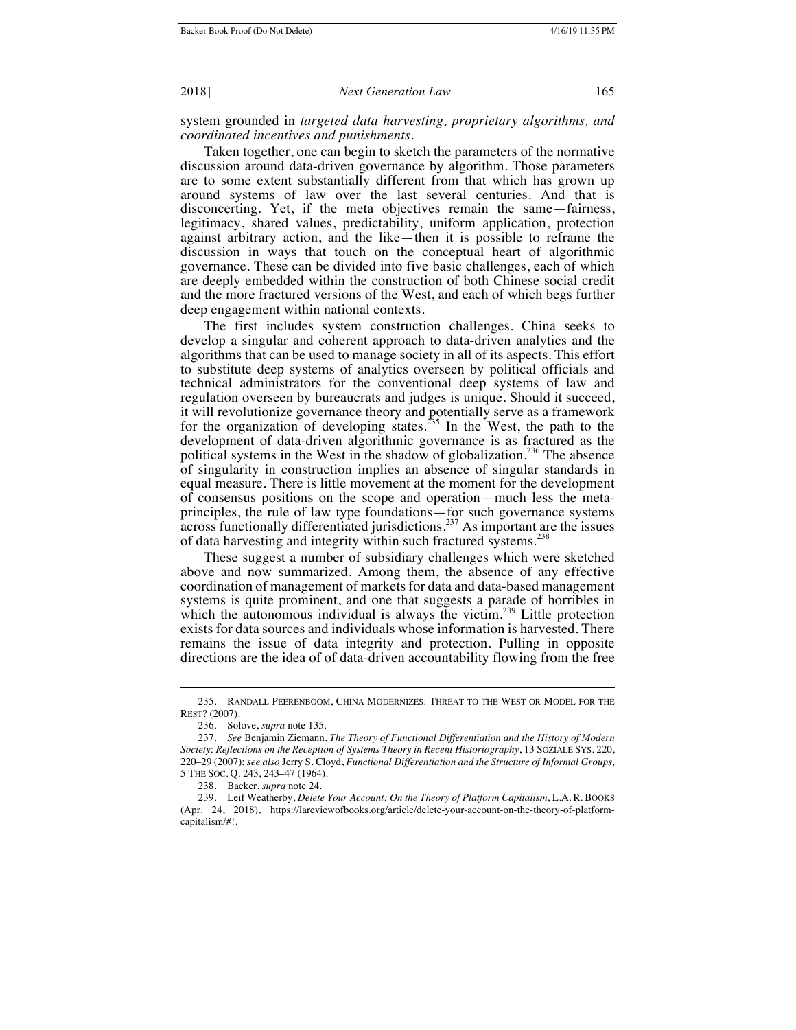system grounded in *targeted data harvesting, proprietary algorithms, and coordinated incentives and punishments*.

Taken together, one can begin to sketch the parameters of the normative discussion around data-driven governance by algorithm. Those parameters are to some extent substantially different from that which has grown up around systems of law over the last several centuries. And that is disconcerting. Yet, if the meta objectives remain the same—fairness, legitimacy, shared values, predictability, uniform application, protection against arbitrary action, and the like—then it is possible to reframe the discussion in ways that touch on the conceptual heart of algorithmic governance. These can be divided into five basic challenges, each of which are deeply embedded within the construction of both Chinese social credit and the more fractured versions of the West, and each of which begs further deep engagement within national contexts.

The first includes system construction challenges. China seeks to develop a singular and coherent approach to data-driven analytics and the algorithms that can be used to manage society in all of its aspects. This effort to substitute deep systems of analytics overseen by political officials and technical administrators for the conventional deep systems of law and regulation overseen by bureaucrats and judges is unique. Should it succeed, it will revolutionize governance theory and potentially serve as a framework for the organization of developing states.<sup>235</sup> In the West, the path to the development of data-driven algorithmic governance is as fractured as the political systems in the West in the shadow of globalization.<sup>236</sup> The absence of singularity in construction implies an absence of singular standards in equal measure. There is little movement at the moment for the development of consensus positions on the scope and operation—much less the metaprinciples, the rule of law type foundations—for such governance systems across functionally differentiated jurisdictions.<sup>237</sup> As important are the issues of data harvesting and integrity within such fractured systems.<sup>238</sup>

These suggest a number of subsidiary challenges which were sketched above and now summarized. Among them, the absence of any effective coordination of management of markets for data and data-based management systems is quite prominent, and one that suggests a parade of horribles in which the autonomous individual is always the victim.<sup>239</sup> Little protection exists for data sources and individuals whose information is harvested. There remains the issue of data integrity and protection. Pulling in opposite directions are the idea of of data-driven accountability flowing from the free

 <sup>235.</sup> RANDALL PEERENBOOM, CHINA MODERNIZES: THREAT TO THE WEST OR MODEL FOR THE REST? (2007).

<sup>236.</sup> Solove, *supra* note 135.

<sup>237.</sup> *See* Benjamin Ziemann, *The Theory of Functional Differentiation and the History of Modern Society*: *Reflections on the Reception of Systems Theory in Recent Historiography*, 13 SOZIALE SYS*.* 220, 220–29 (2007); *see also* Jerry S. Cloyd, *Functional Differentiation and the Structure of Informal Groups,*  5 THE SOC. Q. 243, 243–47 (1964).

<sup>238.</sup> Backer, *supra* note 24.

<sup>239.</sup> Leif Weatherby, *Delete Your Account: On the Theory of Platform Capitalism*, L.A. R. BOOKS (Apr. 24, 2018), https://lareviewofbooks.org/article/delete-your-account-on-the-theory-of-platformcapitalism/#!.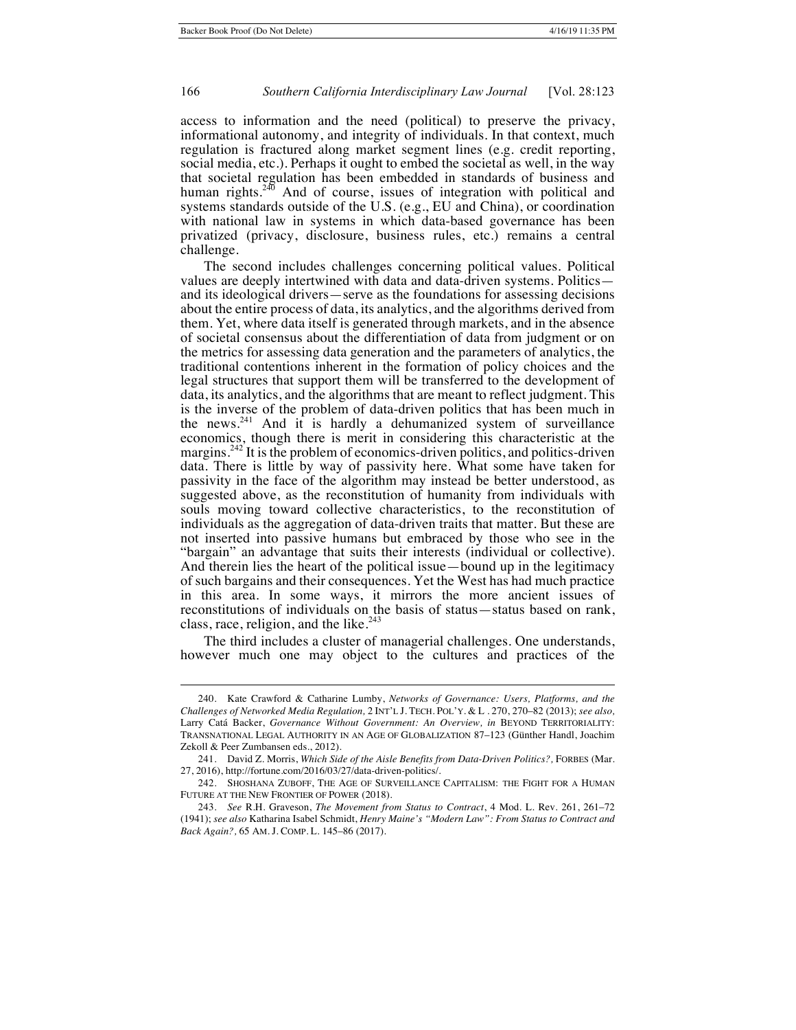access to information and the need (political) to preserve the privacy, informational autonomy, and integrity of individuals. In that context, much regulation is fractured along market segment lines (e.g. credit reporting, social media, etc.). Perhaps it ought to embed the societal as well, in the way that societal regulation has been embedded in standards of business and human rights.<sup>246</sup> And of course, issues of integration with political and systems standards outside of the U.S. (e.g., EU and China), or coordination with national law in systems in which data-based governance has been privatized (privacy, disclosure, business rules, etc.) remains a central challenge.

The second includes challenges concerning political values. Political values are deeply intertwined with data and data-driven systems. Politics and its ideological drivers—serve as the foundations for assessing decisions about the entire process of data, its analytics, and the algorithms derived from them. Yet, where data itself is generated through markets, and in the absence of societal consensus about the differentiation of data from judgment or on the metrics for assessing data generation and the parameters of analytics, the traditional contentions inherent in the formation of policy choices and the legal structures that support them will be transferred to the development of data, its analytics, and the algorithms that are meant to reflect judgment. This is the inverse of the problem of data-driven politics that has been much in the news.<sup>241</sup> And it is hardly a dehumanized system of surveillance economics, though there is merit in considering this characteristic at the margins.<sup>242</sup> It is the problem of economics-driven politics, and politics-driven data. There is little by way of passivity here. What some have taken for passivity in the face of the algorithm may instead be better understood, as suggested above, as the reconstitution of humanity from individuals with souls moving toward collective characteristics, to the reconstitution of individuals as the aggregation of data-driven traits that matter. But these are not inserted into passive humans but embraced by those who see in the "bargain" an advantage that suits their interests (individual or collective). And therein lies the heart of the political issue—bound up in the legitimacy of such bargains and their consequences. Yet the West has had much practice in this area. In some ways, it mirrors the more ancient issues of reconstitutions of individuals on the basis of status—status based on rank, class, race, religion, and the like. 243

The third includes a cluster of managerial challenges. One understands, however much one may object to the cultures and practices of the

 <sup>240.</sup> Kate Crawford & Catharine Lumby, *Networks of Governance: Users, Platforms, and the Challenges of Networked Media Regulation,* 2 INT'L J. TECH. POL'Y. & L . 270, 270–82 (2013); *see also,*  Larry Catá Backer, *Governance Without Government: An Overview, in* BEYOND TERRITORIALITY: TRANSNATIONAL LEGAL AUTHORITY IN AN AGE OF GLOBALIZATION 87–123 (Günther Handl, Joachim Zekoll & Peer Zumbansen eds., 2012).

<sup>241.</sup> David Z. Morris, *Which Side of the Aisle Benefits from Data-Driven Politics?,* FORBES (Mar. 27, 2016), http://fortune.com/2016/03/27/data-driven-politics/.

<sup>242.</sup> SHOSHANA ZUBOFF, THE AGE OF SURVEILLANCE CAPITALISM: THE FIGHT FOR A HUMAN FUTURE AT THE NEW FRONTIER OF POWER (2018).

<sup>243.</sup> *See* R.H. Graveson, *The Movement from Status to Contract*, 4 Mod. L. Rev. 261, 261–72 (1941); *see also* Katharina Isabel Schmidt, *Henry Maine's "Modern Law": From Status to Contract and Back Again?,* 65 AM. J. COMP. L. 145–86 (2017).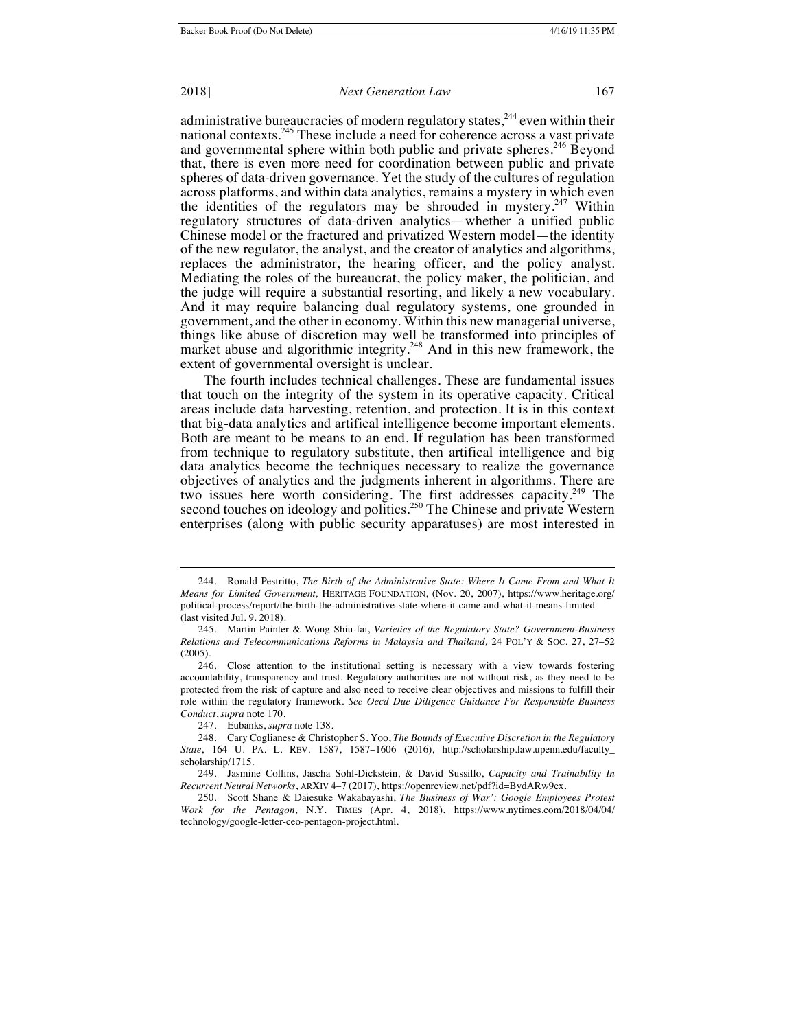administrative bureaucracies of modern regulatory states,<sup>244</sup> even within their national contexts. <sup>245</sup> These include a need for coherence across a vast private and governmental sphere within both public and private spheres.<sup>246</sup> Beyond that, there is even more need for coordination between public and private spheres of data-driven governance. Yet the study of the cultures of regulation across platforms, and within data analytics, remains a mystery in which even the identities of the regulators may be shrouded in mystery.<sup>247</sup> Within regulatory structures of data-driven analytics—whether a unified public Chinese model or the fractured and privatized Western model—the identity of the new regulator, the analyst, and the creator of analytics and algorithms, replaces the administrator, the hearing officer, and the policy analyst. Mediating the roles of the bureaucrat, the policy maker, the politician, and the judge will require a substantial resorting, and likely a new vocabulary. And it may require balancing dual regulatory systems, one grounded in government, and the other in economy. Within this new managerial universe, things like abuse of discretion may well be transformed into principles of market abuse and algorithmic integrity.<sup>248</sup> And in this new framework, the extent of governmental oversight is unclear.

The fourth includes technical challenges. These are fundamental issues that touch on the integrity of the system in its operative capacity. Critical areas include data harvesting, retention, and protection. It is in this context that big-data analytics and artifical intelligence become important elements. Both are meant to be means to an end. If regulation has been transformed from technique to regulatory substitute, then artifical intelligence and big data analytics become the techniques necessary to realize the governance objectives of analytics and the judgments inherent in algorithms. There are two issues here worth considering. The first addresses capacity.<sup>249</sup> The second touches on ideology and politics.<sup>250</sup> The Chinese and private Western enterprises (along with public security apparatuses) are most interested in

 <sup>244.</sup> Ronald Pestritto, *The Birth of the Administrative State: Where It Came From and What It Means for Limited Government,* HERITAGE FOUNDATION, (Nov. 20, 2007), https://www.heritage.org/ political-process/report/the-birth-the-administrative-state-where-it-came-and-what-it-means-limited (last visited Jul. 9. 2018).

<sup>245.</sup> Martin Painter & Wong Shiu-fai, *Varieties of the Regulatory State? Government-Business Relations and Telecommunications Reforms in Malaysia and Thailand,* 24 POL'Y & SOC. 27, 27–52 (2005).

<sup>246.</sup> Close attention to the institutional setting is necessary with a view towards fostering accountability, transparency and trust. Regulatory authorities are not without risk, as they need to be protected from the risk of capture and also need to receive clear objectives and missions to fulfill their role within the regulatory framework. *See Oecd Due Diligence Guidance For Responsible Business Conduct*, *supra* note 170.

<sup>247.</sup> Eubanks, *supra* note 138.

<sup>248.</sup> Cary Coglianese & Christopher S. Yoo, *The Bounds of Executive Discretion in the Regulatory State*, 164 U. PA. L. REV. 1587, 1587–1606 (2016), http://scholarship.law.upenn.edu/faculty\_ scholarship/1715.

<sup>249.</sup> Jasmine Collins, Jascha Sohl-Dickstein, & David Sussillo, *Capacity and Trainability In Recurrent Neural Networks*, ARXIV 4–7 (2017), https://openreview.net/pdf?id=BydARw9ex.

<sup>250.</sup> Scott Shane & Daiesuke Wakabayashi, *The Business of War': Google Employees Protest Work for the Pentagon*, N.Y. TIMES (Apr. 4, 2018), https://www.nytimes.com/2018/04/04/ technology/google-letter-ceo-pentagon-project.html.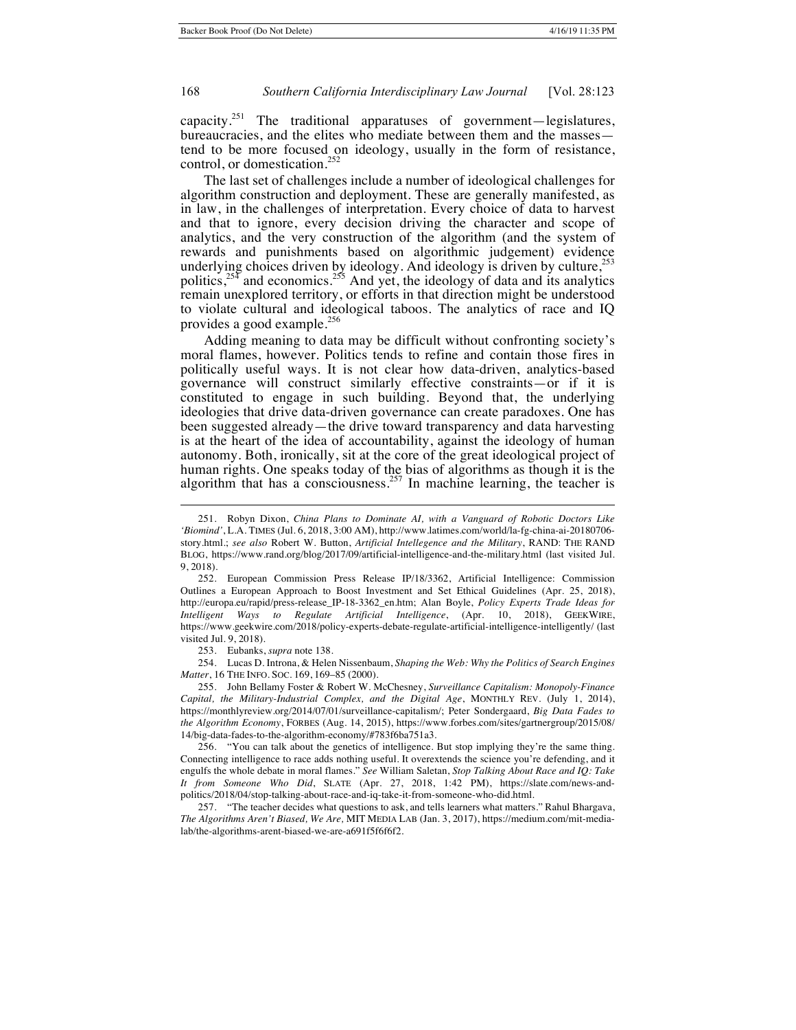capacity.<sup>251</sup> The traditional apparatuses of government—legislatures, bureaucracies, and the elites who mediate between them and the masses tend to be more focused on ideology, usually in the form of resistance, control, or domestication. 252

The last set of challenges include a number of ideological challenges for algorithm construction and deployment. These are generally manifested, as in law, in the challenges of interpretation. Every choice of data to harvest and that to ignore, every decision driving the character and scope of analytics, and the very construction of the algorithm (and the system of rewards and punishments based on algorithmic judgement) evidence underlying choices driven by ideology. And ideology is driven by culture,<sup>253</sup> politics,<sup>254</sup> and economics.<sup>255</sup> And yet, the ideology of data and its analytics remain unexplored territory, or efforts in that direction might be understood to violate cultural and ideological taboos. The analytics of race and IQ provides a good example. 256

Adding meaning to data may be difficult without confronting society's moral flames, however. Politics tends to refine and contain those fires in politically useful ways. It is not clear how data-driven, analytics-based governance will construct similarly effective constraints—or if it is constituted to engage in such building. Beyond that, the underlying ideologies that drive data-driven governance can create paradoxes. One has been suggested already—the drive toward transparency and data harvesting is at the heart of the idea of accountability, against the ideology of human autonomy. Both, ironically, sit at the core of the great ideological project of human rights. One speaks today of the bias of algorithms as though it is the algorithm that has a consciousness.<sup>257</sup> In machine learning, the teacher is

253. Eubanks, *supra* note 138.

254. Lucas D. Introna, & Helen Nissenbaum, *Shaping the Web: Why the Politics of Search Engines Matter*, 16 THE INFO. SOC. 169, 169–85 (2000).

 <sup>251.</sup> Robyn Dixon, *China Plans to Dominate AI, with a Vanguard of Robotic Doctors Like 'Biomind'*, L.A. TIMES (Jul. 6, 2018, 3:00 AM), http://www.latimes.com/world/la-fg-china-ai-20180706 story.html.; *see also* Robert W. Button, *Artificial Intellegence and the Military*, RAND: THE RAND BLOG, https://www.rand.org/blog/2017/09/artificial-intelligence-and-the-military.html (last visited Jul. 9, 2018).

<sup>252.</sup> European Commission Press Release IP/18/3362, Artificial Intelligence: Commission Outlines a European Approach to Boost Investment and Set Ethical Guidelines (Apr. 25, 2018), http://europa.eu/rapid/press-release\_IP-18-3362\_en.htm; Alan Boyle, *Policy Experts Trade Ideas for Intelligent Ways to Regulate Artificial Intelligence*, (Apr. 10, 2018), GEEKWIRE, https://www.geekwire.com/2018/policy-experts-debate-regulate-artificial-intelligence-intelligently/ (last visited Jul. 9, 2018).

<sup>255.</sup> John Bellamy Foster & Robert W. McChesney, *Surveillance Capitalism: Monopoly-Finance Capital, the Military-Industrial Complex, and the Digital Age*, MONTHLY REV. (July 1, 2014), https://monthlyreview.org/2014/07/01/surveillance-capitalism/; Peter Sondergaard, *Big Data Fades to the Algorithm Economy*, FORBES (Aug. 14, 2015), https://www.forbes.com/sites/gartnergroup/2015/08/ 14/big-data-fades-to-the-algorithm-economy/#783f6ba751a3.

<sup>256.</sup> "You can talk about the genetics of intelligence. But stop implying they're the same thing. Connecting intelligence to race adds nothing useful. It overextends the science you're defending, and it engulfs the whole debate in moral flames." *See* William Saletan, *Stop Talking About Race and IQ: Take It from Someone Who Did*, SLATE (Apr. 27, 2018, 1:42 PM), https://slate.com/news-andpolitics/2018/04/stop-talking-about-race-and-iq-take-it-from-someone-who-did.html.

<sup>257.</sup> "The teacher decides what questions to ask, and tells learners what matters." Rahul Bhargava, *The Algorithms Aren't Biased, We Are,* MIT MEDIA LAB (Jan. 3, 2017), https://medium.com/mit-medialab/the-algorithms-arent-biased-we-are-a691f5f6f6f2.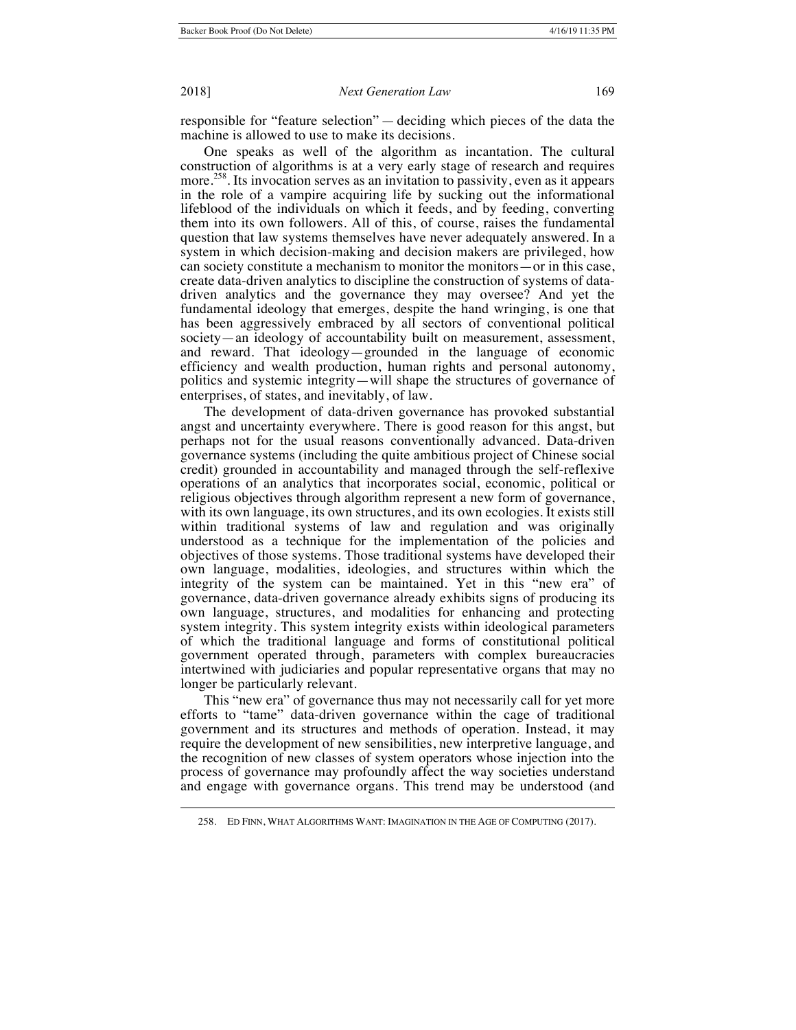responsible for "feature selection"—deciding which pieces of the data the machine is allowed to use to make its decisions.

One speaks as well of the algorithm as incantation. The cultural construction of algorithms is at a very early stage of research and requires more.<sup>258</sup>. Its invocation serves as an invitation to passivity, even as it appears in the role of a vampire acquiring life by sucking out the informational lifeblood of the individuals on which it feeds, and by feeding, converting them into its own followers. All of this, of course, raises the fundamental question that law systems themselves have never adequately answered. In a system in which decision-making and decision makers are privileged, how can society constitute a mechanism to monitor the monitors—or in this case, create data-driven analytics to discipline the construction of systems of datadriven analytics and the governance they may oversee? And yet the fundamental ideology that emerges, despite the hand wringing, is one that has been aggressively embraced by all sectors of conventional political society—an ideology of accountability built on measurement, assessment, and reward. That ideology—grounded in the language of economic efficiency and wealth production, human rights and personal autonomy, politics and systemic integrity—will shape the structures of governance of enterprises, of states, and inevitably, of law.

The development of data-driven governance has provoked substantial angst and uncertainty everywhere. There is good reason for this angst, but perhaps not for the usual reasons conventionally advanced. Data-driven governance systems (including the quite ambitious project of Chinese social credit) grounded in accountability and managed through the self-reflexive operations of an analytics that incorporates social, economic, political or religious objectives through algorithm represent a new form of governance, with its own language, its own structures, and its own ecologies. It exists still within traditional systems of law and regulation and was originally understood as a technique for the implementation of the policies and objectives of those systems. Those traditional systems have developed their own language, modalities, ideologies, and structures within which the integrity of the system can be maintained. Yet in this "new era" of governance, data-driven governance already exhibits signs of producing its own language, structures, and modalities for enhancing and protecting system integrity. This system integrity exists within ideological parameters of which the traditional language and forms of constitutional political government operated through, parameters with complex bureaucracies intertwined with judiciaries and popular representative organs that may no longer be particularly relevant.

This "new era" of governance thus may not necessarily call for yet more efforts to "tame" data-driven governance within the cage of traditional government and its structures and methods of operation. Instead, it may require the development of new sensibilities, new interpretive language, and the recognition of new classes of system operators whose injection into the process of governance may profoundly affect the way societies understand and engage with governance organs. This trend may be understood (and

 <sup>258.</sup> ED FINN, WHAT ALGORITHMS WANT: IMAGINATION IN THE AGE OF COMPUTING (2017).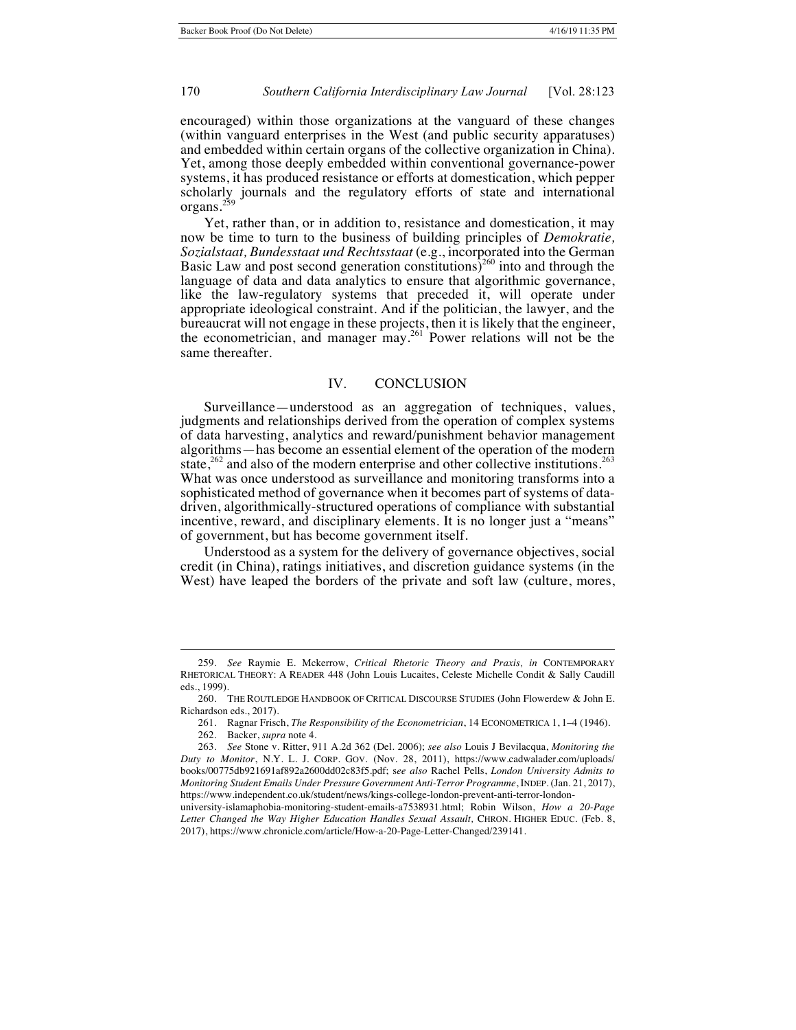encouraged) within those organizations at the vanguard of these changes (within vanguard enterprises in the West (and public security apparatuses) and embedded within certain organs of the collective organization in China). Yet, among those deeply embedded within conventional governance-power systems, it has produced resistance or efforts at domestication, which pepper scholarly journals and the regulatory efforts of state and international organs.<sup>2</sup>

Yet, rather than, or in addition to, resistance and domestication, it may now be time to turn to the business of building principles of *Demokratie, Sozialstaat, Bundesstaat und Rechtsstaat* (e.g., incorporated into the German Basic Law and post second generation constitutions)<sup>260</sup> into and through the language of data and data analytics to ensure that algorithmic governance, like the law-regulatory systems that preceded it, will operate under appropriate ideological constraint. And if the politician, the lawyer, and the bureaucrat will not engage in these projects, then it is likely that the engineer, the econometrician, and manager may.<sup>261</sup> Power relations will not be the same thereafter.

# IV. CONCLUSION

Surveillance—understood as an aggregation of techniques, values, judgments and relationships derived from the operation of complex systems of data harvesting, analytics and reward/punishment behavior management algorithms—has become an essential element of the operation of the modern state,<sup>262</sup> and also of the modern enterprise and other collective institutions.<sup>263</sup> What was once understood as surveillance and monitoring transforms into a sophisticated method of governance when it becomes part of systems of datadriven, algorithmically-structured operations of compliance with substantial incentive, reward, and disciplinary elements. It is no longer just a "means" of government, but has become government itself.

Understood as a system for the delivery of governance objectives, social credit (in China), ratings initiatives, and discretion guidance systems (in the West) have leaped the borders of the private and soft law (culture, mores,

 <sup>259.</sup> *See* Raymie E. Mckerrow, *Critical Rhetoric Theory and Praxis, in* CONTEMPORARY RHETORICAL THEORY: A READER 448 (John Louis Lucaites, Celeste Michelle Condit & Sally Caudill eds., 1999).

<sup>260.</sup> THE ROUTLEDGE HANDBOOK OF CRITICAL DISCOURSE STUDIES (John Flowerdew & John E. Richardson eds., 2017).

<sup>261.</sup> Ragnar Frisch, *The Responsibility of the Econometrician*, 14 ECONOMETRICA 1, 1–4 (1946). 262. Backer, *supra* note 4.

<sup>263.</sup> *See* Stone v. Ritter, 911 A.2d 362 (Del. 2006); *see also* Louis J Bevilacqua, *Monitoring the Duty to Monitor*, N.Y. L. J. CORP. GOV. (Nov. 28, 2011), https://www.cadwalader.com/uploads/ books/00775db921691af892a2600dd02c83f5.pdf; s*ee also* Rachel Pells, *London University Admits to Monitoring Student Emails Under Pressure Government Anti-Terror Programme*, INDEP. (Jan. 21, 2017), https://www.independent.co.uk/student/news/kings-college-london-prevent-anti-terror-london-

university-islamaphobia-monitoring-student-emails-a7538931.html; Robin Wilson, *How a 20-Page Letter Changed the Way Higher Education Handles Sexual Assault,* CHRON. HIGHER EDUC. (Feb. 8, 2017), https://www.chronicle.com/article/How-a-20-Page-Letter-Changed/239141.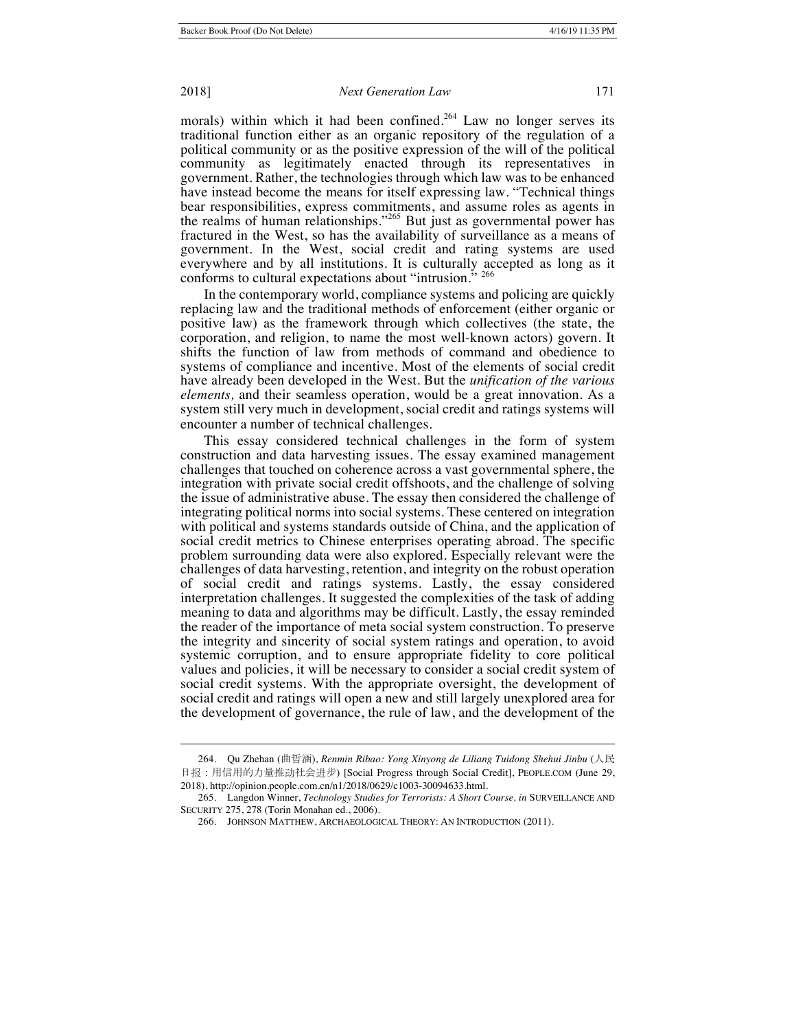morals) within which it had been confined.<sup>264</sup> Law no longer serves its traditional function either as an organic repository of the regulation of a political community or as the positive expression of the will of the political community as legitimately enacted through its representatives in government. Rather, the technologies through which law was to be enhanced have instead become the means for itself expressing law. "Technical things bear responsibilities, express commitments, and assume roles as agents in the realms of human relationships."<sup>265</sup> But just as governmental power has fractured in the West, so has the availability of surveillance as a means of government. In the West, social credit and rating systems are used everywhere and by all institutions. It is culturally accepted as long as it conforms to cultural expectations about "intrusion."<sup>5266</sup>

In the contemporary world, compliance systems and policing are quickly replacing law and the traditional methods of enforcement (either organic or positive law) as the framework through which collectives (the state, the corporation, and religion, to name the most well-known actors) govern. It shifts the function of law from methods of command and obedience to systems of compliance and incentive. Most of the elements of social credit have already been developed in the West. But the *unification of the various elements,* and their seamless operation, would be a great innovation. As a system still very much in development, social credit and ratings systems will encounter a number of technical challenges.

This essay considered technical challenges in the form of system construction and data harvesting issues. The essay examined management challenges that touched on coherence across a vast governmental sphere, the integration with private social credit offshoots, and the challenge of solving the issue of administrative abuse. The essay then considered the challenge of integrating political norms into social systems. These centered on integration with political and systems standards outside of China, and the application of social credit metrics to Chinese enterprises operating abroad. The specific problem surrounding data were also explored. Especially relevant were the challenges of data harvesting, retention, and integrity on the robust operation of social credit and ratings systems. Lastly, the essay considered interpretation challenges. It suggested the complexities of the task of adding meaning to data and algorithms may be difficult. Lastly, the essay reminded the reader of the importance of meta social system construction. To preserve the integrity and sincerity of social system ratings and operation, to avoid systemic corruption, and to ensure appropriate fidelity to core political values and policies, it will be necessary to consider a social credit system of social credit systems. With the appropriate oversight, the development of social credit and ratings will open a new and still largely unexplored area for the development of governance, the rule of law, and the development of the

 <sup>264.</sup> Qu Zhehan (曲哲涵), *Renmin Ribao: Yong Xinyong de Liliang Tuidong Shehui Jinbu* (人民 日报:用信用的力量推动社会进步) [Social Progress through Social Credit], PEOPLE.COM (June 29, 2018), http://opinion.people.com.cn/n1/2018/0629/c1003-30094633.html.

<sup>265.</sup> Langdon Winner, *Technology Studies for Terrorists: A Short Course, in* SURVEILLANCE AND SECURITY 275, 278 (Torin Monahan ed., 2006).

<sup>266.</sup> JOHNSON MATTHEW, ARCHAEOLOGICAL THEORY: AN INTRODUCTION (2011).